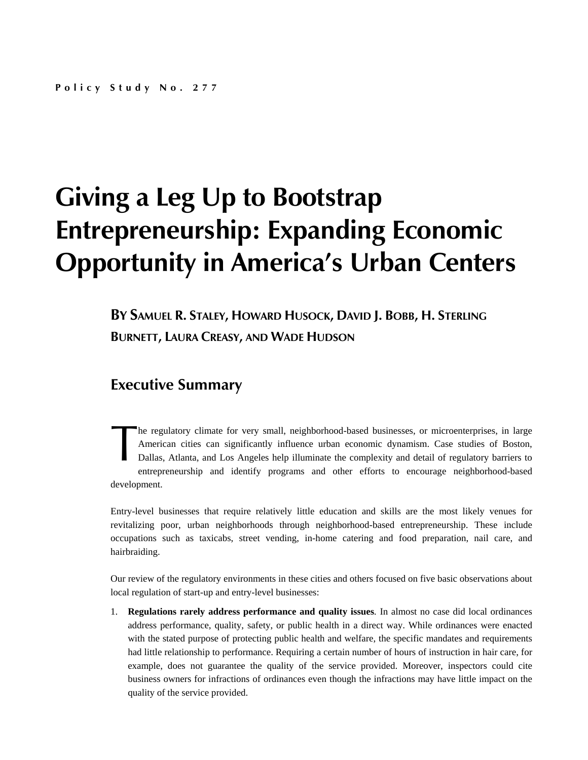## **Giving a Leg Up to Bootstrap Entrepreneurship: Expanding Economic Opportunity in America's Urban Centers**

**BY SAMUEL R. STALEY, HOWARD HUSOCK, DAVID J. BOBB, H. STERLING BURNETT, LAURA CREASY, AND WADE HUDSON**

## **Executive Summary**

he regulatory climate for very small, neighborhood-based businesses, or microenterprises, in large American cities can significantly influence urban economic dynamism. Case studies of Boston, Dallas, Atlanta, and Los Angeles help illuminate the complexity and detail of regulatory barriers to entrepreneurship and identify programs and other efforts to encourage neighborhood-based development. The Am<br>Am<br>Dal

Entry-level businesses that require relatively little education and skills are the most likely venues for revitalizing poor, urban neighborhoods through neighborhood-based entrepreneurship. These include occupations such as taxicabs, street vending, in-home catering and food preparation, nail care, and hairbraiding.

Our review of the regulatory environments in these cities and others focused on five basic observations about local regulation of start-up and entry-level businesses:

1. **Regulations rarely address performance and quality issues***.* In almost no case did local ordinances address performance, quality, safety, or public health in a direct way. While ordinances were enacted with the stated purpose of protecting public health and welfare, the specific mandates and requirements had little relationship to performance. Requiring a certain number of hours of instruction in hair care, for example, does not guarantee the quality of the service provided. Moreover, inspectors could cite business owners for infractions of ordinances even though the infractions may have little impact on the quality of the service provided.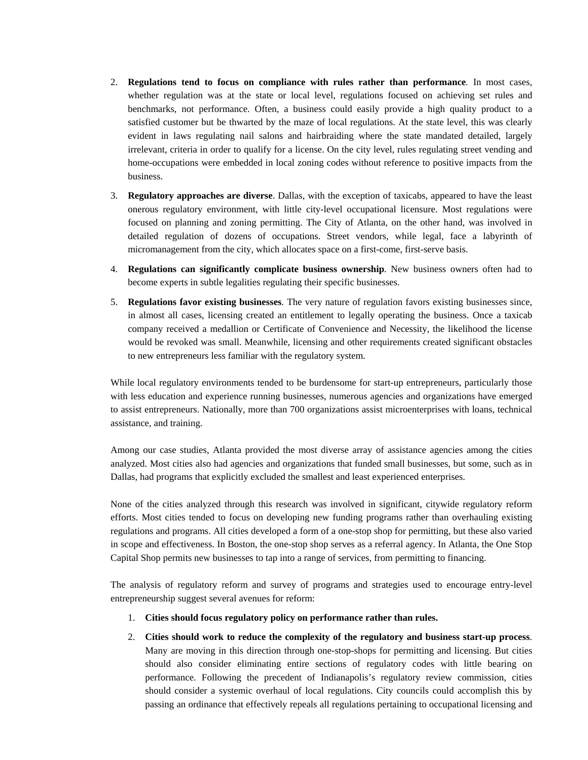- 2. **Regulations tend to focus on compliance with rules rather than performance***.* In most cases, whether regulation was at the state or local level, regulations focused on achieving set rules and benchmarks, not performance. Often, a business could easily provide a high quality product to a satisfied customer but be thwarted by the maze of local regulations. At the state level, this was clearly evident in laws regulating nail salons and hairbraiding where the state mandated detailed, largely irrelevant, criteria in order to qualify for a license. On the city level, rules regulating street vending and home-occupations were embedded in local zoning codes without reference to positive impacts from the business.
- 3. **Regulatory approaches are diverse**. Dallas, with the exception of taxicabs, appeared to have the least onerous regulatory environment, with little city-level occupational licensure. Most regulations were focused on planning and zoning permitting. The City of Atlanta, on the other hand, was involved in detailed regulation of dozens of occupations. Street vendors, while legal, face a labyrinth of micromanagement from the city, which allocates space on a first-come, first-serve basis.
- 4. **Regulations can significantly complicate business ownership***.* New business owners often had to become experts in subtle legalities regulating their specific businesses.
- 5. **Regulations favor existing businesses***.* The very nature of regulation favors existing businesses since, in almost all cases, licensing created an entitlement to legally operating the business. Once a taxicab company received a medallion or Certificate of Convenience and Necessity, the likelihood the license would be revoked was small. Meanwhile, licensing and other requirements created significant obstacles to new entrepreneurs less familiar with the regulatory system.

While local regulatory environments tended to be burdensome for start-up entrepreneurs, particularly those with less education and experience running businesses, numerous agencies and organizations have emerged to assist entrepreneurs. Nationally, more than 700 organizations assist microenterprises with loans, technical assistance, and training.

Among our case studies, Atlanta provided the most diverse array of assistance agencies among the cities analyzed. Most cities also had agencies and organizations that funded small businesses, but some, such as in Dallas, had programs that explicitly excluded the smallest and least experienced enterprises.

None of the cities analyzed through this research was involved in significant, citywide regulatory reform efforts. Most cities tended to focus on developing new funding programs rather than overhauling existing regulations and programs. All cities developed a form of a one-stop shop for permitting, but these also varied in scope and effectiveness. In Boston, the one-stop shop serves as a referral agency. In Atlanta, the One Stop Capital Shop permits new businesses to tap into a range of services, from permitting to financing.

The analysis of regulatory reform and survey of programs and strategies used to encourage entry-level entrepreneurship suggest several avenues for reform:

- 1. **Cities should focus regulatory policy on performance rather than rules.**
- 2. **Cities should work to reduce the complexity of the regulatory and business start-up process**. Many are moving in this direction through one-stop-shops for permitting and licensing. But cities should also consider eliminating entire sections of regulatory codes with little bearing on performance. Following the precedent of Indianapolis's regulatory review commission, cities should consider a systemic overhaul of local regulations. City councils could accomplish this by passing an ordinance that effectively repeals all regulations pertaining to occupational licensing and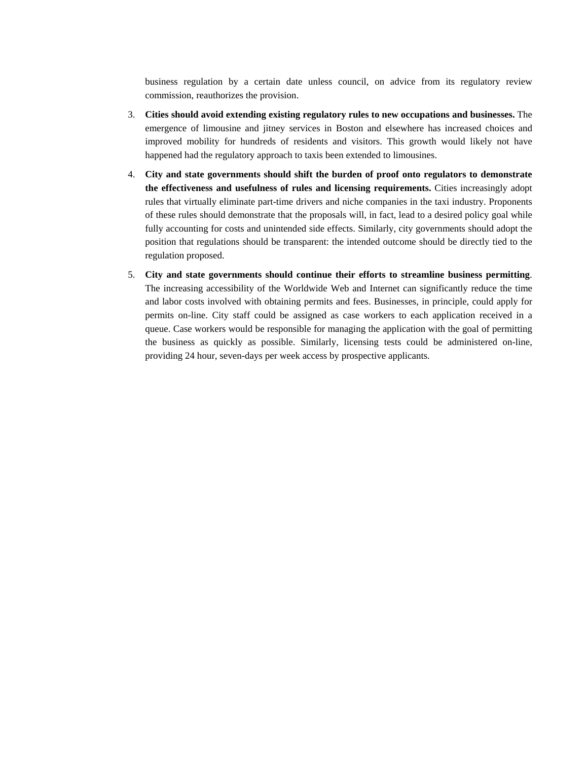business regulation by a certain date unless council, on advice from its regulatory review commission, reauthorizes the provision.

- 3. **Cities should avoid extending existing regulatory rules to new occupations and businesses.** The emergence of limousine and jitney services in Boston and elsewhere has increased choices and improved mobility for hundreds of residents and visitors. This growth would likely not have happened had the regulatory approach to taxis been extended to limousines.
- 4. **City and state governments should shift the burden of proof onto regulators to demonstrate the effectiveness and usefulness of rules and licensing requirements.** Cities increasingly adopt rules that virtually eliminate part-time drivers and niche companies in the taxi industry. Proponents of these rules should demonstrate that the proposals will, in fact, lead to a desired policy goal while fully accounting for costs and unintended side effects. Similarly, city governments should adopt the position that regulations should be transparent: the intended outcome should be directly tied to the regulation proposed.
- 5. **City and state governments should continue their efforts to streamline business permitting**. The increasing accessibility of the Worldwide Web and Internet can significantly reduce the time and labor costs involved with obtaining permits and fees. Businesses, in principle, could apply for permits on-line. City staff could be assigned as case workers to each application received in a queue. Case workers would be responsible for managing the application with the goal of permitting the business as quickly as possible. Similarly, licensing tests could be administered on-line, providing 24 hour, seven-days per week access by prospective applicants.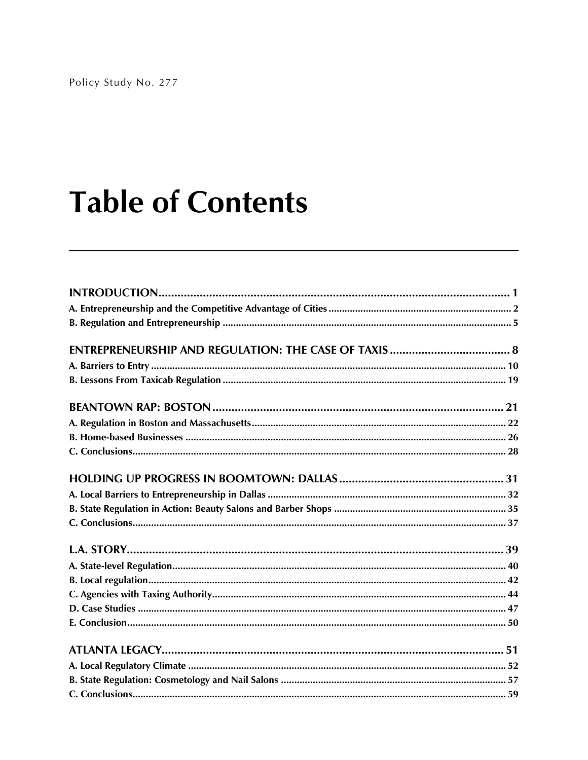# **Table of Contents**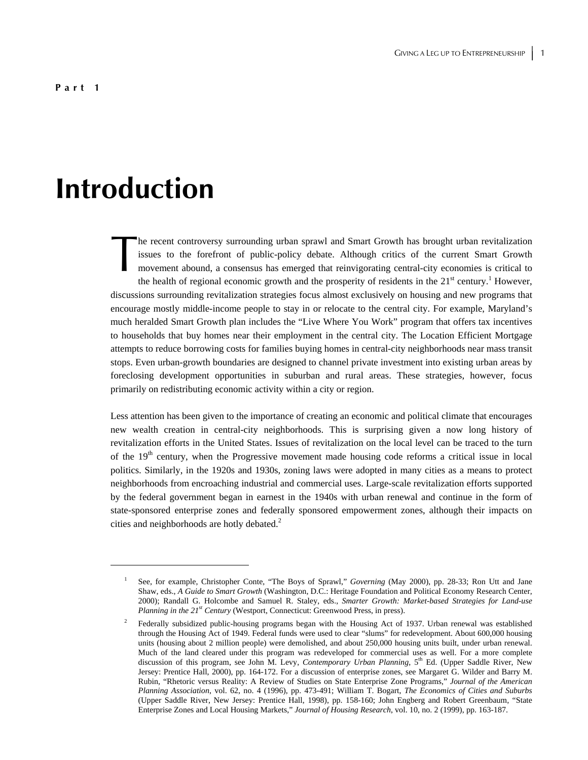## **Introduction**

 $\overline{a}$ 

he recent controversy surrounding urban sprawl and Smart Growth has brought urban revitalization issues to the forefront of public-policy debate. Although critics of the current Smart Growth movement abound, a consensus has emerged that reinvigorating central-city economies is critical to the health of regional economic growth and the prosperity of residents in the  $21<sup>st</sup>$  century.<sup>1</sup> However, discussions surrounding revitalization strategies focus almost exclusively on housing and new programs that encourage mostly middle-income people to stay in or relocate to the central city. For example, Maryland's much heralded Smart Growth plan includes the "Live Where You Work" program that offers tax incentives to households that buy homes near their employment in the central city. The Location Efficient Mortgage attempts to reduce borrowing costs for families buying homes in central-city neighborhoods near mass transit stops. Even urban-growth boundaries are designed to channel private investment into existing urban areas by foreclosing development opportunities in suburban and rural areas. These strategies, however, focus primarily on redistributing economic activity within a city or region. The issue

Less attention has been given to the importance of creating an economic and political climate that encourages new wealth creation in central-city neighborhoods. This is surprising given a now long history of revitalization efforts in the United States. Issues of revitalization on the local level can be traced to the turn of the 19<sup>th</sup> century, when the Progressive movement made housing code reforms a critical issue in local politics. Similarly, in the 1920s and 1930s, zoning laws were adopted in many cities as a means to protect neighborhoods from encroaching industrial and commercial uses. Large-scale revitalization efforts supported by the federal government began in earnest in the 1940s with urban renewal and continue in the form of state-sponsored enterprise zones and federally sponsored empowerment zones, although their impacts on cities and neighborhoods are hotly debated.<sup>2</sup>

<sup>1</sup> See, for example, Christopher Conte, "The Boys of Sprawl," *Governing* (May 2000), pp. 28-33; Ron Utt and Jane Shaw, eds., *A Guide to Smart Growth* (Washington, D.C.: Heritage Foundation and Political Economy Research Center, 2000); Randall G. Holcombe and Samuel R. Staley, eds., *Smarter Growth: Market-based Strategies for Land-use Planning in the 21<sup>st</sup> Century* (Westport, Connecticut: Greenwood Press, in press).

<sup>2</sup> Federally subsidized public-housing programs began with the Housing Act of 1937. Urban renewal was established through the Housing Act of 1949. Federal funds were used to clear "slums" for redevelopment. About 600,000 housing units (housing about 2 million people) were demolished, and about 250,000 housing units built, under urban renewal. Much of the land cleared under this program was redeveloped for commercial uses as well. For a more complete discussion of this program, see John M. Levy, *Contemporary Urban Planning*, 5<sup>th</sup> Ed. (Upper Saddle River, New Jersey: Prentice Hall, 2000), pp. 164-172. For a discussion of enterprise zones, see Margaret G. Wilder and Barry M. Rubin, "Rhetoric versus Reality: A Review of Studies on State Enterprise Zone Programs," *Journal of the American Planning Association*, vol. 62, no. 4 (1996), pp. 473-491; William T. Bogart, *The Economics of Cities and Suburbs* (Upper Saddle River, New Jersey: Prentice Hall, 1998), pp. 158-160; John Engberg and Robert Greenbaum, "State Enterprise Zones and Local Housing Markets," *Journal of Housing Research*, vol. 10, no. 2 (1999), pp. 163-187.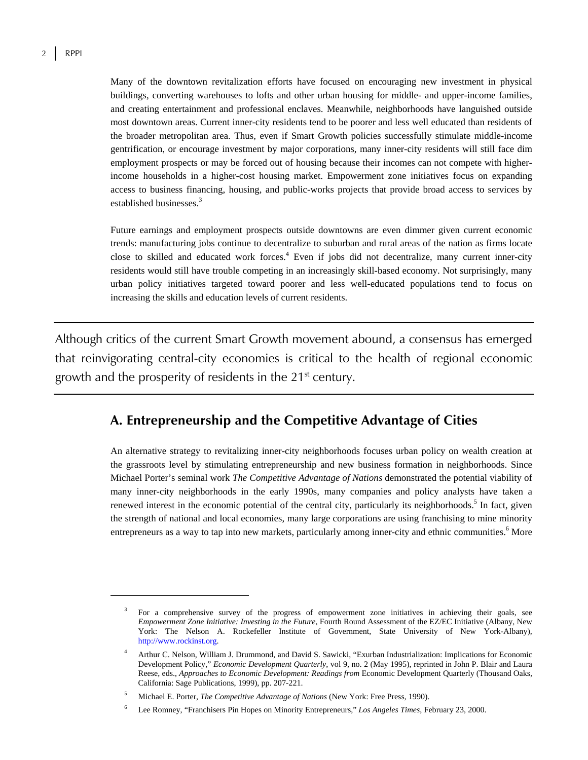$\overline{a}$ 

Many of the downtown revitalization efforts have focused on encouraging new investment in physical buildings, converting warehouses to lofts and other urban housing for middle- and upper-income families, and creating entertainment and professional enclaves. Meanwhile, neighborhoods have languished outside most downtown areas. Current inner-city residents tend to be poorer and less well educated than residents of the broader metropolitan area. Thus, even if Smart Growth policies successfully stimulate middle-income gentrification, or encourage investment by major corporations, many inner-city residents will still face dim employment prospects or may be forced out of housing because their incomes can not compete with higherincome households in a higher-cost housing market. Empowerment zone initiatives focus on expanding access to business financing, housing, and public-works projects that provide broad access to services by established businesses.<sup>3</sup>

Future earnings and employment prospects outside downtowns are even dimmer given current economic trends: manufacturing jobs continue to decentralize to suburban and rural areas of the nation as firms locate close to skilled and educated work forces.<sup>4</sup> Even if jobs did not decentralize, many current inner-city residents would still have trouble competing in an increasingly skill-based economy. Not surprisingly, many urban policy initiatives targeted toward poorer and less well-educated populations tend to focus on increasing the skills and education levels of current residents.

Although critics of the current Smart Growth movement abound, a consensus has emerged that reinvigorating central-city economies is critical to the health of regional economic growth and the prosperity of residents in the 21<sup>st</sup> century.

## **A. Entrepreneurship and the Competitive Advantage of Cities**

An alternative strategy to revitalizing inner-city neighborhoods focuses urban policy on wealth creation at the grassroots level by stimulating entrepreneurship and new business formation in neighborhoods. Since Michael Porter's seminal work *The Competitive Advantage of Nations* demonstrated the potential viability of many inner-city neighborhoods in the early 1990s, many companies and policy analysts have taken a renewed interest in the economic potential of the central city, particularly its neighborhoods.<sup>5</sup> In fact, given the strength of national and local economies, many large corporations are using franchising to mine minority entrepreneurs as a way to tap into new markets, particularly among inner-city and ethnic communities.<sup>6</sup> More

<sup>3</sup> For a comprehensive survey of the progress of empowerment zone initiatives in achieving their goals, see *Empowerment Zone Initiative: Investing in the Future*, Fourth Round Assessment of the EZ/EC Initiative (Albany, New York: The Nelson A. Rockefeller Institute of Government, State University of New York-Albany), http://www.rockinst.org.

<sup>4</sup> Arthur C. Nelson, William J. Drummond, and David S. Sawicki, "Exurban Industrialization: Implications for Economic Development Policy," *Economic Development Quarterly*, vol 9, no. 2 (May 1995), reprinted in John P. Blair and Laura Reese, eds., *Approaches to Economic Development: Readings from* Economic Development Quarterly (Thousand Oaks, California: Sage Publications, 1999), pp. 207-221.

<sup>5</sup> Michael E. Porter, *The Competitive Advantage of Nations* (New York: Free Press, 1990).

<sup>6</sup> Lee Romney, "Franchisers Pin Hopes on Minority Entrepreneurs," *Los Angeles Times*, February 23, 2000.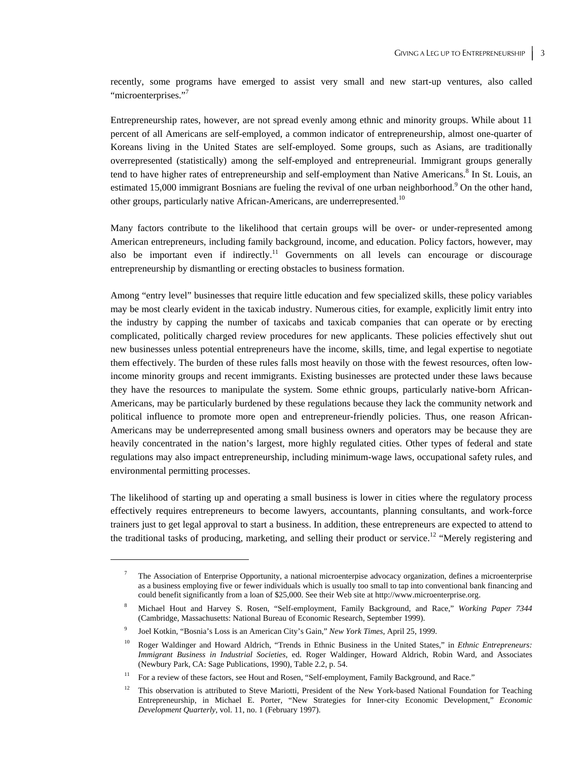recently, some programs have emerged to assist very small and new start-up ventures, also called "microenterprises."<sup>7</sup>

Entrepreneurship rates, however, are not spread evenly among ethnic and minority groups. While about 11 percent of all Americans are self-employed, a common indicator of entrepreneurship, almost one-quarter of Koreans living in the United States are self-employed. Some groups, such as Asians, are traditionally overrepresented (statistically) among the self-employed and entrepreneurial. Immigrant groups generally tend to have higher rates of entrepreneurship and self-employment than Native Americans.<sup>8</sup> In St. Louis, an estimated 15,000 immigrant Bosnians are fueling the revival of one urban neighborhood.<sup>9</sup> On the other hand, other groups, particularly native African-Americans, are underrepresented.<sup>10</sup>

Many factors contribute to the likelihood that certain groups will be over- or under-represented among American entrepreneurs, including family background, income, and education. Policy factors, however, may also be important even if indirectly.<sup>11</sup> Governments on all levels can encourage or discourage entrepreneurship by dismantling or erecting obstacles to business formation.

Among "entry level" businesses that require little education and few specialized skills, these policy variables may be most clearly evident in the taxicab industry. Numerous cities, for example, explicitly limit entry into the industry by capping the number of taxicabs and taxicab companies that can operate or by erecting complicated, politically charged review procedures for new applicants. These policies effectively shut out new businesses unless potential entrepreneurs have the income, skills, time, and legal expertise to negotiate them effectively. The burden of these rules falls most heavily on those with the fewest resources, often lowincome minority groups and recent immigrants. Existing businesses are protected under these laws because they have the resources to manipulate the system. Some ethnic groups, particularly native-born African-Americans, may be particularly burdened by these regulations because they lack the community network and political influence to promote more open and entrepreneur-friendly policies. Thus, one reason African-Americans may be underrepresented among small business owners and operators may be because they are heavily concentrated in the nation's largest, more highly regulated cities. Other types of federal and state regulations may also impact entrepreneurship, including minimum-wage laws, occupational safety rules, and environmental permitting processes.

The likelihood of starting up and operating a small business is lower in cities where the regulatory process effectively requires entrepreneurs to become lawyers, accountants, planning consultants, and work-force trainers just to get legal approval to start a business. In addition, these entrepreneurs are expected to attend to the traditional tasks of producing, marketing, and selling their product or service.<sup>12</sup> "Merely registering and

<sup>7</sup> The Association of Enterprise Opportunity, a national microenterpise advocacy organization, defines a microenterprise as a business employing five or fewer individuals which is usually too small to tap into conventional bank financing and could benefit significantly from a loan of \$25,000. See their Web site at http://www.microenterprise.org.

<sup>8</sup> Michael Hout and Harvey S. Rosen, "Self-employment, Family Background, and Race," *Working Paper 7344* (Cambridge, Massachusetts: National Bureau of Economic Research, September 1999).

<sup>9</sup> Joel Kotkin, "Bosnia's Loss is an American City's Gain," *New York Times*, April 25, 1999.

<sup>10</sup> Roger Waldinger and Howard Aldrich, "Trends in Ethnic Business in the United States," in *Ethnic Entrepreneurs: Immigrant Business in Industrial Societies*, ed. Roger Waldinger, Howard Aldrich, Robin Ward, and Associates (Newbury Park, CA: Sage Publications, 1990), Table 2.2, p. 54.

<sup>&</sup>lt;sup>11</sup> For a review of these factors, see Hout and Rosen, "Self-employment, Family Background, and Race."

<sup>&</sup>lt;sup>12</sup> This observation is attributed to Steve Mariotti, President of the New York-based National Foundation for Teaching Entrepreneurship, in Michael E. Porter, "New Strategies for Inner-city Economic Development," *Economic Development Quarterly*, vol. 11, no. 1 (February 1997).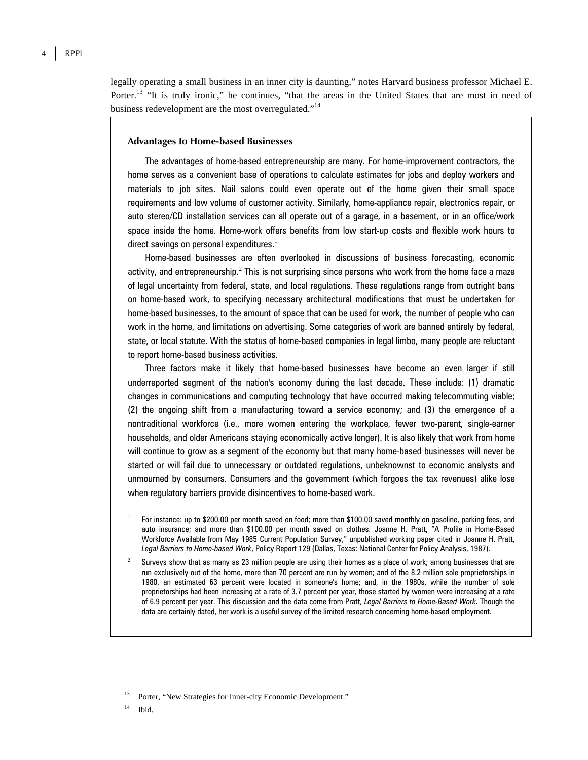legally operating a small business in an inner city is daunting," notes Harvard business professor Michael E. Porter.<sup>13</sup> "It is truly ironic," he continues, "that the areas in the United States that are most in need of business redevelopment are the most overregulated."<sup>14</sup>

#### **Advantages to Home-based Businesses**

The advantages of home-based entrepreneurship are many. For home-improvement contractors, the home serves as a convenient base of operations to calculate estimates for jobs and deploy workers and materials to job sites. Nail salons could even operate out of the home given their small space requirements and low volume of customer activity. Similarly, home-appliance repair, electronics repair, or auto stereo/CD installation services can all operate out of a garage, in a basement, or in an office/work space inside the home. Home-work offers benefits from low start-up costs and flexible work hours to direct savings on personal expenditures. $^{\mathrm{1}}$ 

Home-based businesses are often overlooked in discussions of business forecasting, economic activity, and entrepreneurship. $^2$  This is not surprising since persons who work from the home face a maze of legal uncertainty from federal, state, and local regulations. These regulations range from outright bans on home-based work, to specifying necessary architectural modifications that must be undertaken for home-based businesses, to the amount of space that can be used for work, the number of people who can work in the home, and limitations on advertising. Some categories of work are banned entirely by federal, state, or local statute. With the status of home-based companies in legal limbo, many people are reluctant to report home-based business activities.

Three factors make it likely that home-based businesses have become an even larger if still underreported segment of the nation's economy during the last decade. These include: (1) dramatic changes in communications and computing technology that have occurred making telecommuting viable; (2) the ongoing shift from a manufacturing toward a service economy; and (3) the emergence of a nontraditional workforce (i.e., more women entering the workplace, fewer two-parent, single-earner households, and older Americans staying economically active longer). It is also likely that work from home will continue to grow as a segment of the economy but that many home-based businesses will never be started or will fail due to unnecessary or outdated regulations, unbeknownst to economic analysts and unmourned by consumers. Consumers and the government (which forgoes the tax revenues) alike lose when regulatory barriers provide disincentives to home-based work.

- 1 For instance: up to \$200.00 per month saved on food; more than \$100.00 saved monthly on gasoline, parking fees, and auto insurance; and more than \$100.00 per month saved on clothes. Joanne H. Pratt, "A Profile in Home-Based Workforce Available from May 1985 Current Population Survey," unpublished working paper cited in Joanne H. Pratt, *Legal Barriers to Home-based Work*, Policy Report 129 (Dallas, Texas: National Center for Policy Analysis, 1987).
- 2 Surveys show that as many as 23 million people are using their homes as a place of work; among businesses that are run exclusively out of the home, more than 70 percent are run by women; and of the 8.2 million sole proprietorships in 1980, an estimated 63 percent were located in someone's home; and, in the 1980s, while the number of sole proprietorships had been increasing at a rate of 3.7 percent per year, those started by women were increasing at a rate of 6.9 percent per year. This discussion and the data come from Pratt, *Legal Barriers to Home-Based Work*. Though the data are certainly dated, her work is a useful survey of the limited research concerning home-based employment.

Porter, "New Strategies for Inner-city Economic Development."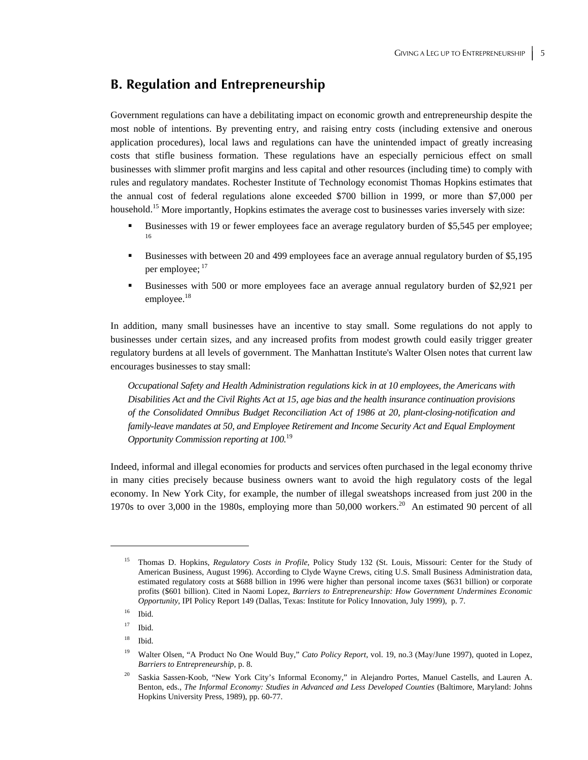### **B. Regulation and Entrepreneurship**

Government regulations can have a debilitating impact on economic growth and entrepreneurship despite the most noble of intentions. By preventing entry, and raising entry costs (including extensive and onerous application procedures), local laws and regulations can have the unintended impact of greatly increasing costs that stifle business formation. These regulations have an especially pernicious effect on small businesses with slimmer profit margins and less capital and other resources (including time) to comply with rules and regulatory mandates. Rochester Institute of Technology economist Thomas Hopkins estimates that the annual cost of federal regulations alone exceeded \$700 billion in 1999, or more than \$7,000 per household.<sup>15</sup> More importantly, Hopkins estimates the average cost to businesses varies inversely with size:

- Businesses with 19 or fewer employees face an average regulatory burden of \$5,545 per employee; 16
- Businesses with between 20 and 499 employees face an average annual regulatory burden of \$5,195 per employee;  $17$
- Businesses with 500 or more employees face an average annual regulatory burden of \$2,921 per employee.<sup>18</sup>

In addition, many small businesses have an incentive to stay small. Some regulations do not apply to businesses under certain sizes, and any increased profits from modest growth could easily trigger greater regulatory burdens at all levels of government. The Manhattan Institute's Walter Olsen notes that current law encourages businesses to stay small:

*Occupational Safety and Health Administration regulations kick in at 10 employees, the Americans with Disabilities Act and the Civil Rights Act at 15, age bias and the health insurance continuation provisions of the Consolidated Omnibus Budget Reconciliation Act of 1986 at 20, plant-closing-notification and family-leave mandates at 50, and Employee Retirement and Income Security Act and Equal Employment Opportunity Commission reporting at 100.*<sup>19</sup>

Indeed, informal and illegal economies for products and services often purchased in the legal economy thrive in many cities precisely because business owners want to avoid the high regulatory costs of the legal economy. In New York City, for example, the number of illegal sweatshops increased from just 200 in the 1970s to over 3,000 in the 1980s, employing more than 50,000 workers.<sup>20</sup> An estimated 90 percent of all

 $\overline{a}$ 

18 Ibid.

<sup>15</sup> Thomas D. Hopkins, *Regulatory Costs in Profile*, Policy Study 132 (St. Louis, Missouri: Center for the Study of American Business, August 1996). According to Clyde Wayne Crews, citing U.S. Small Business Administration data, estimated regulatory costs at \$688 billion in 1996 were higher than personal income taxes (\$631 billion) or corporate profits (\$601 billion). Cited in Naomi Lopez, *Barriers to Entrepreneurship: How Government Undermines Economic Opportunity*, IPI Policy Report 149 (Dallas, Texas: Institute for Policy Innovation, July 1999), p. 7.

<sup>16</sup> Ibid.

 $17$  Ibid.

<sup>19</sup> Walter Olsen, "A Product No One Would Buy," *Cato Policy Report,* vol. 19, no.3 (May/June 1997), quoted in Lopez, *Barriers to Entrepreneurship*, p. 8.

<sup>20</sup> Saskia Sassen-Koob, "New York City's Informal Economy," in Alejandro Portes, Manuel Castells, and Lauren A. Benton, eds., *The Informal Economy: Studies in Advanced and Less Developed Counties* (Baltimore, Maryland: Johns Hopkins University Press, 1989), pp. 60-77.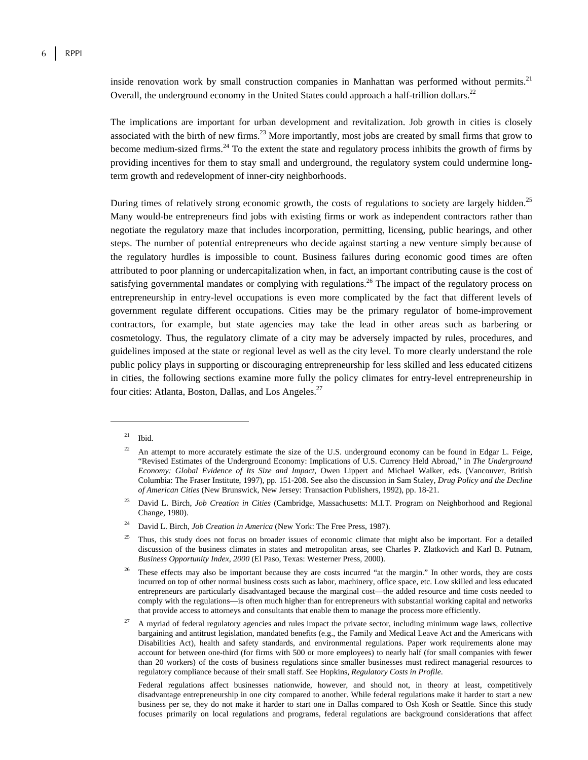inside renovation work by small construction companies in Manhattan was performed without permits.<sup>21</sup> Overall, the underground economy in the United States could approach a half-trillion dollars.<sup>22</sup>

The implications are important for urban development and revitalization. Job growth in cities is closely associated with the birth of new firms.<sup>23</sup> More importantly, most jobs are created by small firms that grow to become medium-sized firms.24 To the extent the state and regulatory process inhibits the growth of firms by providing incentives for them to stay small and underground, the regulatory system could undermine longterm growth and redevelopment of inner-city neighborhoods.

During times of relatively strong economic growth, the costs of regulations to society are largely hidden.<sup>25</sup> Many would-be entrepreneurs find jobs with existing firms or work as independent contractors rather than negotiate the regulatory maze that includes incorporation, permitting, licensing, public hearings, and other steps. The number of potential entrepreneurs who decide against starting a new venture simply because of the regulatory hurdles is impossible to count. Business failures during economic good times are often attributed to poor planning or undercapitalization when, in fact, an important contributing cause is the cost of satisfying governmental mandates or complying with regulations.<sup>26</sup> The impact of the regulatory process on entrepreneurship in entry-level occupations is even more complicated by the fact that different levels of government regulate different occupations. Cities may be the primary regulator of home-improvement contractors, for example, but state agencies may take the lead in other areas such as barbering or cosmetology. Thus, the regulatory climate of a city may be adversely impacted by rules, procedures, and guidelines imposed at the state or regional level as well as the city level. To more clearly understand the role public policy plays in supporting or discouraging entrepreneurship for less skilled and less educated citizens in cities, the following sections examine more fully the policy climates for entry-level entrepreneurship in four cities: Atlanta, Boston, Dallas, and Los Angeles.<sup>27</sup>

 $21$  Ibid.

<sup>22</sup> An attempt to more accurately estimate the size of the U.S. underground economy can be found in Edgar L. Feige, "Revised Estimates of the Underground Economy: Implications of U.S. Currency Held Abroad," in *The Underground Economy: Global Evidence of Its Size and Impact*, Owen Lippert and Michael Walker, eds. (Vancouver, British Columbia: The Fraser Institute, 1997), pp. 151-208. See also the discussion in Sam Staley, *Drug Policy and the Decline of American Cities* (New Brunswick, New Jersey: Transaction Publishers, 1992), pp. 18-21.

<sup>23</sup> David L. Birch, *Job Creation in Cities* (Cambridge, Massachusetts: M.I.T. Program on Neighborhood and Regional Change, 1980).

<sup>24</sup> David L. Birch, *Job Creation in America* (New York: The Free Press, 1987).

 $25$  Thus, this study does not focus on broader issues of economic climate that might also be important. For a detailed discussion of the business climates in states and metropolitan areas, see Charles P. Zlatkovich and Karl B. Putnam, *Business Opportunity Index, 2000* (El Paso, Texas: Westerner Press, 2000).

These effects may also be important because they are costs incurred "at the margin." In other words, they are costs incurred on top of other normal business costs such as labor, machinery, office space, etc. Low skilled and less educated entrepreneurs are particularly disadvantaged because the marginal cost—the added resource and time costs needed to comply with the regulations—is often much higher than for entrepreneurs with substantial working capital and networks that provide access to attorneys and consultants that enable them to manage the process more efficiently.

<sup>27</sup> A myriad of federal regulatory agencies and rules impact the private sector, including minimum wage laws, collective bargaining and antitrust legislation, mandated benefits (e.g., the Family and Medical Leave Act and the Americans with Disabilities Act), health and safety standards, and environmental regulations. Paper work requirements alone may account for between one-third (for firms with 500 or more employees) to nearly half (for small companies with fewer than 20 workers) of the costs of business regulations since smaller businesses must redirect managerial resources to regulatory compliance because of their small staff. See Hopkins, *Regulatory Costs in Profile*.

Federal regulations affect businesses nationwide, however, and should not, in theory at least, competitively disadvantage entrepreneurship in one city compared to another. While federal regulations make it harder to start a new business per se, they do not make it harder to start one in Dallas compared to Osh Kosh or Seattle. Since this study focuses primarily on local regulations and programs, federal regulations are background considerations that affect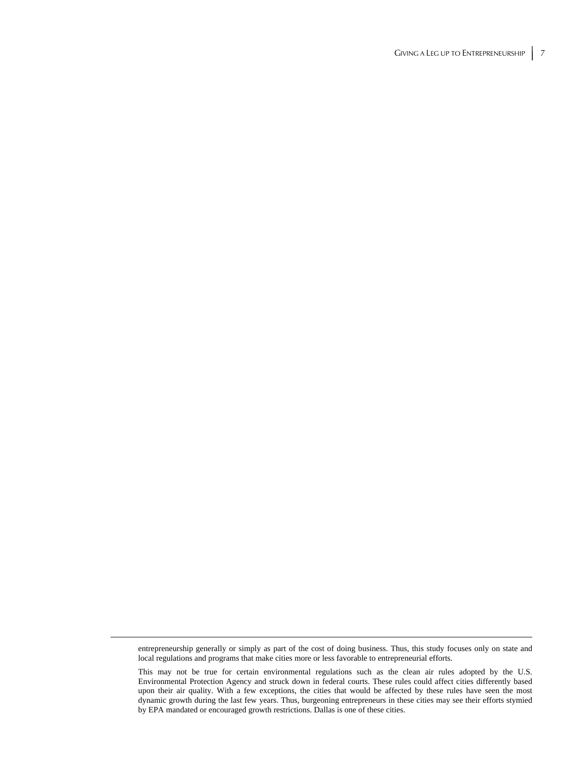entrepreneurship generally or simply as part of the cost of doing business. Thus, this study focuses only on state and local regulations and programs that make cities more or less favorable to entrepreneurial efforts.

This may not be true for certain environmental regulations such as the clean air rules adopted by the U.S. Environmental Protection Agency and struck down in federal courts. These rules could affect cities differently based upon their air quality. With a few exceptions, the cities that would be affected by these rules have seen the most dynamic growth during the last few years. Thus, burgeoning entrepreneurs in these cities may see their efforts stymied by EPA mandated or encouraged growth restrictions. Dallas is one of these cities.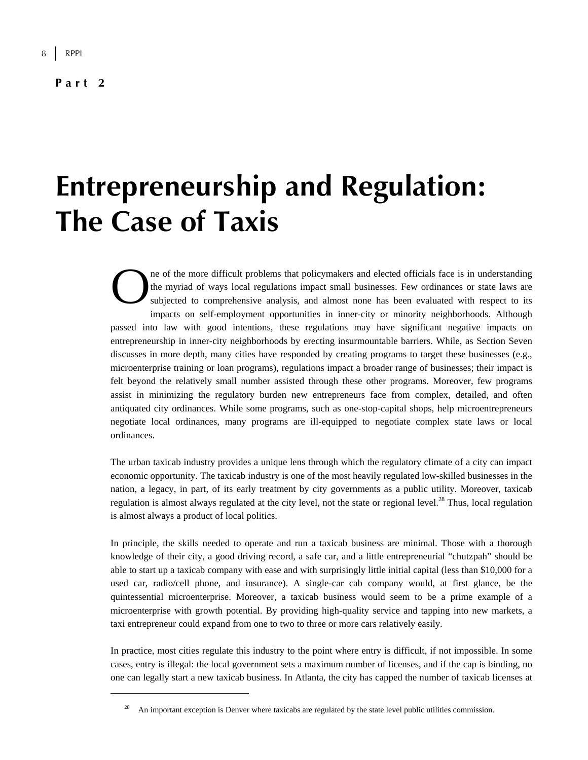**Part 2** 

 $\overline{a}$ 

## **Entrepreneurship and Regulation: The Case of Taxis**

ne of the more difficult problems that policymakers and elected officials face is in understanding the myriad of ways local regulations impact small businesses. Few ordinances or state laws are subjected to comprehensive analysis, and almost none has been evaluated with respect to its impacts on self-employment opportunities in inner-city or minority neighborhoods. Although passed into law with good intentions, these regulations may have significant negative impacts on entrepreneurship in inner-city neighborhoods by erecting insurmountable barriers. While, as Section Seven discusses in more depth, many cities have responded by creating programs to target these businesses (e.g., microenterprise training or loan programs), regulations impact a broader range of businesses; their impact is felt beyond the relatively small number assisted through these other programs. Moreover, few programs assist in minimizing the regulatory burden new entrepreneurs face from complex, detailed, and often antiquated city ordinances. While some programs, such as one-stop-capital shops, help microentrepreneurs negotiate local ordinances, many programs are ill-equipped to negotiate complex state laws or local ordinances.  $\sum_{\substack{\text{the} \\ \text{sub}}}$ 

The urban taxicab industry provides a unique lens through which the regulatory climate of a city can impact economic opportunity. The taxicab industry is one of the most heavily regulated low-skilled businesses in the nation, a legacy, in part, of its early treatment by city governments as a public utility. Moreover, taxicab regulation is almost always regulated at the city level, not the state or regional level.<sup>28</sup> Thus, local regulation is almost always a product of local politics.

In principle, the skills needed to operate and run a taxicab business are minimal. Those with a thorough knowledge of their city, a good driving record, a safe car, and a little entrepreneurial "chutzpah" should be able to start up a taxicab company with ease and with surprisingly little initial capital (less than \$10,000 for a used car, radio/cell phone, and insurance). A single-car cab company would, at first glance, be the quintessential microenterprise. Moreover, a taxicab business would seem to be a prime example of a microenterprise with growth potential. By providing high-quality service and tapping into new markets, a taxi entrepreneur could expand from one to two to three or more cars relatively easily.

In practice, most cities regulate this industry to the point where entry is difficult, if not impossible. In some cases, entry is illegal: the local government sets a maximum number of licenses, and if the cap is binding, no one can legally start a new taxicab business. In Atlanta, the city has capped the number of taxicab licenses at

<sup>28</sup> An important exception is Denver where taxicabs are regulated by the state level public utilities commission.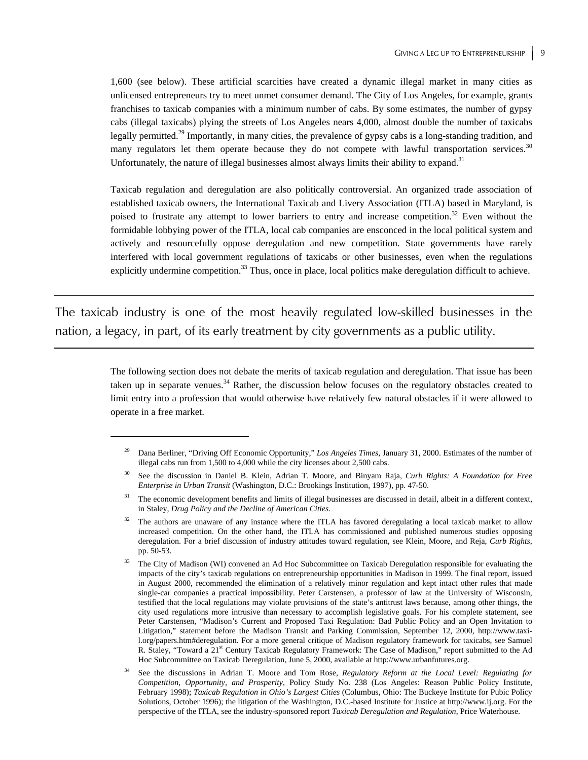1,600 (see below). These artificial scarcities have created a dynamic illegal market in many cities as unlicensed entrepreneurs try to meet unmet consumer demand. The City of Los Angeles, for example, grants franchises to taxicab companies with a minimum number of cabs. By some estimates, the number of gypsy cabs (illegal taxicabs) plying the streets of Los Angeles nears 4,000, almost double the number of taxicabs legally permitted.<sup>29</sup> Importantly, in many cities, the prevalence of gypsy cabs is a long-standing tradition, and many regulators let them operate because they do not compete with lawful transportation services.<sup>30</sup> Unfortunately, the nature of illegal businesses almost always limits their ability to expand.<sup>31</sup>

Taxicab regulation and deregulation are also politically controversial. An organized trade association of established taxicab owners, the International Taxicab and Livery Association (ITLA) based in Maryland, is poised to frustrate any attempt to lower barriers to entry and increase competition.<sup>32</sup> Even without the formidable lobbying power of the ITLA, local cab companies are ensconced in the local political system and actively and resourcefully oppose deregulation and new competition. State governments have rarely interfered with local government regulations of taxicabs or other businesses, even when the regulations explicitly undermine competition.<sup>33</sup> Thus, once in place, local politics make deregulation difficult to achieve.

The taxicab industry is one of the most heavily regulated low-skilled businesses in the nation, a legacy, in part, of its early treatment by city governments as a public utility.

 $\overline{a}$ 

The following section does not debate the merits of taxicab regulation and deregulation. That issue has been taken up in separate venues. $34$  Rather, the discussion below focuses on the regulatory obstacles created to limit entry into a profession that would otherwise have relatively few natural obstacles if it were allowed to operate in a free market.

<sup>29</sup> Dana Berliner, "Driving Off Economic Opportunity," *Los Angeles Times*, January 31, 2000. Estimates of the number of illegal cabs run from 1,500 to 4,000 while the city licenses about 2,500 cabs.

<sup>30</sup> See the discussion in Daniel B. Klein, Adrian T. Moore, and Binyam Raja, *Curb Rights: A Foundation for Free Enterprise in Urban Transit* (Washington, D.C.: Brookings Institution, 1997), pp. 47-50.

<sup>&</sup>lt;sup>31</sup> The economic development benefits and limits of illegal businesses are discussed in detail, albeit in a different context, in Staley, *Drug Policy and the Decline of American Cities*.

<sup>32</sup> The authors are unaware of any instance where the ITLA has favored deregulating a local taxicab market to allow increased competition. On the other hand, the ITLA has commissioned and published numerous studies opposing deregulation. For a brief discussion of industry attitudes toward regulation, see Klein, Moore, and Reja, *Curb Rights*, pp. 50-53.

<sup>33</sup> The City of Madison (WI) convened an Ad Hoc Subcommittee on Taxicab Deregulation responsible for evaluating the impacts of the city's taxicab regulations on entrepreneurship opportunities in Madison in 1999. The final report, issued in August 2000, recommended the elimination of a relatively minor regulation and kept intact other rules that made single-car companies a practical impossibility. Peter Carstensen, a professor of law at the University of Wisconsin, testified that the local regulations may violate provisions of the state's antitrust laws because, among other things, the city used regulations more intrusive than necessary to accomplish legislative goals. For his complete statement, see Peter Carstensen, "Madison's Current and Proposed Taxi Regulation: Bad Public Policy and an Open Invitation to Litigation," statement before the Madison Transit and Parking Commission, September 12, 2000, http://www.taxil.org/papers.htm#deregulation. For a more general critique of Madison regulatory framework for taxicabs, see Samuel R. Staley, "Toward a 21<sup>st</sup> Century Taxicab Regulatory Framework: The Case of Madison," report submitted to the Ad Hoc Subcommittee on Taxicab Deregulation, June 5, 2000, available at http://www.urbanfutures.org.

<sup>34</sup> See the discussions in Adrian T. Moore and Tom Rose, *Regulatory Reform at the Local Level: Regulating for Competition, Opportunity, and Prosperity*, Policy Study No. 238 (Los Angeles: Reason Public Policy Institute, February 1998); *Taxicab Regulation in Ohio's Largest Cities* (Columbus, Ohio: The Buckeye Institute for Pubic Policy Solutions, October 1996); the litigation of the Washington, D.C.-based Institute for Justice at http://www.ij.org. For the perspective of the ITLA, see the industry-sponsored report *Taxicab Deregulation and Regulation*, Price Waterhouse.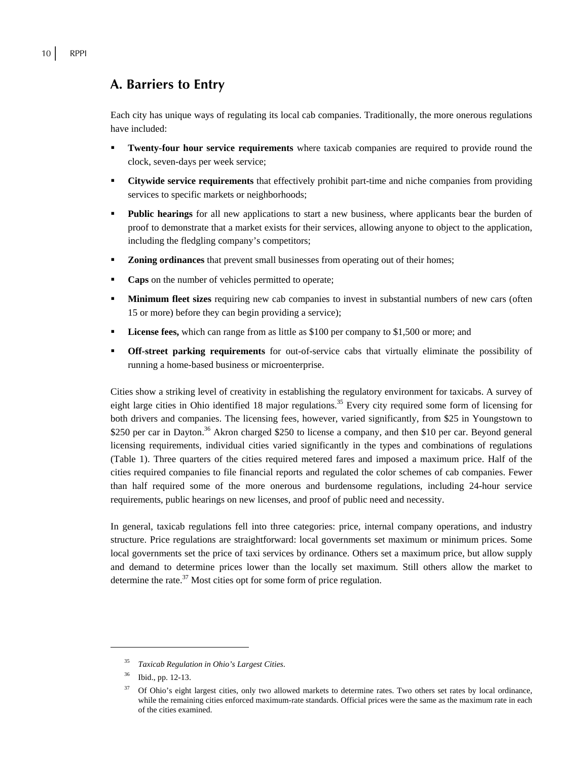## **A. Barriers to Entry**

Each city has unique ways of regulating its local cab companies. Traditionally, the more onerous regulations have included:

- **Twenty-four hour service requirements** where taxicab companies are required to provide round the clock, seven-days per week service;
- **Citywide service requirements** that effectively prohibit part-time and niche companies from providing services to specific markets or neighborhoods;
- **Public hearings** for all new applications to start a new business, where applicants bear the burden of proof to demonstrate that a market exists for their services, allowing anyone to object to the application, including the fledgling company's competitors;
- **Zoning ordinances** that prevent small businesses from operating out of their homes;
- **Caps** on the number of vehicles permitted to operate;
- **Minimum fleet sizes** requiring new cab companies to invest in substantial numbers of new cars (often 15 or more) before they can begin providing a service);
- **License fees,** which can range from as little as \$100 per company to \$1,500 or more; and
- **Off-street parking requirements** for out-of-service cabs that virtually eliminate the possibility of running a home-based business or microenterprise.

Cities show a striking level of creativity in establishing the regulatory environment for taxicabs. A survey of eight large cities in Ohio identified 18 major regulations.<sup>35</sup> Every city required some form of licensing for both drivers and companies. The licensing fees, however, varied significantly, from \$25 in Youngstown to \$250 per car in Dayton.<sup>36</sup> Akron charged \$250 to license a company, and then \$10 per car. Beyond general licensing requirements, individual cities varied significantly in the types and combinations of regulations (Table 1). Three quarters of the cities required metered fares and imposed a maximum price. Half of the cities required companies to file financial reports and regulated the color schemes of cab companies. Fewer than half required some of the more onerous and burdensome regulations, including 24-hour service requirements, public hearings on new licenses, and proof of public need and necessity.

In general, taxicab regulations fell into three categories: price, internal company operations, and industry structure. Price regulations are straightforward: local governments set maximum or minimum prices. Some local governments set the price of taxi services by ordinance. Others set a maximum price, but allow supply and demand to determine prices lower than the locally set maximum. Still others allow the market to determine the rate. $37$  Most cities opt for some form of price regulation.

1

<sup>35</sup> *Taxicab Regulation in Ohio's Largest Cities*.

Ibid., pp. 12-13.

<sup>37</sup> Of Ohio's eight largest cities, only two allowed markets to determine rates. Two others set rates by local ordinance, while the remaining cities enforced maximum-rate standards. Official prices were the same as the maximum rate in each of the cities examined.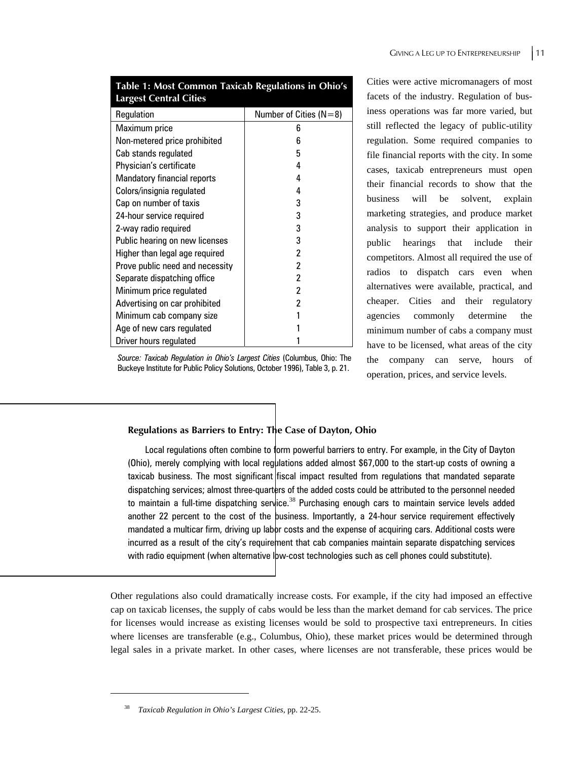| <b>Largest Central Cities</b>      |                            |
|------------------------------------|----------------------------|
| Regulation                         | Number of Cities ( $N=8$ ) |
| Maximum price                      | 6                          |
| Non-metered price prohibited       | 6                          |
| Cab stands regulated               | 5                          |
| Physician's certificate            | 4                          |
| <b>Mandatory financial reports</b> | 4                          |
| Colors/insignia regulated          | 4                          |
| Cap on number of taxis             | 3                          |
| 24-hour service required           | 3                          |
| 2-way radio required               | 3                          |
| Public hearing on new licenses     | 3                          |
| Higher than legal age required     | 2                          |
| Prove public need and necessity    | 2                          |
| Separate dispatching office        | 2                          |
| Minimum price regulated            | 2                          |
| Advertising on car prohibited      | 2                          |
| Minimum cab company size           |                            |
| Age of new cars regulated          |                            |
| Driver hours regulated             |                            |

**Table 1: Most Common Taxicab Regulations in Ohio's Largest Central Cities** 

Cities were active micromanagers of most facets of the industry. Regulation of business operations was far more varied, but still reflected the legacy of public-utility regulation. Some required companies to file financial reports with the city. In some cases, taxicab entrepreneurs must open their financial records to show that the business will be solvent, explain marketing strategies, and produce market analysis to support their application in public hearings that include their competitors. Almost all required the use of radios to dispatch cars even when alternatives were available, practical, and cheaper. Cities and their regulatory agencies commonly determine the minimum number of cabs a company must have to be licensed, what areas of the city the company can serve, hours operation, prices, and service levels.

#### **Regulations as Barriers to Entry: The Case of Dayton, Ohio**

Local regulations often combine to form powerful barriers to entry. For example, in the City of Dayton (Ohio), merely complying with local regulations added almost \$67,000 to the start-up costs of owning a taxicab business. The most significant fiscal impact resulted from regulations that mandated separate dispatching services; almost three-quarters of the added costs could be attributed to the personnel needed to maintain a full-time dispatching service.<sup>38</sup> Purchasing enough cars to maintain service levels added another 22 percent to the cost of the business. Importantly, a 24-hour service requirement effectively mandated a multicar firm, driving up labor costs and the expense of acquiring cars. Additional costs were incurred as a result of the city's requirement that cab companies maintain separate dispatching services with radio equipment (when alternative low-cost technologies such as cell phones could substitute).

Other regulations also could dramatically increase costs. For example, if the city had imposed an effective cap on taxicab licenses, the supply of cabs would be less than the market demand for cab services. The price for licenses would increase as existing licenses would be sold to prospective taxi entrepreneurs. In cities where licenses are transferable (e.g., Columbus, Ohio), these market prices would be determined through legal sales in a private market. In other cases, where licenses are not transferable, these prices would be

*Source: Taxicab Regulation in Ohio's Largest Cities* (Columbus, Ohio: The Buckeye Institute for Public Policy Solutions, October 1996), Table 3, p. 21.

<sup>38</sup> *Taxicab Regulation in Ohio's Largest Cities*, pp. 22-25.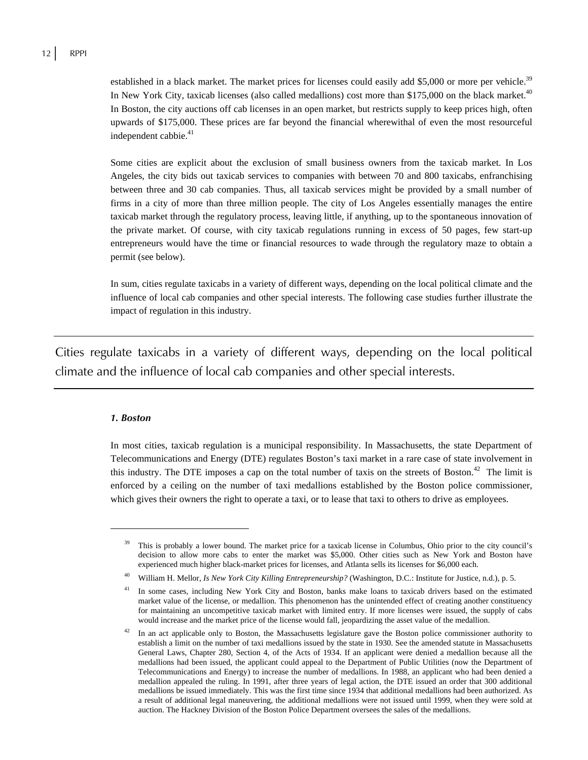established in a black market. The market prices for licenses could easily add \$5,000 or more per vehicle.<sup>39</sup> In New York City, taxicab licenses (also called medallions) cost more than  $$175,000$  on the black market.<sup>40</sup> In Boston, the city auctions off cab licenses in an open market, but restricts supply to keep prices high, often upwards of \$175,000. These prices are far beyond the financial wherewithal of even the most resourceful independent cabbie.<sup>41</sup>

Some cities are explicit about the exclusion of small business owners from the taxicab market. In Los Angeles, the city bids out taxicab services to companies with between 70 and 800 taxicabs, enfranchising between three and 30 cab companies. Thus, all taxicab services might be provided by a small number of firms in a city of more than three million people. The city of Los Angeles essentially manages the entire taxicab market through the regulatory process, leaving little, if anything, up to the spontaneous innovation of the private market. Of course, with city taxicab regulations running in excess of 50 pages, few start-up entrepreneurs would have the time or financial resources to wade through the regulatory maze to obtain a permit (see below).

In sum, cities regulate taxicabs in a variety of different ways, depending on the local political climate and the influence of local cab companies and other special interests. The following case studies further illustrate the impact of regulation in this industry.

Cities regulate taxicabs in a variety of different ways, depending on the local political climate and the influence of local cab companies and other special interests.

#### *1. Boston*

 $\overline{a}$ 

In most cities, taxicab regulation is a municipal responsibility. In Massachusetts, the state Department of Telecommunications and Energy (DTE) regulates Boston's taxi market in a rare case of state involvement in this industry. The DTE imposes a cap on the total number of taxis on the streets of Boston.<sup>42</sup> The limit is enforced by a ceiling on the number of taxi medallions established by the Boston police commissioner, which gives their owners the right to operate a taxi, or to lease that taxi to others to drive as employees.

This is probably a lower bound. The market price for a taxicab license in Columbus, Ohio prior to the city council's decision to allow more cabs to enter the market was \$5,000. Other cities such as New York and Boston have experienced much higher black-market prices for licenses, and Atlanta sells its licenses for \$6,000 each.

<sup>40</sup> William H. Mellor, *Is New York City Killing Entrepreneurship?* (Washington, D.C.: Institute for Justice, n.d.), p. 5.

<sup>&</sup>lt;sup>41</sup> In some cases, including New York City and Boston, banks make loans to taxicab drivers based on the estimated market value of the license, or medallion. This phenomenon has the unintended effect of creating another constituency for maintaining an uncompetitive taxicab market with limited entry. If more licenses were issued, the supply of cabs would increase and the market price of the license would fall, jeopardizing the asset value of the medallion.

In an act applicable only to Boston, the Massachusetts legislature gave the Boston police commissioner authority to establish a limit on the number of taxi medallions issued by the state in 1930. See the amended statute in Massachusetts General Laws, Chapter 280, Section 4, of the Acts of 1934. If an applicant were denied a medallion because all the medallions had been issued, the applicant could appeal to the Department of Public Utilities (now the Department of Telecommunications and Energy) to increase the number of medallions. In 1988, an applicant who had been denied a medallion appealed the ruling. In 1991, after three years of legal action, the DTE issued an order that 300 additional medallions be issued immediately. This was the first time since 1934 that additional medallions had been authorized. As a result of additional legal maneuvering, the additional medallions were not issued until 1999, when they were sold at auction. The Hackney Division of the Boston Police Department oversees the sales of the medallions.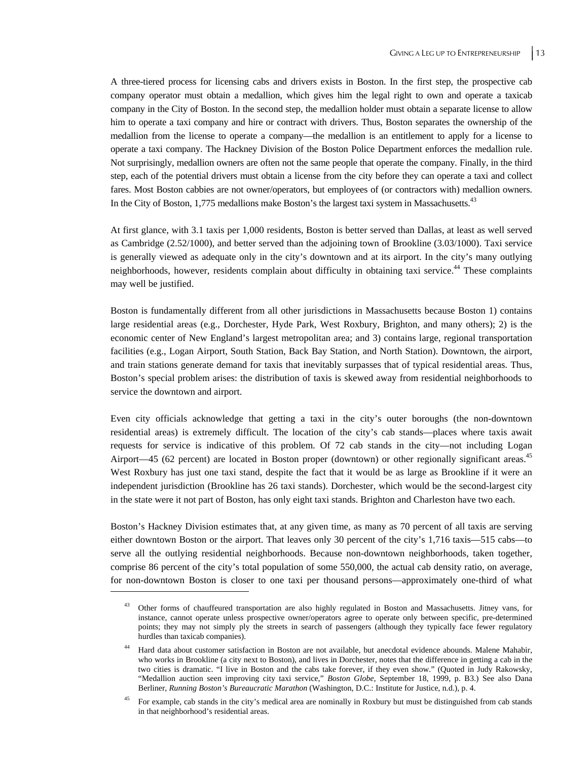A three-tiered process for licensing cabs and drivers exists in Boston. In the first step, the prospective cab company operator must obtain a medallion, which gives him the legal right to own and operate a taxicab company in the City of Boston. In the second step, the medallion holder must obtain a separate license to allow him to operate a taxi company and hire or contract with drivers. Thus, Boston separates the ownership of the medallion from the license to operate a company—the medallion is an entitlement to apply for a license to operate a taxi company. The Hackney Division of the Boston Police Department enforces the medallion rule. Not surprisingly, medallion owners are often not the same people that operate the company. Finally, in the third step, each of the potential drivers must obtain a license from the city before they can operate a taxi and collect fares. Most Boston cabbies are not owner/operators, but employees of (or contractors with) medallion owners. In the City of Boston, 1,775 medallions make Boston's the largest taxi system in Massachusetts.<sup>43</sup>

At first glance, with 3.1 taxis per 1,000 residents, Boston is better served than Dallas, at least as well served as Cambridge (2.52/1000), and better served than the adjoining town of Brookline (3.03/1000). Taxi service is generally viewed as adequate only in the city's downtown and at its airport. In the city's many outlying neighborhoods, however, residents complain about difficulty in obtaining taxi service.44 These complaints may well be justified.

Boston is fundamentally different from all other jurisdictions in Massachusetts because Boston 1) contains large residential areas (e.g., Dorchester, Hyde Park, West Roxbury, Brighton, and many others); 2) is the economic center of New England's largest metropolitan area; and 3) contains large, regional transportation facilities (e.g., Logan Airport, South Station, Back Bay Station, and North Station). Downtown, the airport, and train stations generate demand for taxis that inevitably surpasses that of typical residential areas. Thus, Boston's special problem arises: the distribution of taxis is skewed away from residential neighborhoods to service the downtown and airport.

Even city officials acknowledge that getting a taxi in the city's outer boroughs (the non-downtown residential areas) is extremely difficult. The location of the city's cab stands—places where taxis await requests for service is indicative of this problem. Of 72 cab stands in the city—not including Logan Airport—45 (62 percent) are located in Boston proper (downtown) or other regionally significant areas.<sup>45</sup> West Roxbury has just one taxi stand, despite the fact that it would be as large as Brookline if it were an independent jurisdiction (Brookline has 26 taxi stands). Dorchester, which would be the second-largest city in the state were it not part of Boston, has only eight taxi stands. Brighton and Charleston have two each.

Boston's Hackney Division estimates that, at any given time, as many as 70 percent of all taxis are serving either downtown Boston or the airport. That leaves only 30 percent of the city's 1,716 taxis—515 cabs—to serve all the outlying residential neighborhoods. Because non-downtown neighborhoods, taken together, comprise 86 percent of the city's total population of some 550,000, the actual cab density ratio, on average, for non-downtown Boston is closer to one taxi per thousand persons—approximately one-third of what

<sup>43</sup> Other forms of chauffeured transportation are also highly regulated in Boston and Massachusetts. Jitney vans, for instance, cannot operate unless prospective owner/operators agree to operate only between specific, pre-determined points; they may not simply ply the streets in search of passengers (although they typically face fewer regulatory hurdles than taxicab companies).

<sup>&</sup>lt;sup>44</sup> Hard data about customer satisfaction in Boston are not available, but anecdotal evidence abounds. Malene Mahabir, who works in Brookline (a city next to Boston), and lives in Dorchester, notes that the difference in getting a cab in the two cities is dramatic. "I live in Boston and the cabs take forever, if they even show." (Quoted in Judy Rakowsky, "Medallion auction seen improving city taxi service," *Boston Globe*, September 18, 1999, p. B3.) See also Dana Berliner, *Running Boston's Bureaucratic Marathon* (Washington, D.C.: Institute for Justice, n.d.), p. 4.

<sup>45</sup> For example, cab stands in the city's medical area are nominally in Roxbury but must be distinguished from cab stands in that neighborhood's residential areas.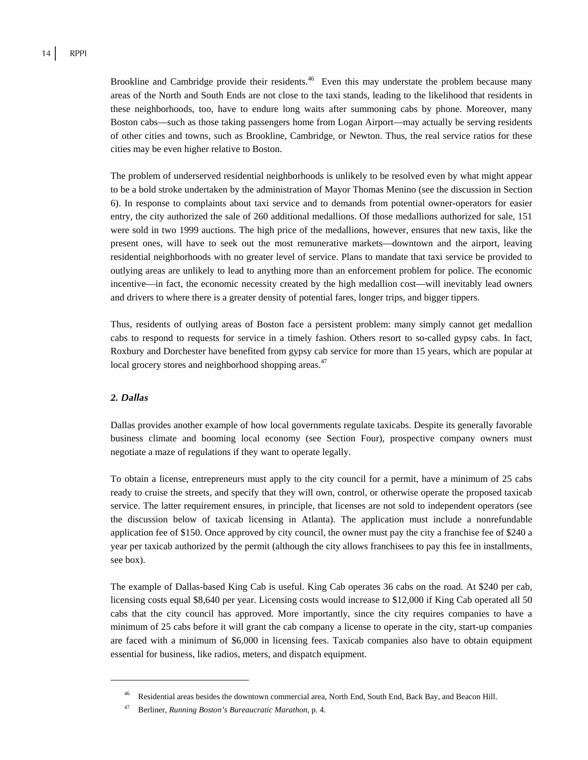Brookline and Cambridge provide their residents.<sup>46</sup> Even this may understate the problem because many areas of the North and South Ends are not close to the taxi stands, leading to the likelihood that residents in these neighborhoods, too, have to endure long waits after summoning cabs by phone. Moreover, many Boston cabs—such as those taking passengers home from Logan Airport—may actually be serving residents of other cities and towns, such as Brookline, Cambridge, or Newton. Thus, the real service ratios for these cities may be even higher relative to Boston.

The problem of underserved residential neighborhoods is unlikely to be resolved even by what might appear to be a bold stroke undertaken by the administration of Mayor Thomas Menino (see the discussion in Section 6). In response to complaints about taxi service and to demands from potential owner-operators for easier entry, the city authorized the sale of 260 additional medallions. Of those medallions authorized for sale, 151 were sold in two 1999 auctions. The high price of the medallions, however, ensures that new taxis, like the present ones, will have to seek out the most remunerative markets—downtown and the airport, leaving residential neighborhoods with no greater level of service. Plans to mandate that taxi service be provided to outlying areas are unlikely to lead to anything more than an enforcement problem for police. The economic incentive—in fact, the economic necessity created by the high medallion cost—will inevitably lead owners and drivers to where there is a greater density of potential fares, longer trips, and bigger tippers.

Thus, residents of outlying areas of Boston face a persistent problem: many simply cannot get medallion cabs to respond to requests for service in a timely fashion. Others resort to so-called gypsy cabs. In fact, Roxbury and Dorchester have benefited from gypsy cab service for more than 15 years, which are popular at local grocery stores and neighborhood shopping areas.<sup>47</sup>

#### *2. Dallas*

 $\overline{a}$ 

Dallas provides another example of how local governments regulate taxicabs. Despite its generally favorable business climate and booming local economy (see Section Four), prospective company owners must negotiate a maze of regulations if they want to operate legally.

To obtain a license, entrepreneurs must apply to the city council for a permit, have a minimum of 25 cabs ready to cruise the streets, and specify that they will own, control, or otherwise operate the proposed taxicab service. The latter requirement ensures, in principle, that licenses are not sold to independent operators (see the discussion below of taxicab licensing in Atlanta). The application must include a nonrefundable application fee of \$150. Once approved by city council, the owner must pay the city a franchise fee of \$240 a year per taxicab authorized by the permit (although the city allows franchisees to pay this fee in installments, see box).

The example of Dallas-based King Cab is useful. King Cab operates 36 cabs on the road. At \$240 per cab, licensing costs equal \$8,640 per year. Licensing costs would increase to \$12,000 if King Cab operated all 50 cabs that the city council has approved. More importantly, since the city requires companies to have a minimum of 25 cabs before it will grant the cab company a license to operate in the city, start-up companies are faced with a minimum of \$6,000 in licensing fees. Taxicab companies also have to obtain equipment essential for business, like radios, meters, and dispatch equipment.

<sup>46</sup> Residential areas besides the downtown commercial area, North End, South End, Back Bay, and Beacon Hill.

<sup>47</sup> Berliner, *Running Boston's Bureaucratic Marathon*, p. 4.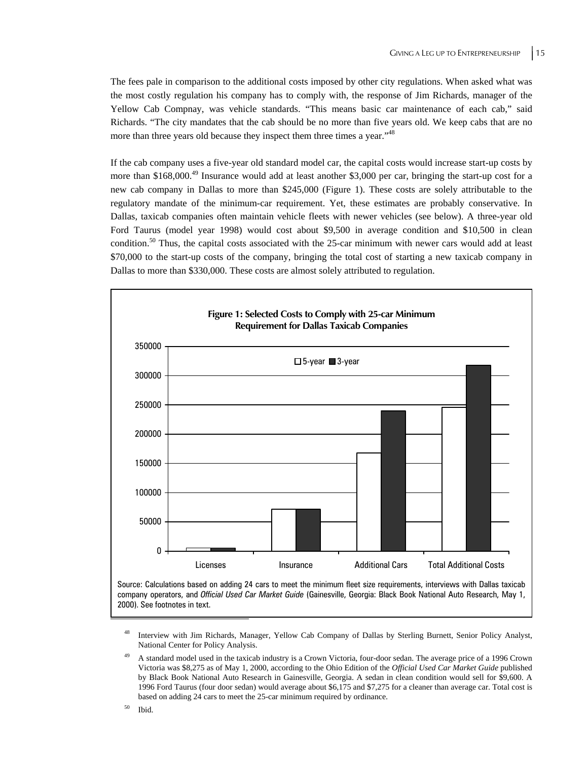The fees pale in comparison to the additional costs imposed by other city regulations. When asked what was the most costly regulation his company has to comply with, the response of Jim Richards, manager of the Yellow Cab Compnay, was vehicle standards. "This means basic car maintenance of each cab," said Richards. "The city mandates that the cab should be no more than five years old. We keep cabs that are no more than three years old because they inspect them three times a year."48

If the cab company uses a five-year old standard model car, the capital costs would increase start-up costs by more than \$168,000.<sup>49</sup> Insurance would add at least another \$3,000 per car, bringing the start-up cost for a new cab company in Dallas to more than \$245,000 (Figure 1). These costs are solely attributable to the regulatory mandate of the minimum-car requirement. Yet, these estimates are probably conservative. In Dallas, taxicab companies often maintain vehicle fleets with newer vehicles (see below). A three-year old Ford Taurus (model year 1998) would cost about \$9,500 in average condition and \$10,500 in clean condition.<sup>50</sup> Thus, the capital costs associated with the 25-car minimum with newer cars would add at least \$70,000 to the start-up costs of the company, bringing the total cost of starting a new taxicab company in Dallas to more than \$330,000. These costs are almost solely attributed to regulation.



company operators, and *Official Used Car Market Guide* (Gainesville, Georgia: Black Book National Auto Research, May 1, 2000). See footnotes in text.

48 Interview with Jim Richards, Manager, Yellow Cab Company of Dallas by Sterling Burnett, Senior Policy Analyst, National Center for Policy Analysis.

<sup>49</sup> A standard model used in the taxicab industry is a Crown Victoria, four-door sedan. The average price of a 1996 Crown Victoria was \$8,275 as of May 1, 2000, according to the Ohio Edition of the *Official Used Car Market Guide* published by Black Book National Auto Research in Gainesville, Georgia. A sedan in clean condition would sell for \$9,600. A 1996 Ford Taurus (four door sedan) would average about \$6,175 and \$7,275 for a cleaner than average car. Total cost is based on adding 24 cars to meet the 25-car minimum required by ordinance.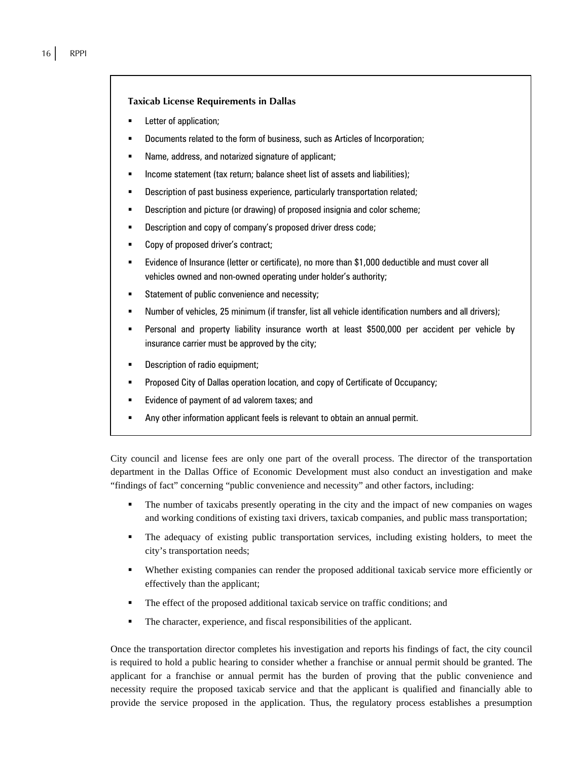#### **Taxicab License Requirements in Dallas**

- Letter of application;
- Documents related to the form of business, such as Articles of Incorporation;
- Name, address, and notarized signature of applicant;
- Income statement (tax return; balance sheet list of assets and liabilities);
- Description of past business experience, particularly transportation related;
- **Description and picture (or drawing) of proposed insignia and color scheme;**
- Description and copy of company's proposed driver dress code;
- Copy of proposed driver's contract;
- Evidence of Insurance (letter or certificate), no more than \$1,000 deductible and must cover all vehicles owned and non-owned operating under holder's authority;
- Statement of public convenience and necessity;
- Number of vehicles, 25 minimum (if transfer, list all vehicle identification numbers and all drivers);
- Personal and property liability insurance worth at least \$500,000 per accident per vehicle by insurance carrier must be approved by the city;
- Description of radio equipment;
- **Proposed City of Dallas operation location, and copy of Certificate of Occupancy;**
- Evidence of payment of ad valorem taxes; and
- Any other information applicant feels is relevant to obtain an annual permit.

City council and license fees are only one part of the overall process. The director of the transportation department in the Dallas Office of Economic Development must also conduct an investigation and make "findings of fact" concerning "public convenience and necessity" and other factors, including:

- The number of taxicabs presently operating in the city and the impact of new companies on wages and working conditions of existing taxi drivers, taxicab companies, and public mass transportation;
- The adequacy of existing public transportation services, including existing holders, to meet the city's transportation needs;
- Whether existing companies can render the proposed additional taxicab service more efficiently or effectively than the applicant;
- The effect of the proposed additional taxicab service on traffic conditions; and
- The character, experience, and fiscal responsibilities of the applicant.

Once the transportation director completes his investigation and reports his findings of fact, the city council is required to hold a public hearing to consider whether a franchise or annual permit should be granted. The applicant for a franchise or annual permit has the burden of proving that the public convenience and necessity require the proposed taxicab service and that the applicant is qualified and financially able to provide the service proposed in the application. Thus, the regulatory process establishes a presumption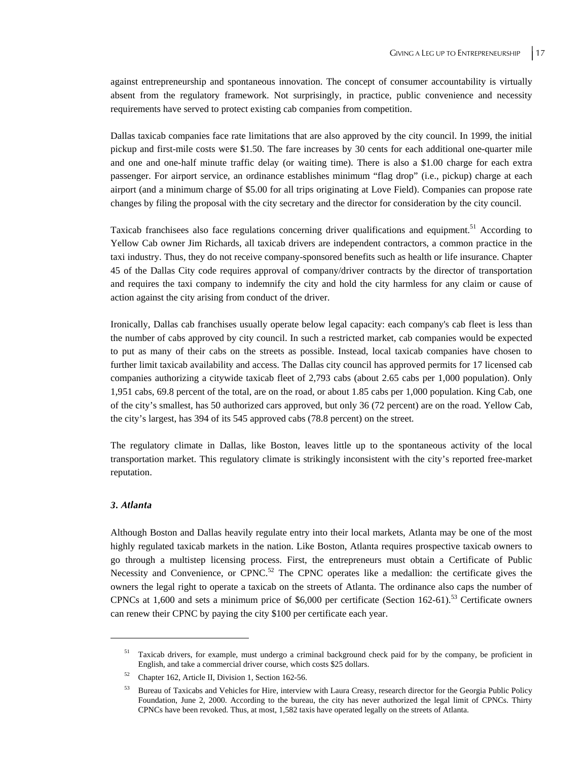against entrepreneurship and spontaneous innovation. The concept of consumer accountability is virtually absent from the regulatory framework. Not surprisingly, in practice, public convenience and necessity requirements have served to protect existing cab companies from competition.

Dallas taxicab companies face rate limitations that are also approved by the city council. In 1999, the initial pickup and first-mile costs were \$1.50. The fare increases by 30 cents for each additional one-quarter mile and one and one-half minute traffic delay (or waiting time). There is also a \$1.00 charge for each extra passenger. For airport service, an ordinance establishes minimum "flag drop" (i.e., pickup) charge at each airport (and a minimum charge of \$5.00 for all trips originating at Love Field). Companies can propose rate changes by filing the proposal with the city secretary and the director for consideration by the city council.

Taxicab franchisees also face regulations concerning driver qualifications and equipment.<sup>51</sup> According to Yellow Cab owner Jim Richards, all taxicab drivers are independent contractors, a common practice in the taxi industry. Thus, they do not receive company-sponsored benefits such as health or life insurance. Chapter 45 of the Dallas City code requires approval of company/driver contracts by the director of transportation and requires the taxi company to indemnify the city and hold the city harmless for any claim or cause of action against the city arising from conduct of the driver.

Ironically, Dallas cab franchises usually operate below legal capacity: each company's cab fleet is less than the number of cabs approved by city council. In such a restricted market, cab companies would be expected to put as many of their cabs on the streets as possible. Instead, local taxicab companies have chosen to further limit taxicab availability and access. The Dallas city council has approved permits for 17 licensed cab companies authorizing a citywide taxicab fleet of 2,793 cabs (about 2.65 cabs per 1,000 population). Only 1,951 cabs, 69.8 percent of the total, are on the road, or about 1.85 cabs per 1,000 population. King Cab, one of the city's smallest, has 50 authorized cars approved, but only 36 (72 percent) are on the road. Yellow Cab, the city's largest, has 394 of its 545 approved cabs (78.8 percent) on the street.

The regulatory climate in Dallas, like Boston, leaves little up to the spontaneous activity of the local transportation market. This regulatory climate is strikingly inconsistent with the city's reported free-market reputation.

#### *3. Atlanta*

 $\overline{a}$ 

Although Boston and Dallas heavily regulate entry into their local markets, Atlanta may be one of the most highly regulated taxicab markets in the nation. Like Boston, Atlanta requires prospective taxicab owners to go through a multistep licensing process. First, the entrepreneurs must obtain a Certificate of Public Necessity and Convenience, or CPNC.<sup>52</sup> The CPNC operates like a medallion: the certificate gives the owners the legal right to operate a taxicab on the streets of Atlanta. The ordinance also caps the number of CPNCs at 1,600 and sets a minimum price of \$6,000 per certificate (Section 162-61).<sup>53</sup> Certificate owners can renew their CPNC by paying the city \$100 per certificate each year.

<sup>51</sup> Taxicab drivers, for example, must undergo a criminal background check paid for by the company, be proficient in English, and take a commercial driver course, which costs \$25 dollars.

<sup>52</sup> Chapter 162, Article II, Division 1, Section 162-56.

<sup>53</sup> Bureau of Taxicabs and Vehicles for Hire, interview with Laura Creasy, research director for the Georgia Public Policy Foundation, June 2, 2000. According to the bureau, the city has never authorized the legal limit of CPNCs. Thirty CPNCs have been revoked. Thus, at most, 1,582 taxis have operated legally on the streets of Atlanta.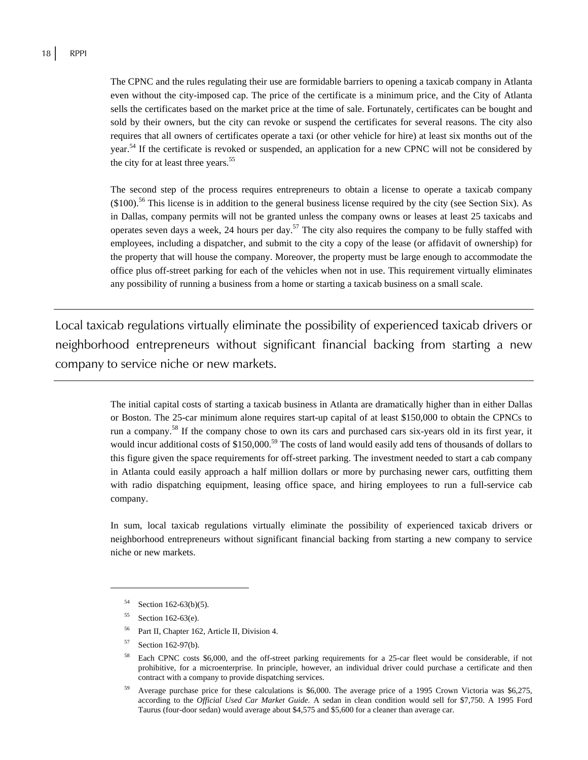The CPNC and the rules regulating their use are formidable barriers to opening a taxicab company in Atlanta even without the city-imposed cap. The price of the certificate is a minimum price, and the City of Atlanta sells the certificates based on the market price at the time of sale. Fortunately, certificates can be bought and sold by their owners, but the city can revoke or suspend the certificates for several reasons. The city also requires that all owners of certificates operate a taxi (or other vehicle for hire) at least six months out of the year.<sup>54</sup> If the certificate is revoked or suspended, an application for a new CPNC will not be considered by the city for at least three years.<sup>55</sup>

The second step of the process requires entrepreneurs to obtain a license to operate a taxicab company (\$100).56 This license is in addition to the general business license required by the city (see Section Six). As in Dallas, company permits will not be granted unless the company owns or leases at least 25 taxicabs and operates seven days a week, 24 hours per day.<sup>57</sup> The city also requires the company to be fully staffed with employees, including a dispatcher, and submit to the city a copy of the lease (or affidavit of ownership) for the property that will house the company. Moreover, the property must be large enough to accommodate the office plus off-street parking for each of the vehicles when not in use. This requirement virtually eliminates any possibility of running a business from a home or starting a taxicab business on a small scale.

Local taxicab regulations virtually eliminate the possibility of experienced taxicab drivers or neighborhood entrepreneurs without significant financial backing from starting a new company to service niche or new markets.

> The initial capital costs of starting a taxicab business in Atlanta are dramatically higher than in either Dallas or Boston. The 25-car minimum alone requires start-up capital of at least \$150,000 to obtain the CPNCs to run a company.58 If the company chose to own its cars and purchased cars six-years old in its first year, it would incur additional costs of \$150,000.<sup>59</sup> The costs of land would easily add tens of thousands of dollars to this figure given the space requirements for off-street parking. The investment needed to start a cab company in Atlanta could easily approach a half million dollars or more by purchasing newer cars, outfitting them with radio dispatching equipment, leasing office space, and hiring employees to run a full-service cab company.

> In sum, local taxicab regulations virtually eliminate the possibility of experienced taxicab drivers or neighborhood entrepreneurs without significant financial backing from starting a new company to service niche or new markets.

1

57 Section 162-97(b).

Section  $162-63(b)(5)$ .

Section 162-63(e).

<sup>&</sup>lt;sup>56</sup> Part II, Chapter 162, Article II, Division 4.

<sup>58</sup> Each CPNC costs \$6,000, and the off-street parking requirements for a 25-car fleet would be considerable, if not prohibitive, for a microenterprise. In principle, however, an individual driver could purchase a certificate and then contract with a company to provide dispatching services.

<sup>59</sup> Average purchase price for these calculations is \$6,000. The average price of a 1995 Crown Victoria was \$6,275, according to the *Official Used Car Market Guide.* A sedan in clean condition would sell for \$7,750. A 1995 Ford Taurus (four-door sedan) would average about \$4,575 and \$5,600 for a cleaner than average car.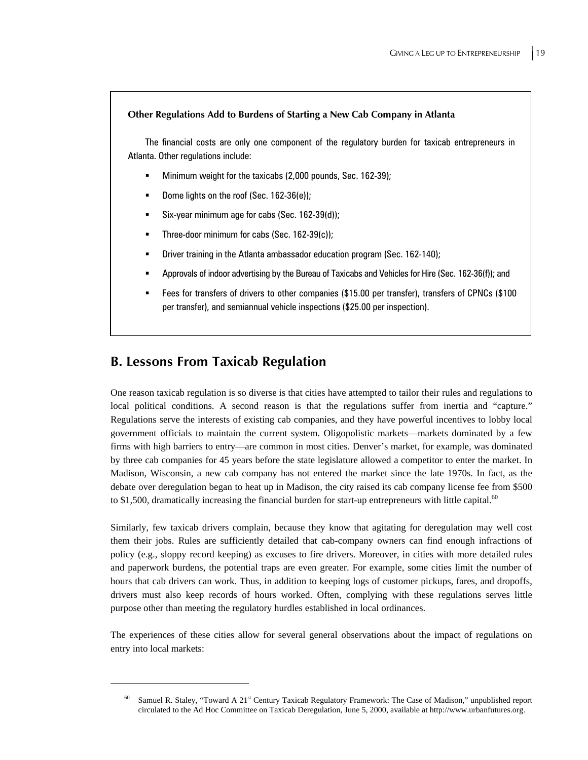#### **Other Regulations Add to Burdens of Starting a New Cab Company in Atlanta**

The financial costs are only one component of the regulatory burden for taxicab entrepreneurs in Atlanta. Other regulations include:

- Minimum weight for the taxicabs (2,000 pounds, Sec. 162-39);
- Dome lights on the roof (Sec. 162-36(e));
- Six-year minimum age for cabs (Sec. 162-39(d));
- **Three-door minimum for cabs (Sec. 162-39(c));**
- Driver training in the Atlanta ambassador education program (Sec. 162-140);
- Approvals of indoor advertising by the Bureau of Taxicabs and Vehicles for Hire (Sec. 162-36(f)); and
- Fees for transfers of drivers to other companies (\$15.00 per transfer), transfers of CPNCs (\$100 per transfer), and semiannual vehicle inspections (\$25.00 per inspection).

### **B. Lessons From Taxicab Regulation**

 $\overline{a}$ 

One reason taxicab regulation is so diverse is that cities have attempted to tailor their rules and regulations to local political conditions. A second reason is that the regulations suffer from inertia and "capture." Regulations serve the interests of existing cab companies, and they have powerful incentives to lobby local government officials to maintain the current system. Oligopolistic markets—markets dominated by a few firms with high barriers to entry—are common in most cities. Denver's market, for example, was dominated by three cab companies for 45 years before the state legislature allowed a competitor to enter the market. In Madison, Wisconsin, a new cab company has not entered the market since the late 1970s. In fact, as the debate over deregulation began to heat up in Madison, the city raised its cab company license fee from \$500 to \$1,500, dramatically increasing the financial burden for start-up entrepreneurs with little capital.<sup>60</sup>

Similarly, few taxicab drivers complain, because they know that agitating for deregulation may well cost them their jobs. Rules are sufficiently detailed that cab-company owners can find enough infractions of policy (e.g., sloppy record keeping) as excuses to fire drivers. Moreover, in cities with more detailed rules and paperwork burdens, the potential traps are even greater. For example, some cities limit the number of hours that cab drivers can work. Thus, in addition to keeping logs of customer pickups, fares, and dropoffs, drivers must also keep records of hours worked. Often, complying with these regulations serves little purpose other than meeting the regulatory hurdles established in local ordinances.

The experiences of these cities allow for several general observations about the impact of regulations on entry into local markets:

Samuel R. Staley, "Toward A 21<sup>st</sup> Century Taxicab Regulatory Framework: The Case of Madison," unpublished report circulated to the Ad Hoc Committee on Taxicab Deregulation, June 5, 2000, available at http://www.urbanfutures.org.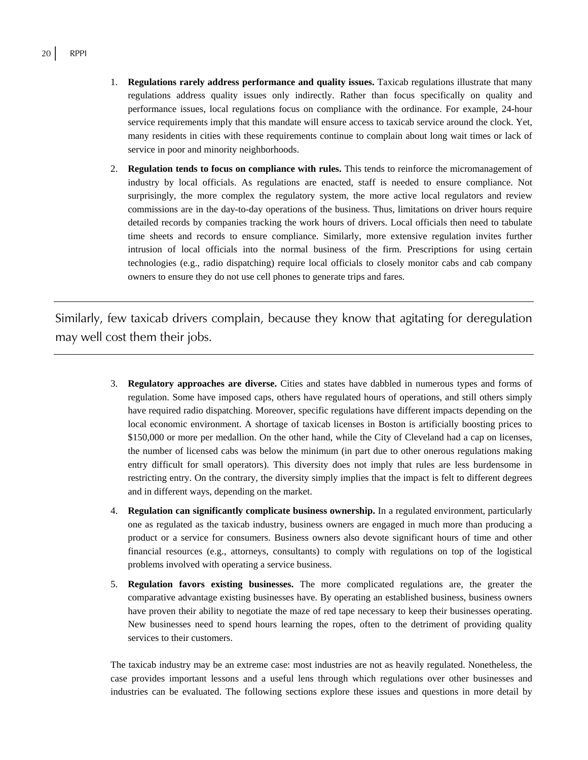- 1. **Regulations rarely address performance and quality issues.** Taxicab regulations illustrate that many regulations address quality issues only indirectly. Rather than focus specifically on quality and performance issues, local regulations focus on compliance with the ordinance. For example, 24-hour service requirements imply that this mandate will ensure access to taxicab service around the clock. Yet, many residents in cities with these requirements continue to complain about long wait times or lack of service in poor and minority neighborhoods.
- 2. **Regulation tends to focus on compliance with rules.** This tends to reinforce the micromanagement of industry by local officials. As regulations are enacted, staff is needed to ensure compliance. Not surprisingly, the more complex the regulatory system, the more active local regulators and review commissions are in the day-to-day operations of the business. Thus, limitations on driver hours require detailed records by companies tracking the work hours of drivers. Local officials then need to tabulate time sheets and records to ensure compliance. Similarly, more extensive regulation invites further intrusion of local officials into the normal business of the firm. Prescriptions for using certain technologies (e.g., radio dispatching) require local officials to closely monitor cabs and cab company owners to ensure they do not use cell phones to generate trips and fares.

Similarly, few taxicab drivers complain, because they know that agitating for deregulation may well cost them their jobs.

- 3. **Regulatory approaches are diverse.** Cities and states have dabbled in numerous types and forms of regulation. Some have imposed caps, others have regulated hours of operations, and still others simply have required radio dispatching. Moreover, specific regulations have different impacts depending on the local economic environment. A shortage of taxicab licenses in Boston is artificially boosting prices to \$150,000 or more per medallion. On the other hand, while the City of Cleveland had a cap on licenses, the number of licensed cabs was below the minimum (in part due to other onerous regulations making entry difficult for small operators). This diversity does not imply that rules are less burdensome in restricting entry. On the contrary, the diversity simply implies that the impact is felt to different degrees and in different ways, depending on the market.
- 4. **Regulation can significantly complicate business ownership.** In a regulated environment, particularly one as regulated as the taxicab industry, business owners are engaged in much more than producing a product or a service for consumers. Business owners also devote significant hours of time and other financial resources (e.g., attorneys, consultants) to comply with regulations on top of the logistical problems involved with operating a service business.
- 5. **Regulation favors existing businesses.** The more complicated regulations are, the greater the comparative advantage existing businesses have. By operating an established business, business owners have proven their ability to negotiate the maze of red tape necessary to keep their businesses operating. New businesses need to spend hours learning the ropes, often to the detriment of providing quality services to their customers.

The taxicab industry may be an extreme case: most industries are not as heavily regulated. Nonetheless, the case provides important lessons and a useful lens through which regulations over other businesses and industries can be evaluated. The following sections explore these issues and questions in more detail by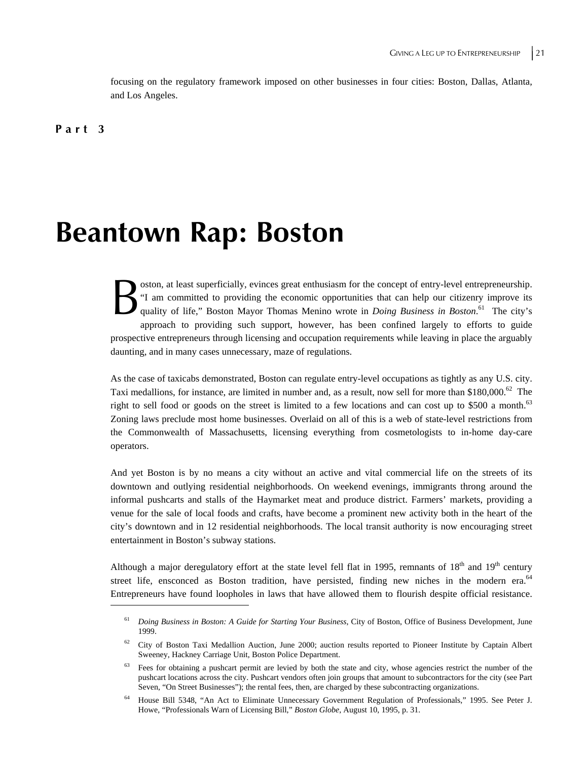focusing on the regulatory framework imposed on other businesses in four cities: Boston, Dallas, Atlanta, and Los Angeles.

**Part 3** 

## **Beantown Rap: Boston**

oston, at least superficially, evinces great enthusiasm for the concept of entry-level entrepreneurship. "I am committed to providing the economic opportunities that can help our citizenry improve its quality of life," Boston Mayor Thomas Menino wrote in *Doing Business in Boston*.<sup>61</sup> The city's approach to providing such support, however, has been confined largely to efforts to guide prospective entrepreneurs through licensing and occupation requirements while leaving in place the arguably daunting, and in many cases unnecessary, maze of regulations.  $B_{\tiny \textrm{quad}}^{\textrm{\tiny{ostc}}}$ 

As the case of taxicabs demonstrated, Boston can regulate entry-level occupations as tightly as any U.S. city. Taxi medallions, for instance, are limited in number and, as a result, now sell for more than \$180,000.<sup>62</sup> The right to sell food or goods on the street is limited to a few locations and can cost up to \$500 a month.<sup>63</sup> Zoning laws preclude most home businesses. Overlaid on all of this is a web of state-level restrictions from the Commonwealth of Massachusetts, licensing everything from cosmetologists to in-home day-care operators.

And yet Boston is by no means a city without an active and vital commercial life on the streets of its downtown and outlying residential neighborhoods. On weekend evenings, immigrants throng around the informal pushcarts and stalls of the Haymarket meat and produce district. Farmers' markets, providing a venue for the sale of local foods and crafts, have become a prominent new activity both in the heart of the city's downtown and in 12 residential neighborhoods. The local transit authority is now encouraging street entertainment in Boston's subway stations.

Although a major deregulatory effort at the state level fell flat in 1995, remnants of  $18<sup>th</sup>$  and  $19<sup>th</sup>$  century street life, ensconced as Boston tradition, have persisted, finding new niches in the modern era.<sup>64</sup> Entrepreneurs have found loopholes in laws that have allowed them to flourish despite official resistance.

<sup>61</sup> *Doing Business in Boston: A Guide for Starting Your Business*, City of Boston, Office of Business Development, June 1999.

<sup>62</sup> City of Boston Taxi Medallion Auction, June 2000; auction results reported to Pioneer Institute by Captain Albert Sweeney, Hackney Carriage Unit, Boston Police Department.

Fees for obtaining a pushcart permit are levied by both the state and city, whose agencies restrict the number of the pushcart locations across the city. Pushcart vendors often join groups that amount to subcontractors for the city (see Part Seven, "On Street Businesses"); the rental fees, then, are charged by these subcontracting organizations.

<sup>64</sup> House Bill 5348, "An Act to Eliminate Unnecessary Government Regulation of Professionals," 1995. See Peter J. Howe, "Professionals Warn of Licensing Bill," *Boston Globe*, August 10, 1995, p. 31.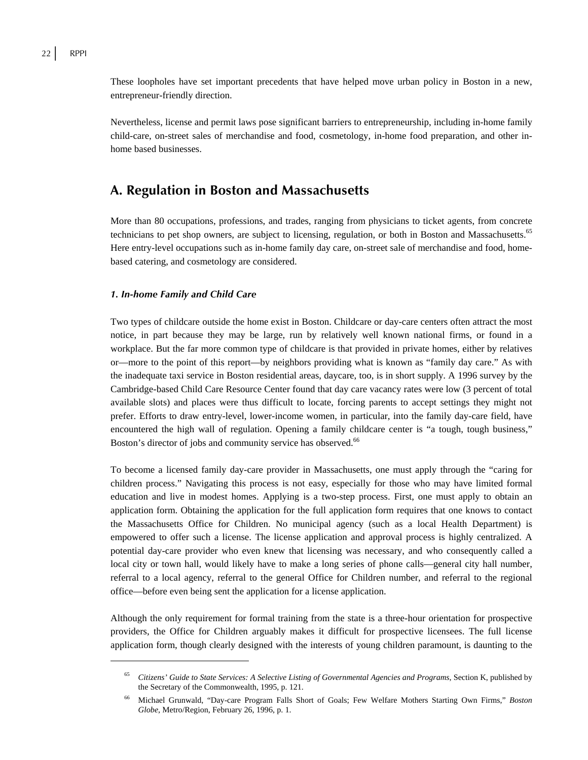These loopholes have set important precedents that have helped move urban policy in Boston in a new, entrepreneur-friendly direction.

Nevertheless, license and permit laws pose significant barriers to entrepreneurship, including in-home family child-care, on-street sales of merchandise and food, cosmetology, in-home food preparation, and other inhome based businesses.

## **A. Regulation in Boston and Massachusetts**

More than 80 occupations, professions, and trades, ranging from physicians to ticket agents, from concrete technicians to pet shop owners, are subject to licensing, regulation, or both in Boston and Massachusetts.<sup>65</sup> Here entry-level occupations such as in-home family day care, on-street sale of merchandise and food, homebased catering, and cosmetology are considered.

#### *1. In-home Family and Child Care*

 $\overline{a}$ 

Two types of childcare outside the home exist in Boston. Childcare or day-care centers often attract the most notice, in part because they may be large, run by relatively well known national firms, or found in a workplace. But the far more common type of childcare is that provided in private homes, either by relatives or—more to the point of this report—by neighbors providing what is known as "family day care." As with the inadequate taxi service in Boston residential areas, daycare, too, is in short supply. A 1996 survey by the Cambridge-based Child Care Resource Center found that day care vacancy rates were low (3 percent of total available slots) and places were thus difficult to locate, forcing parents to accept settings they might not prefer. Efforts to draw entry-level, lower-income women, in particular, into the family day-care field, have encountered the high wall of regulation. Opening a family childcare center is "a tough, tough business," Boston's director of jobs and community service has observed.<sup>66</sup>

To become a licensed family day-care provider in Massachusetts, one must apply through the "caring for children process." Navigating this process is not easy, especially for those who may have limited formal education and live in modest homes. Applying is a two-step process. First, one must apply to obtain an application form. Obtaining the application for the full application form requires that one knows to contact the Massachusetts Office for Children. No municipal agency (such as a local Health Department) is empowered to offer such a license. The license application and approval process is highly centralized. A potential day-care provider who even knew that licensing was necessary, and who consequently called a local city or town hall, would likely have to make a long series of phone calls—general city hall number, referral to a local agency, referral to the general Office for Children number, and referral to the regional office—before even being sent the application for a license application.

Although the only requirement for formal training from the state is a three-hour orientation for prospective providers, the Office for Children arguably makes it difficult for prospective licensees. The full license application form, though clearly designed with the interests of young children paramount, is daunting to the

<sup>65</sup> *Citizens' Guide to State Services: A Selective Listing of Governmental Agencies and Programs*, Section K, published by the Secretary of the Commonwealth, 1995, p. 121.

<sup>66</sup> Michael Grunwald, "Day-care Program Falls Short of Goals; Few Welfare Mothers Starting Own Firms," *Boston Globe*, Metro/Region, February 26, 1996, p. 1.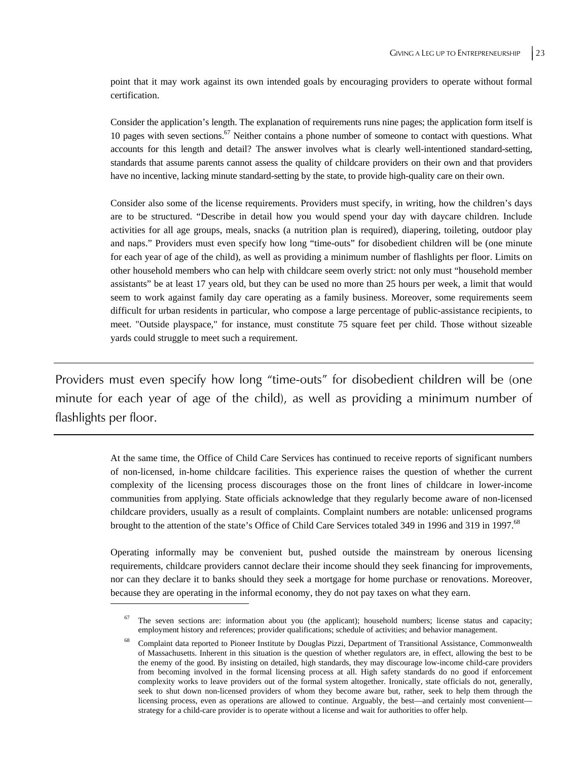point that it may work against its own intended goals by encouraging providers to operate without formal certification.

Consider the application's length. The explanation of requirements runs nine pages; the application form itself is 10 pages with seven sections.<sup>67</sup> Neither contains a phone number of someone to contact with questions. What accounts for this length and detail? The answer involves what is clearly well-intentioned standard-setting, standards that assume parents cannot assess the quality of childcare providers on their own and that providers have no incentive, lacking minute standard-setting by the state, to provide high-quality care on their own.

Consider also some of the license requirements. Providers must specify, in writing, how the children's days are to be structured. "Describe in detail how you would spend your day with daycare children. Include activities for all age groups, meals, snacks (a nutrition plan is required), diapering, toileting, outdoor play and naps." Providers must even specify how long "time-outs" for disobedient children will be (one minute for each year of age of the child), as well as providing a minimum number of flashlights per floor. Limits on other household members who can help with childcare seem overly strict: not only must "household member assistants" be at least 17 years old, but they can be used no more than 25 hours per week, a limit that would seem to work against family day care operating as a family business. Moreover, some requirements seem difficult for urban residents in particular, who compose a large percentage of public-assistance recipients, to meet. "Outside playspace," for instance, must constitute 75 square feet per child. Those without sizeable yards could struggle to meet such a requirement.

Providers must even specify how long "time-outs" for disobedient children will be (one minute for each year of age of the child), as well as providing a minimum number of flashlights per floor.

> At the same time, the Office of Child Care Services has continued to receive reports of significant numbers of non-licensed, in-home childcare facilities. This experience raises the question of whether the current complexity of the licensing process discourages those on the front lines of childcare in lower-income communities from applying. State officials acknowledge that they regularly become aware of non-licensed childcare providers, usually as a result of complaints. Complaint numbers are notable: unlicensed programs brought to the attention of the state's Office of Child Care Services totaled 349 in 1996 and 319 in 1997.<sup>68</sup>

> Operating informally may be convenient but, pushed outside the mainstream by onerous licensing requirements, childcare providers cannot declare their income should they seek financing for improvements, nor can they declare it to banks should they seek a mortgage for home purchase or renovations. Moreover, because they are operating in the informal economy, they do not pay taxes on what they earn.

The seven sections are: information about you (the applicant); household numbers; license status and capacity; employment history and references; provider qualifications; schedule of activities; and behavior management.

<sup>68</sup> Complaint data reported to Pioneer Institute by Douglas Pizzi, Department of Transitional Assistance, Commonwealth of Massachusetts. Inherent in this situation is the question of whether regulators are, in effect, allowing the best to be the enemy of the good. By insisting on detailed, high standards, they may discourage low-income child-care providers from becoming involved in the formal licensing process at all. High safety standards do no good if enforcement complexity works to leave providers out of the formal system altogether. Ironically, state officials do not, generally, seek to shut down non-licensed providers of whom they become aware but, rather, seek to help them through the licensing process, even as operations are allowed to continue. Arguably, the best—and certainly most convenient strategy for a child-care provider is to operate without a license and wait for authorities to offer help.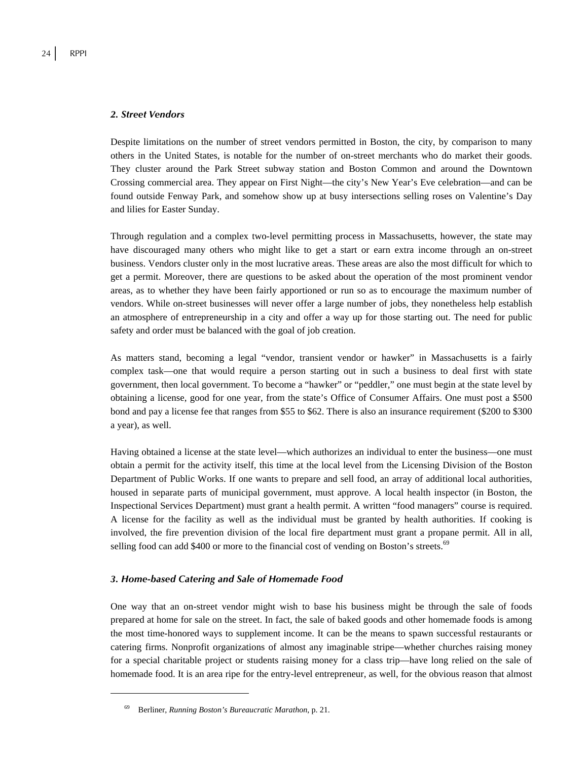#### *2. Street Vendors*

Despite limitations on the number of street vendors permitted in Boston, the city, by comparison to many others in the United States, is notable for the number of on-street merchants who do market their goods. They cluster around the Park Street subway station and Boston Common and around the Downtown Crossing commercial area. They appear on First Night—the city's New Year's Eve celebration—and can be found outside Fenway Park, and somehow show up at busy intersections selling roses on Valentine's Day and lilies for Easter Sunday.

Through regulation and a complex two-level permitting process in Massachusetts, however, the state may have discouraged many others who might like to get a start or earn extra income through an on-street business. Vendors cluster only in the most lucrative areas. These areas are also the most difficult for which to get a permit. Moreover, there are questions to be asked about the operation of the most prominent vendor areas, as to whether they have been fairly apportioned or run so as to encourage the maximum number of vendors. While on-street businesses will never offer a large number of jobs, they nonetheless help establish an atmosphere of entrepreneurship in a city and offer a way up for those starting out. The need for public safety and order must be balanced with the goal of job creation.

As matters stand, becoming a legal "vendor, transient vendor or hawker" in Massachusetts is a fairly complex task—one that would require a person starting out in such a business to deal first with state government, then local government. To become a "hawker" or "peddler," one must begin at the state level by obtaining a license, good for one year, from the state's Office of Consumer Affairs. One must post a \$500 bond and pay a license fee that ranges from \$55 to \$62. There is also an insurance requirement (\$200 to \$300 a year), as well.

Having obtained a license at the state level—which authorizes an individual to enter the business—one must obtain a permit for the activity itself, this time at the local level from the Licensing Division of the Boston Department of Public Works. If one wants to prepare and sell food, an array of additional local authorities, housed in separate parts of municipal government, must approve. A local health inspector (in Boston, the Inspectional Services Department) must grant a health permit. A written "food managers" course is required. A license for the facility as well as the individual must be granted by health authorities. If cooking is involved, the fire prevention division of the local fire department must grant a propane permit. All in all, selling food can add \$400 or more to the financial cost of vending on Boston's streets.<sup>69</sup>

#### *3. Home-based Catering and Sale of Homemade Food*

One way that an on-street vendor might wish to base his business might be through the sale of foods prepared at home for sale on the street. In fact, the sale of baked goods and other homemade foods is among the most time-honored ways to supplement income. It can be the means to spawn successful restaurants or catering firms. Nonprofit organizations of almost any imaginable stripe—whether churches raising money for a special charitable project or students raising money for a class trip—have long relied on the sale of homemade food. It is an area ripe for the entry-level entrepreneur, as well, for the obvious reason that almost

<sup>69</sup> Berliner, *Running Boston's Bureaucratic Marathon*, p. 21.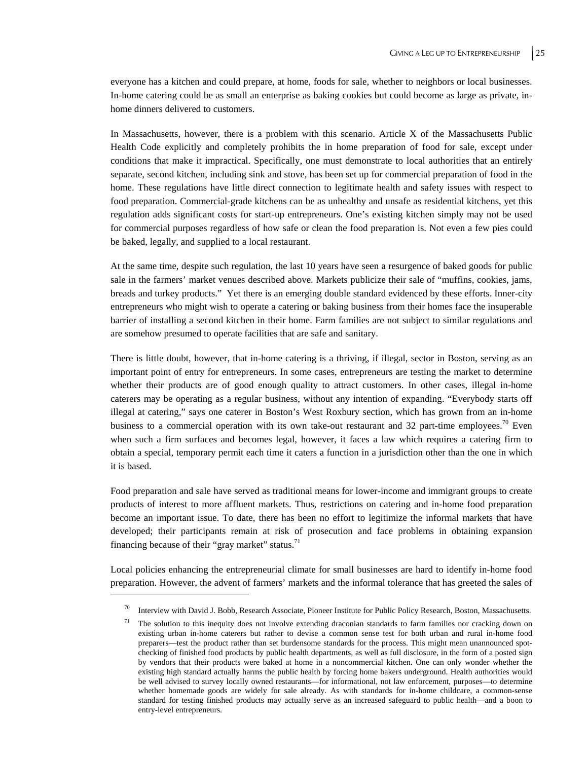everyone has a kitchen and could prepare, at home, foods for sale, whether to neighbors or local businesses. In-home catering could be as small an enterprise as baking cookies but could become as large as private, inhome dinners delivered to customers.

In Massachusetts, however, there is a problem with this scenario. Article X of the Massachusetts Public Health Code explicitly and completely prohibits the in home preparation of food for sale, except under conditions that make it impractical. Specifically, one must demonstrate to local authorities that an entirely separate, second kitchen, including sink and stove, has been set up for commercial preparation of food in the home. These regulations have little direct connection to legitimate health and safety issues with respect to food preparation. Commercial-grade kitchens can be as unhealthy and unsafe as residential kitchens, yet this regulation adds significant costs for start-up entrepreneurs. One's existing kitchen simply may not be used for commercial purposes regardless of how safe or clean the food preparation is. Not even a few pies could be baked, legally, and supplied to a local restaurant.

At the same time, despite such regulation, the last 10 years have seen a resurgence of baked goods for public sale in the farmers' market venues described above. Markets publicize their sale of "muffins, cookies, jams, breads and turkey products." Yet there is an emerging double standard evidenced by these efforts. Inner-city entrepreneurs who might wish to operate a catering or baking business from their homes face the insuperable barrier of installing a second kitchen in their home. Farm families are not subject to similar regulations and are somehow presumed to operate facilities that are safe and sanitary.

There is little doubt, however, that in-home catering is a thriving, if illegal, sector in Boston, serving as an important point of entry for entrepreneurs. In some cases, entrepreneurs are testing the market to determine whether their products are of good enough quality to attract customers. In other cases, illegal in-home caterers may be operating as a regular business, without any intention of expanding. "Everybody starts off illegal at catering," says one caterer in Boston's West Roxbury section, which has grown from an in-home business to a commercial operation with its own take-out restaurant and 32 part-time employees.<sup>70</sup> Even when such a firm surfaces and becomes legal, however, it faces a law which requires a catering firm to obtain a special, temporary permit each time it caters a function in a jurisdiction other than the one in which it is based.

Food preparation and sale have served as traditional means for lower-income and immigrant groups to create products of interest to more affluent markets. Thus, restrictions on catering and in-home food preparation become an important issue. To date, there has been no effort to legitimize the informal markets that have developed; their participants remain at risk of prosecution and face problems in obtaining expansion financing because of their "gray market" status. $^{71}$ 

Local policies enhancing the entrepreneurial climate for small businesses are hard to identify in-home food preparation. However, the advent of farmers' markets and the informal tolerance that has greeted the sales of

Interview with David J. Bobb, Research Associate, Pioneer Institute for Public Policy Research, Boston, Massachusetts.

The solution to this inequity does not involve extending draconian standards to farm families nor cracking down on existing urban in-home caterers but rather to devise a common sense test for both urban and rural in-home food preparers—test the product rather than set burdensome standards for the process. This might mean unannounced spotchecking of finished food products by public health departments, as well as full disclosure, in the form of a posted sign by vendors that their products were baked at home in a noncommercial kitchen. One can only wonder whether the existing high standard actually harms the public health by forcing home bakers underground. Health authorities would be well advised to survey locally owned restaurants—for informational, not law enforcement, purposes—to determine whether homemade goods are widely for sale already. As with standards for in-home childcare, a common-sense standard for testing finished products may actually serve as an increased safeguard to public health—and a boon to entry-level entrepreneurs.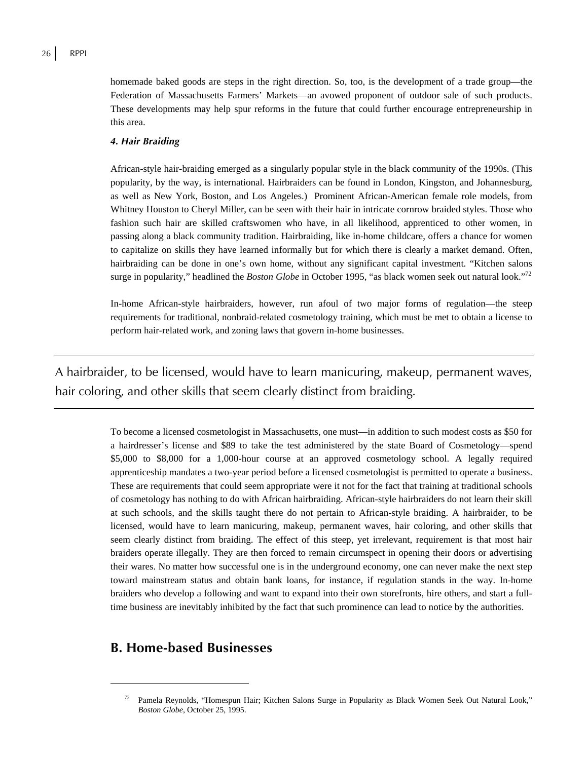homemade baked goods are steps in the right direction. So, too, is the development of a trade group—the Federation of Massachusetts Farmers' Markets—an avowed proponent of outdoor sale of such products. These developments may help spur reforms in the future that could further encourage entrepreneurship in this area.

#### *4. Hair Braiding*

African-style hair-braiding emerged as a singularly popular style in the black community of the 1990s. (This popularity, by the way, is international. Hairbraiders can be found in London, Kingston, and Johannesburg, as well as New York, Boston, and Los Angeles.) Prominent African-American female role models, from Whitney Houston to Cheryl Miller, can be seen with their hair in intricate cornrow braided styles. Those who fashion such hair are skilled craftswomen who have, in all likelihood, apprenticed to other women, in passing along a black community tradition. Hairbraiding, like in-home childcare, offers a chance for women to capitalize on skills they have learned informally but for which there is clearly a market demand. Often, hairbraiding can be done in one's own home, without any significant capital investment. "Kitchen salons surge in popularity," headlined the *Boston Globe* in October 1995, "as black women seek out natural look."<sup>72</sup>

In-home African-style hairbraiders, however, run afoul of two major forms of regulation—the steep requirements for traditional, nonbraid-related cosmetology training, which must be met to obtain a license to perform hair-related work, and zoning laws that govern in-home businesses.

A hairbraider, to be licensed, would have to learn manicuring, makeup, permanent waves, hair coloring, and other skills that seem clearly distinct from braiding.

> To become a licensed cosmetologist in Massachusetts, one must—in addition to such modest costs as \$50 for a hairdresser's license and \$89 to take the test administered by the state Board of Cosmetology—spend \$5,000 to \$8,000 for a 1,000-hour course at an approved cosmetology school. A legally required apprenticeship mandates a two-year period before a licensed cosmetologist is permitted to operate a business. These are requirements that could seem appropriate were it not for the fact that training at traditional schools of cosmetology has nothing to do with African hairbraiding. African-style hairbraiders do not learn their skill at such schools, and the skills taught there do not pertain to African-style braiding. A hairbraider, to be licensed, would have to learn manicuring, makeup, permanent waves, hair coloring, and other skills that seem clearly distinct from braiding. The effect of this steep, yet irrelevant, requirement is that most hair braiders operate illegally. They are then forced to remain circumspect in opening their doors or advertising their wares. No matter how successful one is in the underground economy, one can never make the next step toward mainstream status and obtain bank loans, for instance, if regulation stands in the way. In-home braiders who develop a following and want to expand into their own storefronts, hire others, and start a fulltime business are inevitably inhibited by the fact that such prominence can lead to notice by the authorities.

## **B. Home-based Businesses**

<sup>72</sup> Pamela Reynolds, "Homespun Hair; Kitchen Salons Surge in Popularity as Black Women Seek Out Natural Look," *Boston Globe*, October 25, 1995.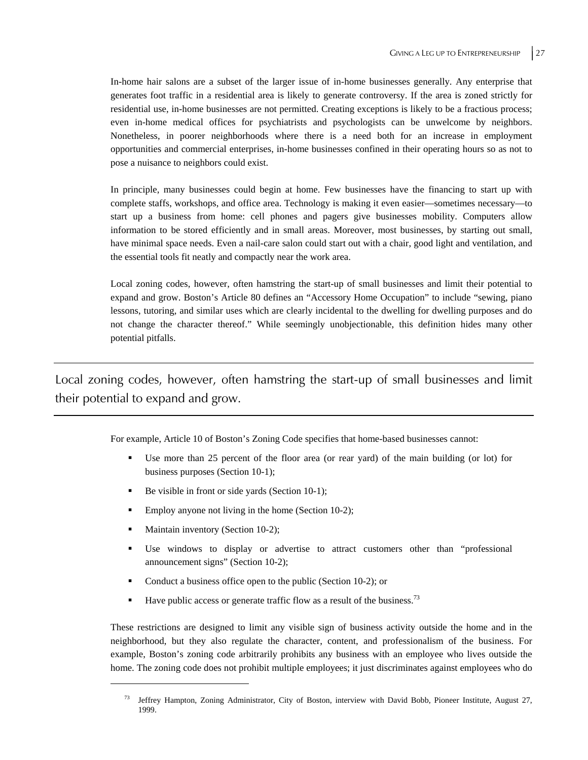In-home hair salons are a subset of the larger issue of in-home businesses generally. Any enterprise that generates foot traffic in a residential area is likely to generate controversy. If the area is zoned strictly for residential use, in-home businesses are not permitted. Creating exceptions is likely to be a fractious process; even in-home medical offices for psychiatrists and psychologists can be unwelcome by neighbors. Nonetheless, in poorer neighborhoods where there is a need both for an increase in employment opportunities and commercial enterprises, in-home businesses confined in their operating hours so as not to pose a nuisance to neighbors could exist.

In principle, many businesses could begin at home. Few businesses have the financing to start up with complete staffs, workshops, and office area. Technology is making it even easier—sometimes necessary—to start up a business from home: cell phones and pagers give businesses mobility. Computers allow information to be stored efficiently and in small areas. Moreover, most businesses, by starting out small, have minimal space needs. Even a nail-care salon could start out with a chair, good light and ventilation, and the essential tools fit neatly and compactly near the work area.

Local zoning codes, however, often hamstring the start-up of small businesses and limit their potential to expand and grow. Boston's Article 80 defines an "Accessory Home Occupation" to include "sewing, piano lessons, tutoring, and similar uses which are clearly incidental to the dwelling for dwelling purposes and do not change the character thereof." While seemingly unobjectionable, this definition hides many other potential pitfalls.

Local zoning codes, however, often hamstring the start-up of small businesses and limit their potential to expand and grow.

For example, Article 10 of Boston's Zoning Code specifies that home-based businesses cannot:

- Use more than 25 percent of the floor area (or rear yard) of the main building (or lot) for business purposes (Section 10-1);
- Be visible in front or side yards (Section 10-1);
- Employ anyone not living in the home (Section 10-2);
- Maintain inventory (Section 10-2);

 $\overline{a}$ 

- Use windows to display or advertise to attract customers other than "professional announcement signs" (Section 10-2);
- Conduct a business office open to the public (Section 10-2); or
- Have public access or generate traffic flow as a result of the business.<sup>73</sup>

These restrictions are designed to limit any visible sign of business activity outside the home and in the neighborhood, but they also regulate the character, content, and professionalism of the business. For example, Boston's zoning code arbitrarily prohibits any business with an employee who lives outside the home. The zoning code does not prohibit multiple employees; it just discriminates against employees who do

<sup>73</sup> Jeffrey Hampton, Zoning Administrator, City of Boston, interview with David Bobb, Pioneer Institute, August 27, 1999.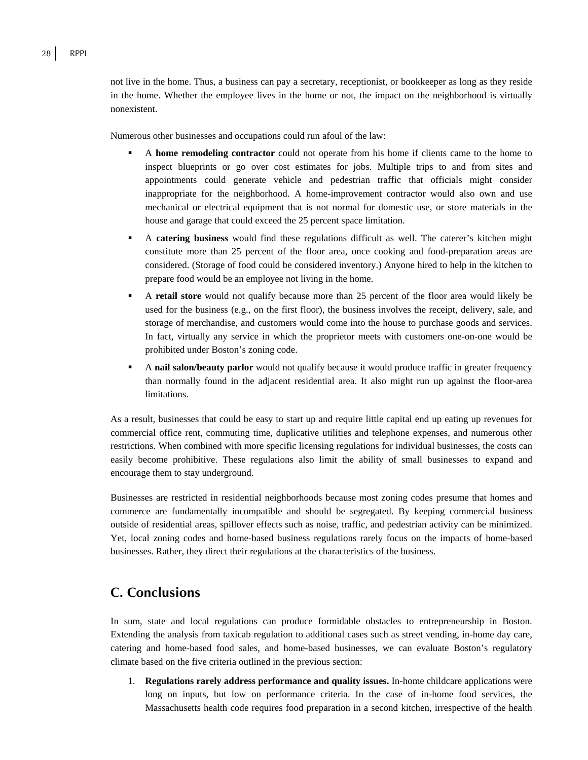not live in the home. Thus, a business can pay a secretary, receptionist, or bookkeeper as long as they reside in the home. Whether the employee lives in the home or not, the impact on the neighborhood is virtually nonexistent.

Numerous other businesses and occupations could run afoul of the law:

- A **home remodeling contractor** could not operate from his home if clients came to the home to inspect blueprints or go over cost estimates for jobs. Multiple trips to and from sites and appointments could generate vehicle and pedestrian traffic that officials might consider inappropriate for the neighborhood. A home-improvement contractor would also own and use mechanical or electrical equipment that is not normal for domestic use, or store materials in the house and garage that could exceed the 25 percent space limitation.
- A **catering business** would find these regulations difficult as well. The caterer's kitchen might constitute more than 25 percent of the floor area, once cooking and food-preparation areas are considered. (Storage of food could be considered inventory.) Anyone hired to help in the kitchen to prepare food would be an employee not living in the home.
- A **retail store** would not qualify because more than 25 percent of the floor area would likely be used for the business (e.g., on the first floor), the business involves the receipt, delivery, sale, and storage of merchandise, and customers would come into the house to purchase goods and services. In fact, virtually any service in which the proprietor meets with customers one-on-one would be prohibited under Boston's zoning code.
- A **nail salon/beauty parlor** would not qualify because it would produce traffic in greater frequency than normally found in the adjacent residential area. It also might run up against the floor-area limitations.

As a result, businesses that could be easy to start up and require little capital end up eating up revenues for commercial office rent, commuting time, duplicative utilities and telephone expenses, and numerous other restrictions. When combined with more specific licensing regulations for individual businesses, the costs can easily become prohibitive. These regulations also limit the ability of small businesses to expand and encourage them to stay underground.

Businesses are restricted in residential neighborhoods because most zoning codes presume that homes and commerce are fundamentally incompatible and should be segregated. By keeping commercial business outside of residential areas, spillover effects such as noise, traffic, and pedestrian activity can be minimized. Yet, local zoning codes and home-based business regulations rarely focus on the impacts of home-based businesses. Rather, they direct their regulations at the characteristics of the business.

## **C. Conclusions**

In sum, state and local regulations can produce formidable obstacles to entrepreneurship in Boston. Extending the analysis from taxicab regulation to additional cases such as street vending, in-home day care, catering and home-based food sales, and home-based businesses, we can evaluate Boston's regulatory climate based on the five criteria outlined in the previous section:

1. **Regulations rarely address performance and quality issues.** In-home childcare applications were long on inputs, but low on performance criteria. In the case of in-home food services, the Massachusetts health code requires food preparation in a second kitchen, irrespective of the health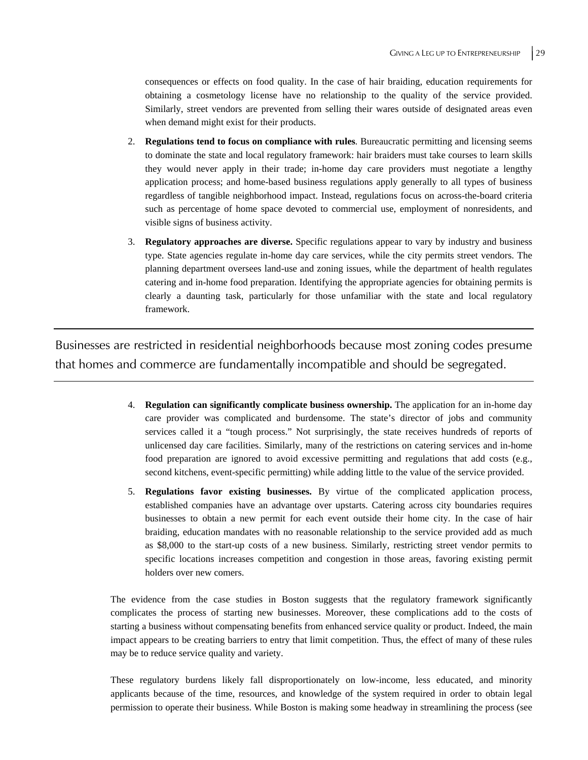consequences or effects on food quality. In the case of hair braiding, education requirements for obtaining a cosmetology license have no relationship to the quality of the service provided. Similarly, street vendors are prevented from selling their wares outside of designated areas even when demand might exist for their products.

- 2. **Regulations tend to focus on compliance with rules***.* Bureaucratic permitting and licensing seems to dominate the state and local regulatory framework: hair braiders must take courses to learn skills they would never apply in their trade; in-home day care providers must negotiate a lengthy application process; and home-based business regulations apply generally to all types of business regardless of tangible neighborhood impact. Instead, regulations focus on across-the-board criteria such as percentage of home space devoted to commercial use, employment of nonresidents, and visible signs of business activity.
- 3. **Regulatory approaches are diverse.** Specific regulations appear to vary by industry and business type. State agencies regulate in-home day care services, while the city permits street vendors. The planning department oversees land-use and zoning issues, while the department of health regulates catering and in-home food preparation. Identifying the appropriate agencies for obtaining permits is clearly a daunting task, particularly for those unfamiliar with the state and local regulatory framework.

Businesses are restricted in residential neighborhoods because most zoning codes presume that homes and commerce are fundamentally incompatible and should be segregated.

- 4. **Regulation can significantly complicate business ownership.** The application for an in-home day care provider was complicated and burdensome. The state's director of jobs and community services called it a "tough process." Not surprisingly, the state receives hundreds of reports of unlicensed day care facilities. Similarly, many of the restrictions on catering services and in-home food preparation are ignored to avoid excessive permitting and regulations that add costs (e.g., second kitchens, event-specific permitting) while adding little to the value of the service provided.
- 5. **Regulations favor existing businesses.** By virtue of the complicated application process, established companies have an advantage over upstarts. Catering across city boundaries requires businesses to obtain a new permit for each event outside their home city. In the case of hair braiding, education mandates with no reasonable relationship to the service provided add as much as \$8,000 to the start-up costs of a new business. Similarly, restricting street vendor permits to specific locations increases competition and congestion in those areas, favoring existing permit holders over new comers.

The evidence from the case studies in Boston suggests that the regulatory framework significantly complicates the process of starting new businesses. Moreover, these complications add to the costs of starting a business without compensating benefits from enhanced service quality or product. Indeed, the main impact appears to be creating barriers to entry that limit competition. Thus, the effect of many of these rules may be to reduce service quality and variety.

These regulatory burdens likely fall disproportionately on low-income, less educated, and minority applicants because of the time, resources, and knowledge of the system required in order to obtain legal permission to operate their business. While Boston is making some headway in streamlining the process (see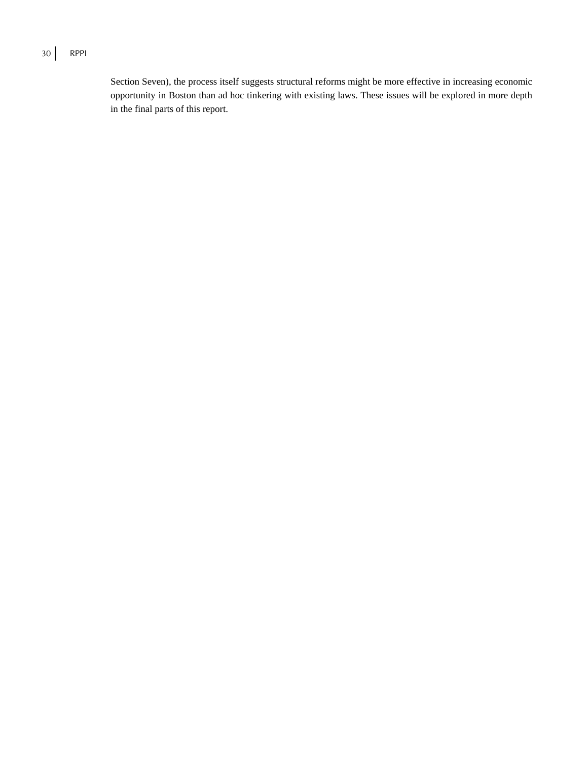### 30 RPPI

Section Seven), the process itself suggests structural reforms might be more effective in increasing economic opportunity in Boston than ad hoc tinkering with existing laws. These issues will be explored in more depth in the final parts of this report.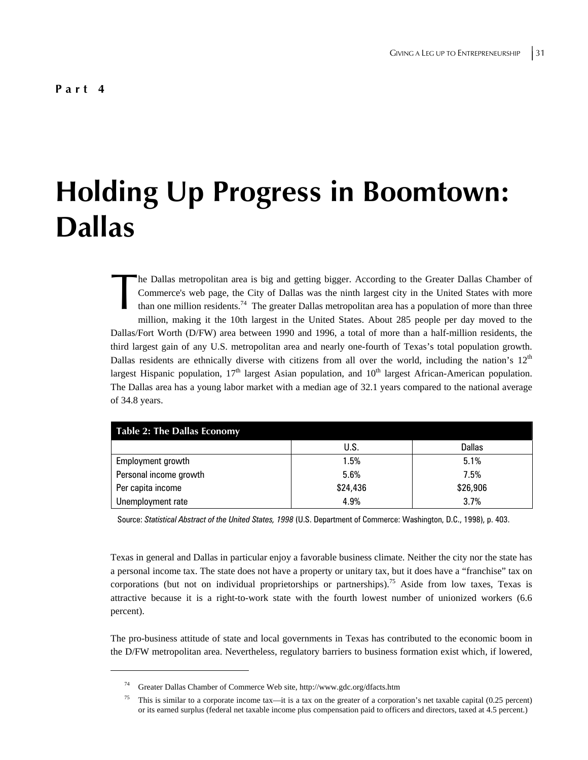$\overline{a}$ 

# **Holding Up Progress in Boomtown: Dallas**

he Dallas metropolitan area is big and getting bigger. According to the Greater Dallas Chamber of Commerce's web page, the City of Dallas was the ninth largest city in the United States with more than one million residents.<sup>74</sup> The greater Dallas metropolitan area has a population of more than three million, making it the 10th largest in the United States. About 285 people per day moved to the Dallas/Fort Worth (D/FW) area between 1990 and 1996, a total of more than a half-million residents, the third largest gain of any U.S. metropolitan area and nearly one-fourth of Texas's total population growth. Dallas residents are ethnically diverse with citizens from all over the world, including the nation's  $12<sup>th</sup>$ largest Hispanic population,  $17<sup>th</sup>$  largest Asian population, and  $10<sup>th</sup>$  largest African-American population. The Dallas area has a young labor market with a median age of 32.1 years compared to the national average of 34.8 years. The 1<br>Con<br>than

| <b>Table 2: The Dallas Economy</b> |          |          |  |
|------------------------------------|----------|----------|--|
|                                    | U.S.     | Dallas   |  |
| Employment growth                  | 1.5%     | 5.1%     |  |
| Personal income growth             | 5.6%     | 7.5%     |  |
| Per capita income                  | \$24,436 | \$26,906 |  |
| Unemployment rate                  | 4.9%     | 3.7%     |  |

Source: *Statistical Abstract of the United States, 1998* (U.S. Department of Commerce: Washington, D.C., 1998), p. 403.

Texas in general and Dallas in particular enjoy a favorable business climate. Neither the city nor the state has a personal income tax. The state does not have a property or unitary tax, but it does have a "franchise" tax on corporations (but not on individual proprietorships or partnerships).<sup>75</sup> Aside from low taxes, Texas is attractive because it is a right-to-work state with the fourth lowest number of unionized workers (6.6 percent).

The pro-business attitude of state and local governments in Texas has contributed to the economic boom in the D/FW metropolitan area. Nevertheless, regulatory barriers to business formation exist which, if lowered,

<sup>74</sup> Greater Dallas Chamber of Commerce Web site, http://www.gdc.org/dfacts.htm

<sup>75</sup> This is similar to a corporate income tax—it is a tax on the greater of a corporation's net taxable capital (0.25 percent) or its earned surplus (federal net taxable income plus compensation paid to officers and directors, taxed at 4.5 percent.)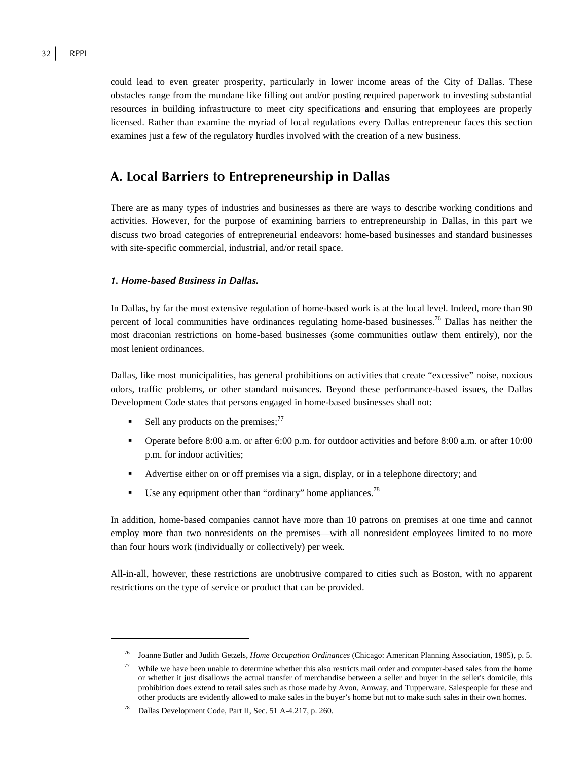could lead to even greater prosperity, particularly in lower income areas of the City of Dallas. These obstacles range from the mundane like filling out and/or posting required paperwork to investing substantial resources in building infrastructure to meet city specifications and ensuring that employees are properly licensed. Rather than examine the myriad of local regulations every Dallas entrepreneur faces this section examines just a few of the regulatory hurdles involved with the creation of a new business.

## **A. Local Barriers to Entrepreneurship in Dallas**

There are as many types of industries and businesses as there are ways to describe working conditions and activities. However, for the purpose of examining barriers to entrepreneurship in Dallas, in this part we discuss two broad categories of entrepreneurial endeavors: home-based businesses and standard businesses with site-specific commercial, industrial, and/or retail space.

#### *1. Home-based Business in Dallas.*

In Dallas, by far the most extensive regulation of home-based work is at the local level. Indeed, more than 90 percent of local communities have ordinances regulating home-based businesses.<sup>76</sup> Dallas has neither the most draconian restrictions on home-based businesses (some communities outlaw them entirely), nor the most lenient ordinances.

Dallas, like most municipalities, has general prohibitions on activities that create "excessive" noise, noxious odors, traffic problems, or other standard nuisances. Beyond these performance-based issues, the Dallas Development Code states that persons engaged in home-based businesses shall not:

- Sell any products on the premises; $^{77}$
- Operate before 8:00 a.m. or after 6:00 p.m. for outdoor activities and before 8:00 a.m. or after 10:00 p.m. for indoor activities;
- Advertise either on or off premises via a sign, display, or in a telephone directory; and
- Use any equipment other than "ordinary" home appliances.<sup>78</sup>

In addition, home-based companies cannot have more than 10 patrons on premises at one time and cannot employ more than two nonresidents on the premises—with all nonresident employees limited to no more than four hours work (individually or collectively) per week.

All-in-all, however, these restrictions are unobtrusive compared to cities such as Boston, with no apparent restrictions on the type of service or product that can be provided.

<sup>76</sup> Joanne Butler and Judith Getzels, *Home Occupation Ordinances* (Chicago: American Planning Association, 1985), p. 5.

While we have been unable to determine whether this also restricts mail order and computer-based sales from the home or whether it just disallows the actual transfer of merchandise between a seller and buyer in the seller's domicile, this prohibition does extend to retail sales such as those made by Avon, Amway, and Tupperware. Salespeople for these and other products are evidently allowed to make sales in the buyer's home but not to make such sales in their own homes.

Dallas Development Code, Part II, Sec. 51 A-4.217, p. 260.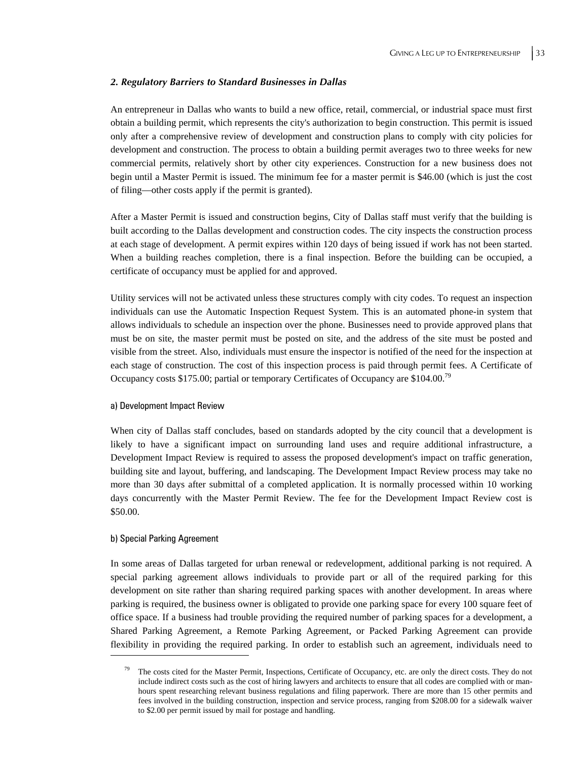#### *2. Regulatory Barriers to Standard Businesses in Dallas*

An entrepreneur in Dallas who wants to build a new office, retail, commercial, or industrial space must first obtain a building permit, which represents the city's authorization to begin construction. This permit is issued only after a comprehensive review of development and construction plans to comply with city policies for development and construction. The process to obtain a building permit averages two to three weeks for new commercial permits, relatively short by other city experiences. Construction for a new business does not begin until a Master Permit is issued. The minimum fee for a master permit is \$46.00 (which is just the cost of filing—other costs apply if the permit is granted).

After a Master Permit is issued and construction begins, City of Dallas staff must verify that the building is built according to the Dallas development and construction codes. The city inspects the construction process at each stage of development. A permit expires within 120 days of being issued if work has not been started. When a building reaches completion, there is a final inspection. Before the building can be occupied, a certificate of occupancy must be applied for and approved.

Utility services will not be activated unless these structures comply with city codes. To request an inspection individuals can use the Automatic Inspection Request System. This is an automated phone-in system that allows individuals to schedule an inspection over the phone. Businesses need to provide approved plans that must be on site, the master permit must be posted on site, and the address of the site must be posted and visible from the street. Also, individuals must ensure the inspector is notified of the need for the inspection at each stage of construction. The cost of this inspection process is paid through permit fees. A Certificate of Occupancy costs \$175.00; partial or temporary Certificates of Occupancy are \$104.00.<sup>79</sup>

#### a) Development Impact Review

When city of Dallas staff concludes, based on standards adopted by the city council that a development is likely to have a significant impact on surrounding land uses and require additional infrastructure, a Development Impact Review is required to assess the proposed development's impact on traffic generation, building site and layout, buffering, and landscaping. The Development Impact Review process may take no more than 30 days after submittal of a completed application. It is normally processed within 10 working days concurrently with the Master Permit Review. The fee for the Development Impact Review cost is \$50.00.

#### b) Special Parking Agreement

1

In some areas of Dallas targeted for urban renewal or redevelopment, additional parking is not required. A special parking agreement allows individuals to provide part or all of the required parking for this development on site rather than sharing required parking spaces with another development. In areas where parking is required, the business owner is obligated to provide one parking space for every 100 square feet of office space. If a business had trouble providing the required number of parking spaces for a development, a Shared Parking Agreement, a Remote Parking Agreement, or Packed Parking Agreement can provide flexibility in providing the required parking. In order to establish such an agreement, individuals need to

The costs cited for the Master Permit, Inspections, Certificate of Occupancy, etc. are only the direct costs. They do not include indirect costs such as the cost of hiring lawyers and architects to ensure that all codes are complied with or manhours spent researching relevant business regulations and filing paperwork. There are more than 15 other permits and fees involved in the building construction, inspection and service process, ranging from \$208.00 for a sidewalk waiver to \$2.00 per permit issued by mail for postage and handling.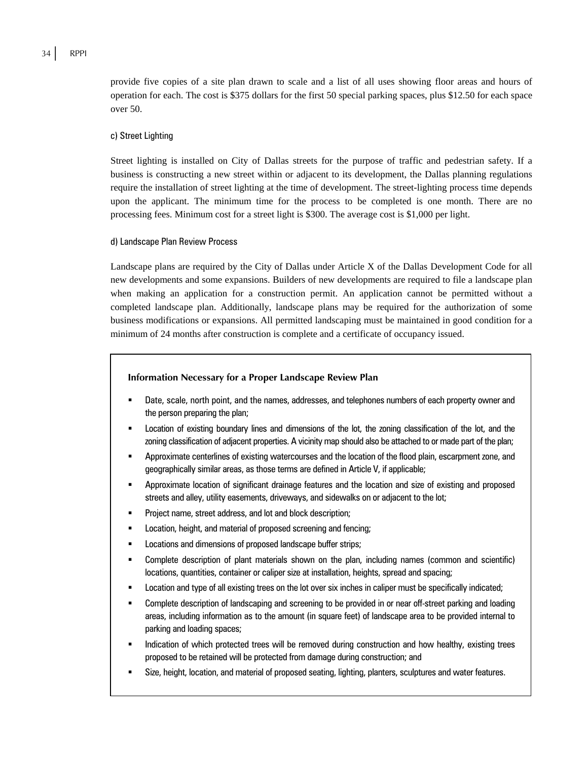provide five copies of a site plan drawn to scale and a list of all uses showing floor areas and hours of operation for each. The cost is \$375 dollars for the first 50 special parking spaces, plus \$12.50 for each space over 50.

#### c) Street Lighting

Street lighting is installed on City of Dallas streets for the purpose of traffic and pedestrian safety. If a business is constructing a new street within or adjacent to its development, the Dallas planning regulations require the installation of street lighting at the time of development. The street-lighting process time depends upon the applicant. The minimum time for the process to be completed is one month. There are no processing fees. Minimum cost for a street light is \$300. The average cost is \$1,000 per light.

#### d) Landscape Plan Review Process

Landscape plans are required by the City of Dallas under Article X of the Dallas Development Code for all new developments and some expansions. Builders of new developments are required to file a landscape plan when making an application for a construction permit. An application cannot be permitted without a completed landscape plan. Additionally, landscape plans may be required for the authorization of some business modifications or expansions. All permitted landscaping must be maintained in good condition for a minimum of 24 months after construction is complete and a certificate of occupancy issued.

#### **Information Necessary for a Proper Landscape Review Plan**

- Date, scale, north point, and the names, addresses, and telephones numbers of each property owner and the person preparing the plan;
- Location of existing boundary lines and dimensions of the lot, the zoning classification of the lot, and the zoning classification of adjacent properties. A vicinity map should also be attached to or made part of the plan;
- Approximate centerlines of existing watercourses and the location of the flood plain, escarpment zone, and geographically similar areas, as those terms are defined in Article V, if applicable;
- Approximate location of significant drainage features and the location and size of existing and proposed streets and alley, utility easements, driveways, and sidewalks on or adjacent to the lot;
- Project name, street address, and lot and block description;
- Location, height, and material of proposed screening and fencing;
- **EXEC** Locations and dimensions of proposed landscape buffer strips;
- Complete description of plant materials shown on the plan, including names (common and scientific) locations, quantities, container or caliper size at installation, heights, spread and spacing;
- Location and type of all existing trees on the lot over six inches in caliper must be specifically indicated;
- Complete description of landscaping and screening to be provided in or near off-street parking and loading areas, including information as to the amount (in square feet) of landscape area to be provided internal to parking and loading spaces;
- Indication of which protected trees will be removed during construction and how healthy, existing trees proposed to be retained will be protected from damage during construction; and
- Size, height, location, and material of proposed seating, lighting, planters, sculptures and water features.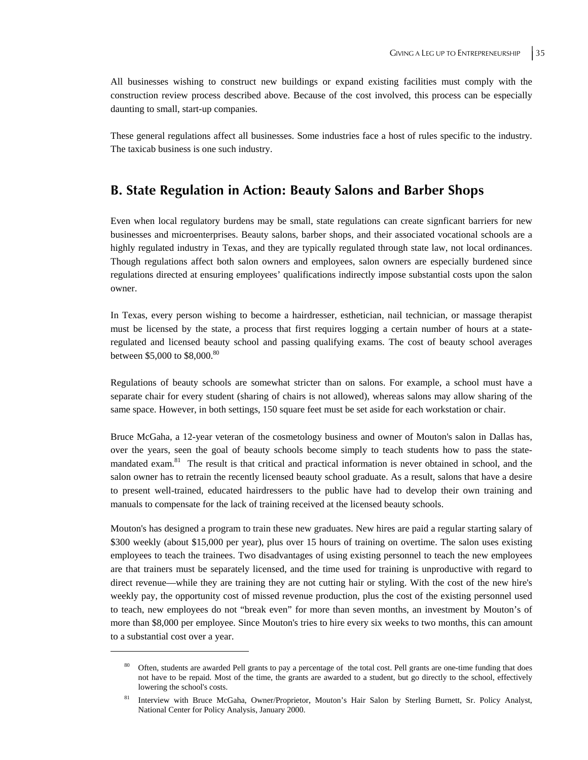All businesses wishing to construct new buildings or expand existing facilities must comply with the construction review process described above. Because of the cost involved, this process can be especially daunting to small, start-up companies.

These general regulations affect all businesses. Some industries face a host of rules specific to the industry. The taxicab business is one such industry.

## **B. State Regulation in Action: Beauty Salons and Barber Shops**

Even when local regulatory burdens may be small, state regulations can create signficant barriers for new businesses and microenterprises. Beauty salons, barber shops, and their associated vocational schools are a highly regulated industry in Texas, and they are typically regulated through state law, not local ordinances. Though regulations affect both salon owners and employees, salon owners are especially burdened since regulations directed at ensuring employees' qualifications indirectly impose substantial costs upon the salon owner.

In Texas, every person wishing to become a hairdresser, esthetician, nail technician, or massage therapist must be licensed by the state, a process that first requires logging a certain number of hours at a stateregulated and licensed beauty school and passing qualifying exams. The cost of beauty school averages between \$5,000 to \$8,000.<sup>80</sup>

Regulations of beauty schools are somewhat stricter than on salons. For example, a school must have a separate chair for every student (sharing of chairs is not allowed), whereas salons may allow sharing of the same space. However, in both settings, 150 square feet must be set aside for each workstation or chair.

Bruce McGaha, a 12-year veteran of the cosmetology business and owner of Mouton's salon in Dallas has, over the years, seen the goal of beauty schools become simply to teach students how to pass the statemandated exam.<sup>81</sup> The result is that critical and practical information is never obtained in school, and the salon owner has to retrain the recently licensed beauty school graduate. As a result, salons that have a desire to present well-trained, educated hairdressers to the public have had to develop their own training and manuals to compensate for the lack of training received at the licensed beauty schools.

Mouton's has designed a program to train these new graduates. New hires are paid a regular starting salary of \$300 weekly (about \$15,000 per year), plus over 15 hours of training on overtime. The salon uses existing employees to teach the trainees. Two disadvantages of using existing personnel to teach the new employees are that trainers must be separately licensed, and the time used for training is unproductive with regard to direct revenue—while they are training they are not cutting hair or styling. With the cost of the new hire's weekly pay, the opportunity cost of missed revenue production, plus the cost of the existing personnel used to teach, new employees do not "break even" for more than seven months, an investment by Mouton's of more than \$8,000 per employee. Since Mouton's tries to hire every six weeks to two months, this can amount to a substantial cost over a year.

Often, students are awarded Pell grants to pay a percentage of the total cost. Pell grants are one-time funding that does not have to be repaid. Most of the time, the grants are awarded to a student, but go directly to the school, effectively lowering the school's costs.

<sup>81</sup> Interview with Bruce McGaha, Owner/Proprietor, Mouton's Hair Salon by Sterling Burnett, Sr. Policy Analyst, National Center for Policy Analysis, January 2000.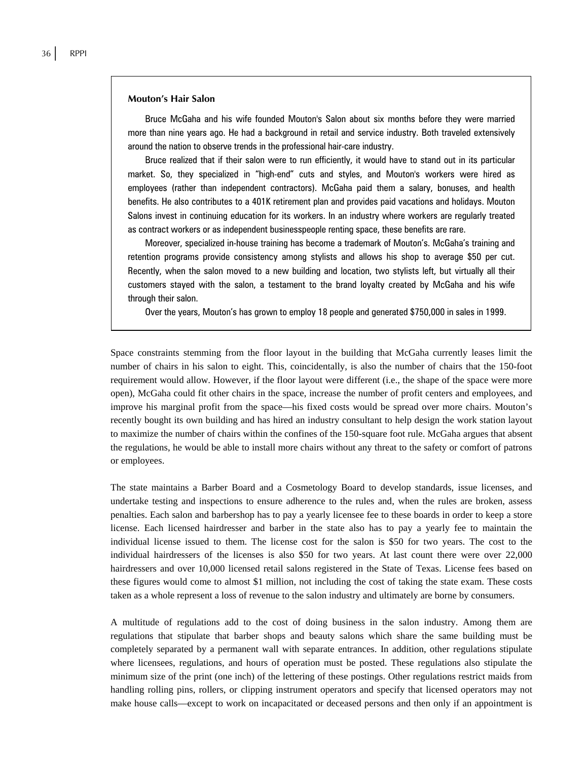#### **Mouton's Hair Salon**

Bruce McGaha and his wife founded Mouton's Salon about six months before they were married more than nine years ago. He had a background in retail and service industry. Both traveled extensively around the nation to observe trends in the professional hair-care industry.

Bruce realized that if their salon were to run efficiently, it would have to stand out in its particular market. So, they specialized in "high-end" cuts and styles, and Mouton's workers were hired as employees (rather than independent contractors). McGaha paid them a salary, bonuses, and health benefits. He also contributes to a 401K retirement plan and provides paid vacations and holidays. Mouton Salons invest in continuing education for its workers. In an industry where workers are regularly treated as contract workers or as independent businesspeople renting space, these benefits are rare.

Moreover, specialized in-house training has become a trademark of Mouton's. McGaha's training and retention programs provide consistency among stylists and allows his shop to average \$50 per cut. Recently, when the salon moved to a new building and location, two stylists left, but virtually all their customers stayed with the salon, a testament to the brand loyalty created by McGaha and his wife through their salon.

Over the years, Mouton's has grown to employ 18 people and generated \$750,000 in sales in 1999.

Space constraints stemming from the floor layout in the building that McGaha currently leases limit the number of chairs in his salon to eight. This, coincidentally, is also the number of chairs that the 150-foot requirement would allow. However, if the floor layout were different (i.e., the shape of the space were more open), McGaha could fit other chairs in the space, increase the number of profit centers and employees, and improve his marginal profit from the space—his fixed costs would be spread over more chairs. Mouton's recently bought its own building and has hired an industry consultant to help design the work station layout to maximize the number of chairs within the confines of the 150-square foot rule. McGaha argues that absent the regulations, he would be able to install more chairs without any threat to the safety or comfort of patrons or employees.

The state maintains a Barber Board and a Cosmetology Board to develop standards, issue licenses, and undertake testing and inspections to ensure adherence to the rules and, when the rules are broken, assess penalties. Each salon and barbershop has to pay a yearly licensee fee to these boards in order to keep a store license. Each licensed hairdresser and barber in the state also has to pay a yearly fee to maintain the individual license issued to them. The license cost for the salon is \$50 for two years. The cost to the individual hairdressers of the licenses is also \$50 for two years. At last count there were over 22,000 hairdressers and over 10,000 licensed retail salons registered in the State of Texas. License fees based on these figures would come to almost \$1 million, not including the cost of taking the state exam. These costs taken as a whole represent a loss of revenue to the salon industry and ultimately are borne by consumers.

A multitude of regulations add to the cost of doing business in the salon industry. Among them are regulations that stipulate that barber shops and beauty salons which share the same building must be completely separated by a permanent wall with separate entrances. In addition, other regulations stipulate where licensees, regulations, and hours of operation must be posted. These regulations also stipulate the minimum size of the print (one inch) of the lettering of these postings. Other regulations restrict maids from handling rolling pins, rollers, or clipping instrument operators and specify that licensed operators may not make house calls—except to work on incapacitated or deceased persons and then only if an appointment is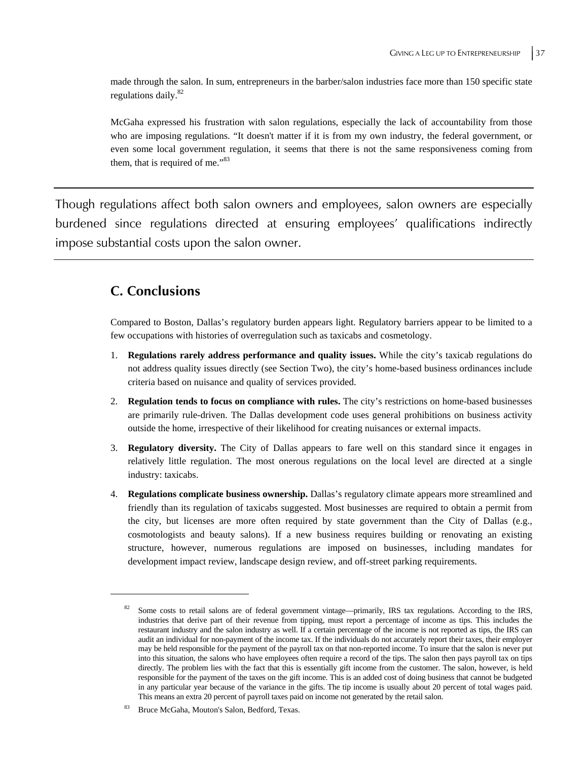made through the salon. In sum, entrepreneurs in the barber/salon industries face more than 150 specific state regulations daily.<sup>82</sup>

McGaha expressed his frustration with salon regulations, especially the lack of accountability from those who are imposing regulations. "It doesn't matter if it is from my own industry, the federal government, or even some local government regulation, it seems that there is not the same responsiveness coming from them, that is required of me."<sup>83</sup>

Though regulations affect both salon owners and employees, salon owners are especially burdened since regulations directed at ensuring employees' qualifications indirectly impose substantial costs upon the salon owner.

# **C. Conclusions**

 $\overline{a}$ 

Compared to Boston, Dallas's regulatory burden appears light. Regulatory barriers appear to be limited to a few occupations with histories of overregulation such as taxicabs and cosmetology.

- 1. **Regulations rarely address performance and quality issues.** While the city's taxicab regulations do not address quality issues directly (see Section Two), the city's home-based business ordinances include criteria based on nuisance and quality of services provided.
- 2. **Regulation tends to focus on compliance with rules.** The city's restrictions on home-based businesses are primarily rule-driven. The Dallas development code uses general prohibitions on business activity outside the home, irrespective of their likelihood for creating nuisances or external impacts.
- 3. **Regulatory diversity.** The City of Dallas appears to fare well on this standard since it engages in relatively little regulation. The most onerous regulations on the local level are directed at a single industry: taxicabs.
- 4. **Regulations complicate business ownership.** Dallas's regulatory climate appears more streamlined and friendly than its regulation of taxicabs suggested. Most businesses are required to obtain a permit from the city, but licenses are more often required by state government than the City of Dallas (e.g., cosmotologists and beauty salons). If a new business requires building or renovating an existing structure, however, numerous regulations are imposed on businesses, including mandates for development impact review, landscape design review, and off-street parking requirements.

<sup>82</sup> Some costs to retail salons are of federal government vintage—primarily, IRS tax regulations. According to the IRS, industries that derive part of their revenue from tipping, must report a percentage of income as tips. This includes the restaurant industry and the salon industry as well. If a certain percentage of the income is not reported as tips, the IRS can audit an individual for non-payment of the income tax. If the individuals do not accurately report their taxes, their employer may be held responsible for the payment of the payroll tax on that non-reported income. To insure that the salon is never put into this situation, the salons who have employees often require a record of the tips. The salon then pays payroll tax on tips directly. The problem lies with the fact that this is essentially gift income from the customer. The salon, however, is held responsible for the payment of the taxes on the gift income. This is an added cost of doing business that cannot be budgeted in any particular year because of the variance in the gifts. The tip income is usually about 20 percent of total wages paid. This means an extra 20 percent of payroll taxes paid on income not generated by the retail salon.

Bruce McGaha, Mouton's Salon, Bedford, Texas.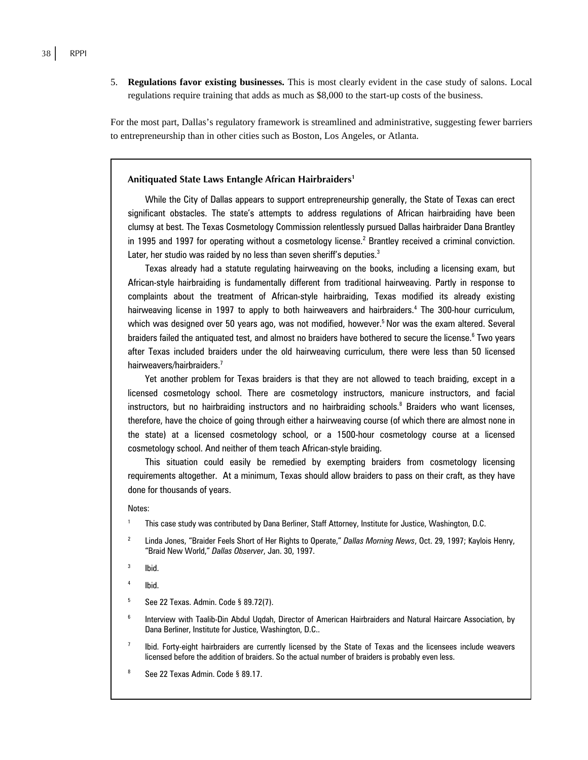5. **Regulations favor existing businesses.** This is most clearly evident in the case study of salons. Local regulations require training that adds as much as \$8,000 to the start-up costs of the business.

For the most part, Dallas's regulatory framework is streamlined and administrative, suggesting fewer barriers to entrepreneurship than in other cities such as Boston, Los Angeles, or Atlanta.

#### **Anitiquated State Laws Entangle African Hairbraiders1**

While the City of Dallas appears to support entrepreneurship generally, the State of Texas can erect significant obstacles. The state's attempts to address regulations of African hairbraiding have been clumsy at best. The Texas Cosmetology Commission relentlessly pursued Dallas hairbraider Dana Brantley in 1995 and 1997 for operating without a cosmetology license.<sup>2</sup> Brantley received a criminal conviction. Later, her studio was raided by no less than seven sheriff's deputies. $3$ 

Texas already had a statute regulating hairweaving on the books, including a licensing exam, but African-style hairbraiding is fundamentally different from traditional hairweaving. Partly in response to complaints about the treatment of African-style hairbraiding, Texas modified its already existing hairweaving license in 1997 to apply to both hairweavers and hairbraiders.<sup>4</sup> The 300-hour curriculum, which was designed over 50 years ago, was not modified, however.<sup>5</sup> Nor was the exam altered. Several braiders failed the antiquated test, and almost no braiders have bothered to secure the license.<sup>6</sup> Two years after Texas included braiders under the old hairweaving curriculum, there were less than 50 licensed hairweavers/hairbraiders.<sup>7</sup>

Yet another problem for Texas braiders is that they are not allowed to teach braiding, except in a licensed cosmetology school. There are cosmetology instructors, manicure instructors, and facial instructors, but no hairbraiding instructors and no hairbraiding schools.<sup>8</sup> Braiders who want licenses, therefore, have the choice of going through either a hairweaving course (of which there are almost none in the state) at a licensed cosmetology school, or a 1500-hour cosmetology course at a licensed cosmetology school. And neither of them teach African-style braiding.

This situation could easily be remedied by exempting braiders from cosmetology licensing requirements altogether. At a minimum, Texas should allow braiders to pass on their craft, as they have done for thousands of years.

#### Notes:

- 1 This case study was contributed by Dana Berliner, Staff Attorney, Institute for Justice, Washington, D.C.
- 2 Linda Jones, "Braider Feels Short of Her Rights to Operate," *Dallas Morning News*, Oct. 29, 1997; Kaylois Henry, "Braid New World," *Dallas Observer*, Jan. 30, 1997.
- 3 Ibid.
- 4 Ibid.
- 5 See 22 Texas. Admin. Code § 89.72(7).
- 6 Interview with Taalib-Din Abdul Uqdah, Director of American Hairbraiders and Natural Haircare Association, by Dana Berliner, Institute for Justice, Washington, D.C..
- 7 Ibid. Forty-eight hairbraiders are currently licensed by the State of Texas and the licensees include weavers licensed before the addition of braiders. So the actual number of braiders is probably even less.
- 8 See 22 Texas Admin. Code § 89.17.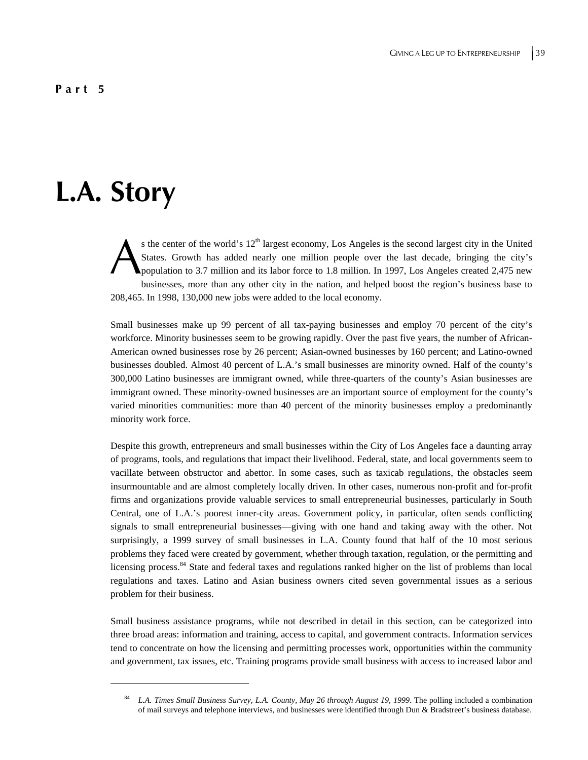### **Part 5**

# **L.A. Story**

 $\overline{a}$ 

s the center of the world's  $12<sup>th</sup>$  largest economy, Los Angeles is the second largest city in the United States. Growth has added nearly one million people over the last decade, bringing the city's population to 3.7 million and its labor force to 1.8 million. In 1997, Los Angeles created 2,475 new businesses, more than any other city in the nation, and helped boost the region's business base to 208,465. In 1998, 130,000 new jobs were added to the local economy. A

Small businesses make up 99 percent of all tax-paying businesses and employ 70 percent of the city's workforce. Minority businesses seem to be growing rapidly. Over the past five years, the number of African-American owned businesses rose by 26 percent; Asian-owned businesses by 160 percent; and Latino-owned businesses doubled. Almost 40 percent of L.A.'s small businesses are minority owned. Half of the county's 300,000 Latino businesses are immigrant owned, while three-quarters of the county's Asian businesses are immigrant owned. These minority-owned businesses are an important source of employment for the county's varied minorities communities: more than 40 percent of the minority businesses employ a predominantly minority work force.

Despite this growth, entrepreneurs and small businesses within the City of Los Angeles face a daunting array of programs, tools, and regulations that impact their livelihood. Federal, state, and local governments seem to vacillate between obstructor and abettor. In some cases, such as taxicab regulations, the obstacles seem insurmountable and are almost completely locally driven. In other cases, numerous non-profit and for-profit firms and organizations provide valuable services to small entrepreneurial businesses, particularly in South Central, one of L.A.'s poorest inner-city areas. Government policy, in particular, often sends conflicting signals to small entrepreneurial businesses—giving with one hand and taking away with the other. Not surprisingly, a 1999 survey of small businesses in L.A. County found that half of the 10 most serious problems they faced were created by government, whether through taxation, regulation, or the permitting and licensing process.<sup>84</sup> State and federal taxes and regulations ranked higher on the list of problems than local regulations and taxes. Latino and Asian business owners cited seven governmental issues as a serious problem for their business.

Small business assistance programs, while not described in detail in this section, can be categorized into three broad areas: information and training, access to capital, and government contracts. Information services tend to concentrate on how the licensing and permitting processes work, opportunities within the community and government, tax issues, etc. Training programs provide small business with access to increased labor and

<sup>84</sup> *L.A. Times Small Business Survey, L.A. County, May 26 through August 19, 1999*. The polling included a combination of mail surveys and telephone interviews, and businesses were identified through Dun & Bradstreet's business database.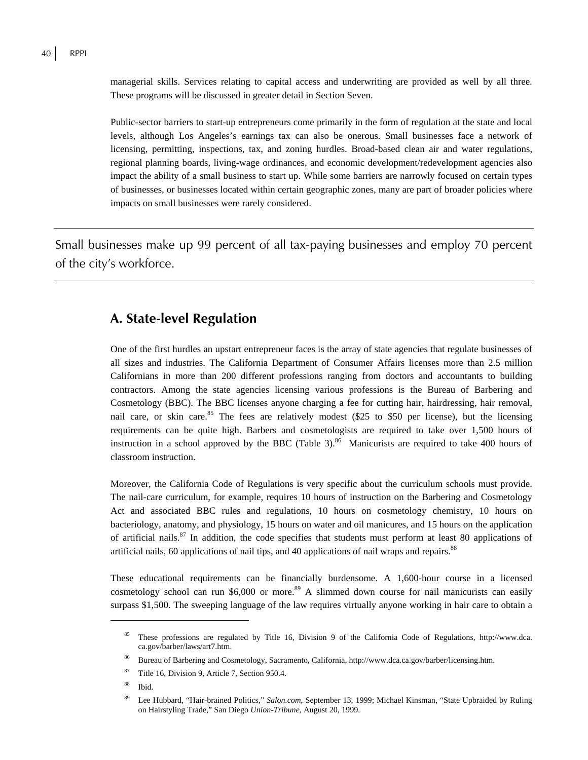managerial skills. Services relating to capital access and underwriting are provided as well by all three. These programs will be discussed in greater detail in Section Seven.

Public-sector barriers to start-up entrepreneurs come primarily in the form of regulation at the state and local levels, although Los Angeles's earnings tax can also be onerous. Small businesses face a network of licensing, permitting, inspections, tax, and zoning hurdles. Broad-based clean air and water regulations, regional planning boards, living-wage ordinances, and economic development/redevelopment agencies also impact the ability of a small business to start up. While some barriers are narrowly focused on certain types of businesses, or businesses located within certain geographic zones, many are part of broader policies where impacts on small businesses were rarely considered.

Small businesses make up 99 percent of all tax-paying businesses and employ 70 percent of the city's workforce.

## **A. State-level Regulation**

One of the first hurdles an upstart entrepreneur faces is the array of state agencies that regulate businesses of all sizes and industries. The California Department of Consumer Affairs licenses more than 2.5 million Californians in more than 200 different professions ranging from doctors and accountants to building contractors. Among the state agencies licensing various professions is the Bureau of Barbering and Cosmetology (BBC). The BBC licenses anyone charging a fee for cutting hair, hairdressing, hair removal, nail care, or skin care.<sup>85</sup> The fees are relatively modest  $(\$25$  to  $\$50$  per license), but the licensing requirements can be quite high. Barbers and cosmetologists are required to take over 1,500 hours of instruction in a school approved by the BBC (Table 3). $86$  Manicurists are required to take 400 hours of classroom instruction.

Moreover, the California Code of Regulations is very specific about the curriculum schools must provide. The nail-care curriculum, for example, requires 10 hours of instruction on the Barbering and Cosmetology Act and associated BBC rules and regulations, 10 hours on cosmetology chemistry, 10 hours on bacteriology, anatomy, and physiology, 15 hours on water and oil manicures, and 15 hours on the application of artificial nails.<sup>87</sup> In addition, the code specifies that students must perform at least 80 applications of artificial nails, 60 applications of nail tips, and 40 applications of nail wraps and repairs.<sup>88</sup>

These educational requirements can be financially burdensome. A 1,600-hour course in a licensed cosmetology school can run \$6,000 or more.<sup>89</sup> A slimmed down course for nail manicurists can easily surpass \$1,500. The sweeping language of the law requires virtually anyone working in hair care to obtain a

<sup>85</sup> These professions are regulated by Title 16, Division 9 of the California Code of Regulations, http://www.dca. ca.gov/barber/laws/art7.htm.

<sup>86</sup> Bureau of Barbering and Cosmetology, Sacramento, California, http://www.dca.ca.gov/barber/licensing.htm.

Title 16, Division 9, Article 7, Section 950.4.

<sup>88</sup> Ibid.

<sup>89</sup> Lee Hubbard, "Hair-brained Politics," *Salon.com*, September 13, 1999; Michael Kinsman, "State Upbraided by Ruling on Hairstyling Trade," San Diego *Union-Tribune*, August 20, 1999.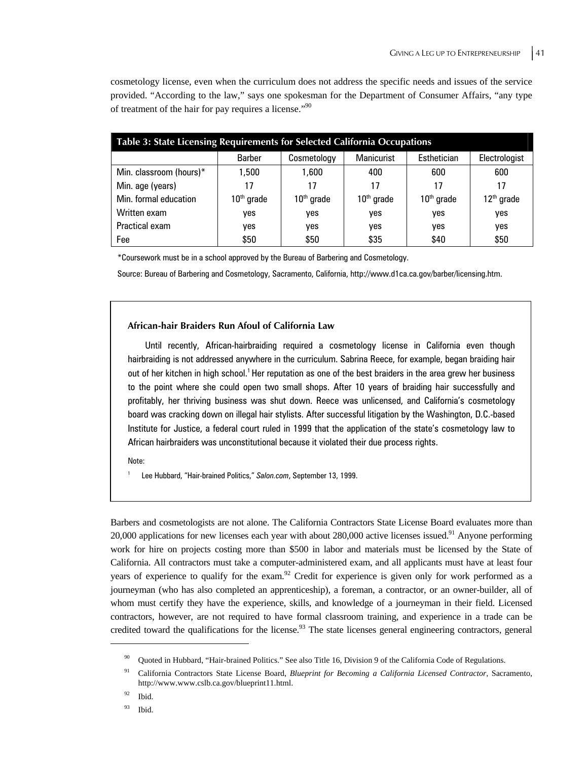cosmetology license, even when the curriculum does not address the specific needs and issues of the service provided. "According to the law," says one spokesman for the Department of Consumer Affairs, "any type of treatment of the hair for pay requires a license."90

| Table 3: State Licensing Requirements for Selected California Occupations |               |              |                   |              |               |
|---------------------------------------------------------------------------|---------------|--------------|-------------------|--------------|---------------|
|                                                                           | <b>Barber</b> | Cosmetology  | <b>Manicurist</b> | Esthetician  | Electrologist |
| Min. classroom (hours)*                                                   | 1,500         | 1,600        | 400               | 600          | 600           |
| Min. age (years)                                                          | 17            | 17           | 17                | 17           | 17            |
| Min. formal education                                                     | $10th$ grade  | $10th$ grade | $10th$ grade      | $10th$ grade | $12th$ grade  |
| Written exam                                                              | yes           | yes          | yes               | yes          | yes           |
| Practical exam                                                            | yes           | ves          | yes               | yes          | yes           |
| Fee                                                                       | \$50          | \$50         | \$35              | \$40         | \$50          |

\*Coursework must be in a school approved by the Bureau of Barbering and Cosmetology.

Source: Bureau of Barbering and Cosmetology, Sacramento, California, http://www.d1ca.ca.gov/barber/licensing.htm.

#### **African-hair Braiders Run Afoul of California Law**

Until recently, African-hairbraiding required a cosmetology license in California even though hairbraiding is not addressed anywhere in the curriculum. Sabrina Reece, for example, began braiding hair out of her kitchen in high school.<sup>1</sup> Her reputation as one of the best braiders in the area grew her business to the point where she could open two small shops. After 10 years of braiding hair successfully and profitably, her thriving business was shut down. Reece was unlicensed, and California's cosmetology board was cracking down on illegal hair stylists. After successful litigation by the Washington, D.C.-based Institute for Justice, a federal court ruled in 1999 that the application of the state's cosmetology law to African hairbraiders was unconstitutional because it violated their due process rights.

Note:

1

Lee Hubbard, "Hair-brained Politics," *Salon.com*, September 13, 1999.

Barbers and cosmetologists are not alone. The California Contractors State License Board evaluates more than 20,000 applications for new licenses each year with about 280,000 active licenses issued.<sup>91</sup> Anyone performing work for hire on projects costing more than \$500 in labor and materials must be licensed by the State of California. All contractors must take a computer-administered exam, and all applicants must have at least four years of experience to qualify for the exam.<sup>92</sup> Credit for experience is given only for work performed as a journeyman (who has also completed an apprenticeship), a foreman, a contractor, or an owner-builder, all of whom must certify they have the experience, skills, and knowledge of a journeyman in their field. Licensed contractors, however, are not required to have formal classroom training, and experience in a trade can be credited toward the qualifications for the license.<sup>93</sup> The state licenses general engineering contractors, general

<sup>&</sup>lt;sup>90</sup> Quoted in Hubbard, "Hair-brained Politics." See also Title 16, Division 9 of the California Code of Regulations.

<sup>91</sup> California Contractors State License Board, *Blueprint for Becoming a California Licensed Contractor*, Sacramento, http://www.www.cslb.ca.gov/blueprint11.html.

<sup>92</sup> Ibid.

 $93$  Ibid.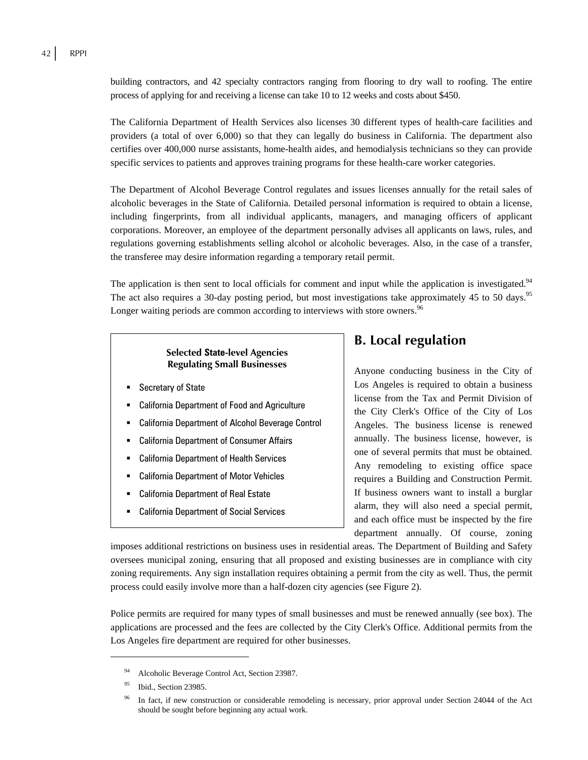building contractors, and 42 specialty contractors ranging from flooring to dry wall to roofing. The entire process of applying for and receiving a license can take 10 to 12 weeks and costs about \$450.

The California Department of Health Services also licenses 30 different types of health-care facilities and providers (a total of over 6,000) so that they can legally do business in California. The department also certifies over 400,000 nurse assistants, home-health aides, and hemodialysis technicians so they can provide specific services to patients and approves training programs for these health-care worker categories.

The Department of Alcohol Beverage Control regulates and issues licenses annually for the retail sales of alcoholic beverages in the State of California. Detailed personal information is required to obtain a license, including fingerprints, from all individual applicants, managers, and managing officers of applicant corporations. Moreover, an employee of the department personally advises all applicants on laws, rules, and regulations governing establishments selling alcohol or alcoholic beverages. Also, in the case of a transfer, the transferee may desire information regarding a temporary retail permit.

The application is then sent to local officials for comment and input while the application is investigated.<sup>94</sup> The act also requires a 30-day posting period, but most investigations take approximately 45 to 50 days.<sup>95</sup> Longer waiting periods are common according to interviews with store owners.<sup>96</sup>

## **Selected State-level Agencies Regulating Small Businesses**

- Secretary of State
- California Department of Food and Agriculture
- California Department of Alcohol Beverage Control
- California Department of Consumer Affairs
- California Department of Health Services
- California Department of Motor Vehicles
- California Department of Real Estate
- California Department of Social Services

## **B. Local regulation**

Anyone conducting business in the City of Los Angeles is required to obtain a business license from the Tax and Permit Division of the City Clerk's Office of the City of Los Angeles. The business license is renewed annually. The business license, however, is one of several permits that must be obtained. Any remodeling to existing office space requires a Building and Construction Permit. If business owners want to install a burglar alarm, they will also need a special permit, and each office must be inspected by the fire department annually. Of course, zoning

imposes additional restrictions on business uses in residential areas. The Department of Building and Safety oversees municipal zoning, ensuring that all proposed and existing businesses are in compliance with city zoning requirements. Any sign installation requires obtaining a permit from the city as well. Thus, the permit process could easily involve more than a half-dozen city agencies (see Figure 2).

Police permits are required for many types of small businesses and must be renewed annually (see box). The applications are processed and the fees are collected by the City Clerk's Office. Additional permits from the Los Angeles fire department are required for other businesses.

Alcoholic Beverage Control Act, Section 23987.

<sup>&</sup>lt;sup>95</sup> Ibid., Section 23985.

<sup>&</sup>lt;sup>96</sup> In fact, if new construction or considerable remodeling is necessary, prior approval under Section 24044 of the Act should be sought before beginning any actual work.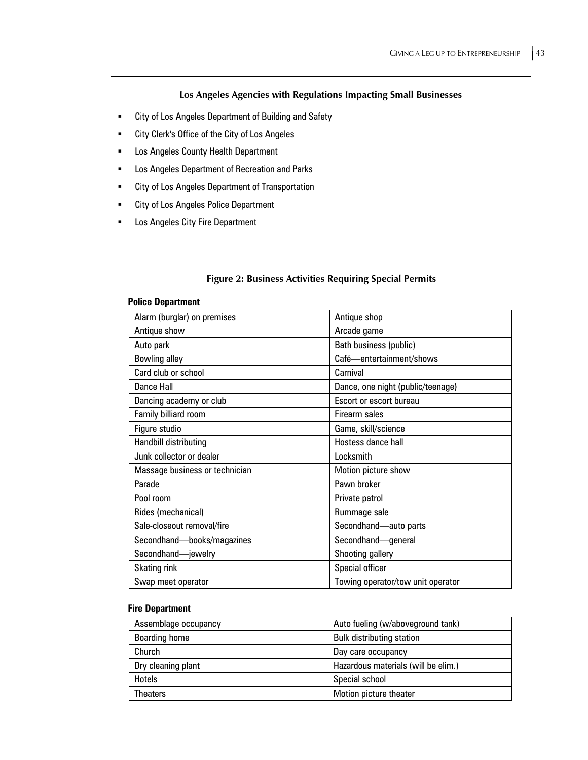## **Los Angeles Agencies with Regulations Impacting Small Businesses**

- City of Los Angeles Department of Building and Safety
- City Clerk's Office of the City of Los Angeles
- **EXED: Los Angeles County Health Department**
- **EXECT:** Los Angeles Department of Recreation and Parks
- City of Los Angeles Department of Transportation
- **EXECT:** City of Los Angeles Police Department
- **EXEC** Los Angeles City Fire Department

| <b>Police Department</b><br>Alarm (burglar) on premises | Antique shop                      |
|---------------------------------------------------------|-----------------------------------|
| Antique show                                            | Arcade game                       |
| Auto park                                               | Bath business (public)            |
| <b>Bowling alley</b>                                    | Café-entertainment/shows          |
| Card club or school                                     | Carnival                          |
| Dance Hall                                              | Dance, one night (public/teenage) |
| Dancing academy or club                                 | Escort or escort bureau           |
| Family billiard room                                    | Firearm sales                     |
| Figure studio                                           | Game, skill/science               |
| Handbill distributing                                   | Hostess dance hall                |
| Junk collector or dealer                                | Locksmith                         |
| Massage business or technician                          | Motion picture show               |
| Parade                                                  | Pawn broker                       |
| Pool room                                               | Private patrol                    |
| Rides (mechanical)                                      | Rummage sale                      |
| Sale-closeout removal/fire                              | Secondhand-auto parts             |
| Secondhand-books/magazines                              | Secondhand-general                |
| Secondhand-jewelry                                      | Shooting gallery                  |
| <b>Skating rink</b>                                     | Special officer                   |
| Swap meet operator                                      | Towing operator/tow unit operator |

### **Fire Department**

| Assemblage occupancy | Auto fueling (w/aboveground tank)   |
|----------------------|-------------------------------------|
| <b>Boarding home</b> | <b>Bulk distributing station</b>    |
| Church               | Day care occupancy                  |
| Dry cleaning plant   | Hazardous materials (will be elim.) |
| Hotels               | Special school                      |
| Theaters             | Motion picture theater              |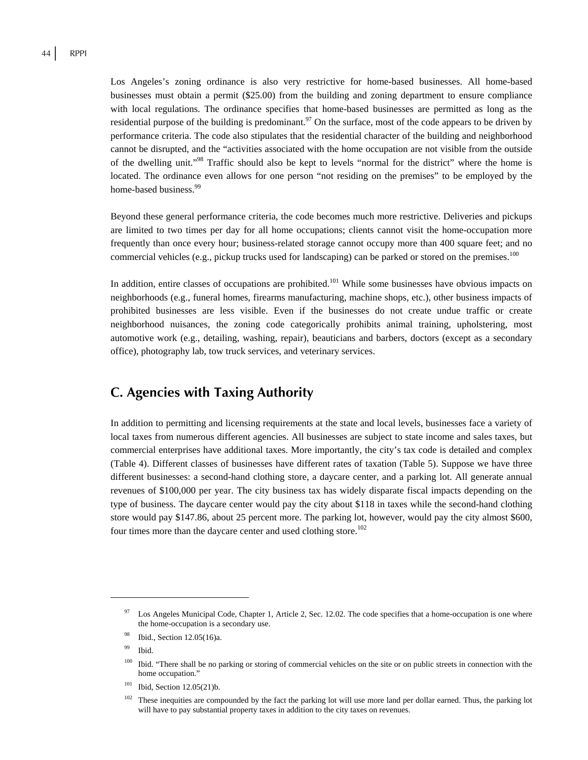Los Angeles's zoning ordinance is also very restrictive for home-based businesses. All home-based businesses must obtain a permit (\$25.00) from the building and zoning department to ensure compliance with local regulations. The ordinance specifies that home-based businesses are permitted as long as the residential purpose of the building is predominant.<sup>97</sup> On the surface, most of the code appears to be driven by performance criteria. The code also stipulates that the residential character of the building and neighborhood cannot be disrupted, and the "activities associated with the home occupation are not visible from the outside of the dwelling unit."98 Traffic should also be kept to levels "normal for the district" where the home is located. The ordinance even allows for one person "not residing on the premises" to be employed by the home-based business.<sup>99</sup>

Beyond these general performance criteria, the code becomes much more restrictive. Deliveries and pickups are limited to two times per day for all home occupations; clients cannot visit the home-occupation more frequently than once every hour; business-related storage cannot occupy more than 400 square feet; and no commercial vehicles (e.g., pickup trucks used for landscaping) can be parked or stored on the premises.<sup>100</sup>

In addition, entire classes of occupations are prohibited.<sup>101</sup> While some businesses have obvious impacts on neighborhoods (e.g., funeral homes, firearms manufacturing, machine shops, etc.), other business impacts of prohibited businesses are less visible. Even if the businesses do not create undue traffic or create neighborhood nuisances, the zoning code categorically prohibits animal training, upholstering, most automotive work (e.g., detailing, washing, repair), beauticians and barbers, doctors (except as a secondary office), photography lab, tow truck services, and veterinary services.

# **C. Agencies with Taxing Authority**

In addition to permitting and licensing requirements at the state and local levels, businesses face a variety of local taxes from numerous different agencies. All businesses are subject to state income and sales taxes, but commercial enterprises have additional taxes. More importantly, the city's tax code is detailed and complex (Table 4). Different classes of businesses have different rates of taxation (Table 5). Suppose we have three different businesses: a second-hand clothing store, a daycare center, and a parking lot. All generate annual revenues of \$100,000 per year. The city business tax has widely disparate fiscal impacts depending on the type of business. The daycare center would pay the city about \$118 in taxes while the second-hand clothing store would pay \$147.86, about 25 percent more. The parking lot, however, would pay the city almost \$600, four times more than the daycare center and used clothing store.<sup>102</sup>

Los Angeles Municipal Code, Chapter 1, Article 2, Sec. 12.02. The code specifies that a home-occupation is one where the home-occupation is a secondary use.

<sup>98</sup> Ibid., Section 12.05(16)a.

<sup>99</sup> Ibid.

<sup>&</sup>lt;sup>100</sup> Ibid. "There shall be no parking or storing of commercial vehicles on the site or on public streets in connection with the home occupation."

 $101$  Ibid, Section 12.05(21)b.

 $102$  These inequities are compounded by the fact the parking lot will use more land per dollar earned. Thus, the parking lot will have to pay substantial property taxes in addition to the city taxes on revenues.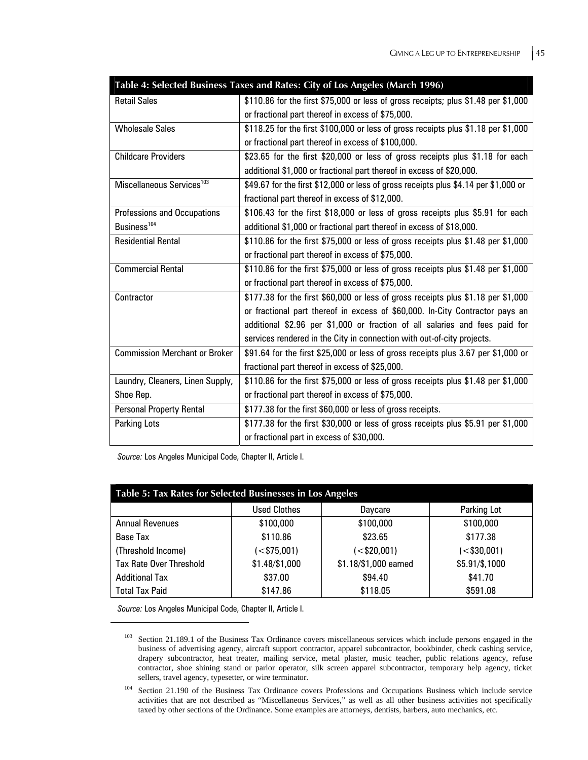| Table 4: Selected Business Taxes and Rates: City of Los Angeles (March 1996) |                                                                                     |  |  |
|------------------------------------------------------------------------------|-------------------------------------------------------------------------------------|--|--|
| <b>Retail Sales</b>                                                          | \$110.86 for the first \$75,000 or less of gross receipts; plus \$1.48 per \$1,000  |  |  |
|                                                                              | or fractional part thereof in excess of \$75,000.                                   |  |  |
| <b>Wholesale Sales</b>                                                       | \$118.25 for the first \$100,000 or less of gross receipts plus \$1.18 per \$1,000  |  |  |
|                                                                              | or fractional part thereof in excess of \$100,000.                                  |  |  |
| <b>Childcare Providers</b>                                                   | \$23.65 for the first \$20,000 or less of gross receipts plus \$1.18 for each       |  |  |
|                                                                              | additional \$1,000 or fractional part thereof in excess of \$20,000.                |  |  |
| Miscellaneous Services <sup>103</sup>                                        | \$49.67 for the first \$12,000 or less of gross receipts plus \$4.14 per \$1,000 or |  |  |
|                                                                              | fractional part thereof in excess of \$12,000.                                      |  |  |
| <b>Professions and Occupations</b>                                           | \$106.43 for the first \$18,000 or less of gross receipts plus \$5.91 for each      |  |  |
| Business <sup>104</sup>                                                      | additional \$1,000 or fractional part thereof in excess of \$18,000.                |  |  |
| <b>Residential Rental</b>                                                    | \$110.86 for the first \$75,000 or less of gross receipts plus \$1.48 per \$1,000   |  |  |
|                                                                              | or fractional part thereof in excess of \$75,000.                                   |  |  |
| <b>Commercial Rental</b>                                                     | \$110.86 for the first \$75,000 or less of gross receipts plus \$1.48 per \$1,000   |  |  |
|                                                                              | or fractional part thereof in excess of \$75,000.                                   |  |  |
| Contractor                                                                   | \$177.38 for the first \$60,000 or less of gross receipts plus \$1.18 per \$1,000   |  |  |
|                                                                              | or fractional part thereof in excess of \$60,000. In-City Contractor pays an        |  |  |
|                                                                              | additional \$2.96 per \$1,000 or fraction of all salaries and fees paid for         |  |  |
|                                                                              | services rendered in the City in connection with out-of-city projects.              |  |  |
| <b>Commission Merchant or Broker</b>                                         | \$91.64 for the first \$25,000 or less of gross receipts plus 3.67 per \$1,000 or   |  |  |
|                                                                              | fractional part thereof in excess of \$25,000.                                      |  |  |
| Laundry, Cleaners, Linen Supply,                                             | \$110.86 for the first \$75,000 or less of gross receipts plus \$1.48 per \$1,000   |  |  |
| Shoe Rep.                                                                    | or fractional part thereof in excess of \$75,000.                                   |  |  |
| <b>Personal Property Rental</b>                                              | \$177.38 for the first \$60,000 or less of gross receipts.                          |  |  |
| <b>Parking Lots</b>                                                          | \$177.38 for the first \$30,000 or less of gross receipts plus \$5.91 per \$1,000   |  |  |
|                                                                              | or fractional part in excess of \$30,000.                                           |  |  |

*Source:* Los Angeles Municipal Code, Chapter II, Article I.

| Table 5: Tax Rates for Selected Businesses in Los Angeles |                     |                       |                            |
|-----------------------------------------------------------|---------------------|-----------------------|----------------------------|
|                                                           | <b>Used Clothes</b> | Daycare               | Parking Lot                |
| <b>Annual Revenues</b>                                    | \$100,000           | \$100,000             | \$100,000                  |
| Base Tax                                                  | \$110.86            | \$23.65               | \$177.38                   |
| (Threshold Income)                                        | $(<$ \$75,001)      | $\leq$ \$20,001)      | $\left( < $30,001 \right)$ |
| <b>Tax Rate Over Threshold</b>                            | \$1.48/\$1,000      | \$1.18/\$1,000 earned | \$5.91/\$,1000             |
| <b>Additional Tax</b>                                     | \$37.00             | \$94.40               | \$41.70                    |
| <b>Total Tax Paid</b>                                     | \$147.86            | \$118.05              | \$591.08                   |

*Source:* Los Angeles Municipal Code, Chapter II, Article I.

1

<sup>&</sup>lt;sup>103</sup> Section 21.189.1 of the Business Tax Ordinance covers miscellaneous services which include persons engaged in the business of advertising agency, aircraft support contractor, apparel subcontractor, bookbinder, check cashing service, drapery subcontractor, heat treater, mailing service, metal plaster, music teacher, public relations agency, refuse contractor, shoe shining stand or parlor operator, silk screen apparel subcontractor, temporary help agency, ticket sellers, travel agency, typesetter, or wire terminator.

<sup>&</sup>lt;sup>104</sup> Section 21.190 of the Business Tax Ordinance covers Professions and Occupations Business which include service activities that are not described as "Miscellaneous Services," as well as all other business activities not specifically taxed by other sections of the Ordinance. Some examples are attorneys, dentists, barbers, auto mechanics, etc.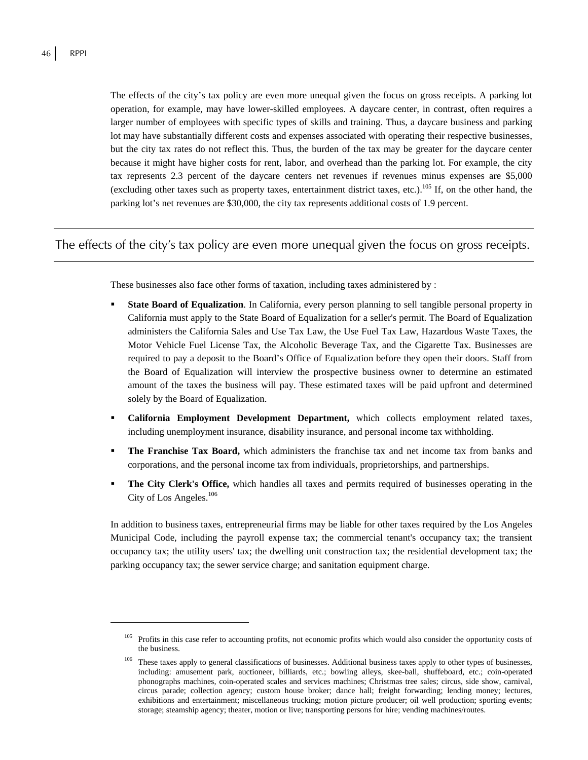1

The effects of the city's tax policy are even more unequal given the focus on gross receipts. A parking lot operation, for example, may have lower-skilled employees. A daycare center, in contrast, often requires a larger number of employees with specific types of skills and training. Thus, a daycare business and parking lot may have substantially different costs and expenses associated with operating their respective businesses, but the city tax rates do not reflect this. Thus, the burden of the tax may be greater for the daycare center because it might have higher costs for rent, labor, and overhead than the parking lot. For example, the city tax represents 2.3 percent of the daycare centers net revenues if revenues minus expenses are \$5,000 (excluding other taxes such as property taxes, entertainment district taxes, etc.).<sup>105</sup> If, on the other hand, the parking lot's net revenues are \$30,000, the city tax represents additional costs of 1.9 percent.

## The effects of the city's tax policy are even more unequal given the focus on gross receipts.

These businesses also face other forms of taxation, including taxes administered by :

- **State Board of Equalization**. In California, every person planning to sell tangible personal property in California must apply to the State Board of Equalization for a seller's permit. The Board of Equalization administers the California Sales and Use Tax Law, the Use Fuel Tax Law, Hazardous Waste Taxes, the Motor Vehicle Fuel License Tax, the Alcoholic Beverage Tax, and the Cigarette Tax. Businesses are required to pay a deposit to the Board's Office of Equalization before they open their doors. Staff from the Board of Equalization will interview the prospective business owner to determine an estimated amount of the taxes the business will pay. These estimated taxes will be paid upfront and determined solely by the Board of Equalization.
- **California Employment Development Department,** which collects employment related taxes, including unemployment insurance, disability insurance, and personal income tax withholding.
- **The Franchise Tax Board,** which administers the franchise tax and net income tax from banks and corporations, and the personal income tax from individuals, proprietorships, and partnerships.
- **The City Clerk's Office,** which handles all taxes and permits required of businesses operating in the City of Los Angeles.<sup>106</sup>

In addition to business taxes, entrepreneurial firms may be liable for other taxes required by the Los Angeles Municipal Code, including the payroll expense tax; the commercial tenant's occupancy tax; the transient occupancy tax; the utility users' tax; the dwelling unit construction tax; the residential development tax; the parking occupancy tax; the sewer service charge; and sanitation equipment charge.

<sup>&</sup>lt;sup>105</sup> Profits in this case refer to accounting profits, not economic profits which would also consider the opportunity costs of the business.

These taxes apply to general classifications of businesses. Additional business taxes apply to other types of businesses, including: amusement park, auctioneer, billiards, etc.; bowling alleys, skee-ball, shuffeboard, etc.; coin-operated phonographs machines, coin-operated scales and services machines; Christmas tree sales; circus, side show, carnival, circus parade; collection agency; custom house broker; dance hall; freight forwarding; lending money; lectures, exhibitions and entertainment; miscellaneous trucking; motion picture producer; oil well production; sporting events; storage; steamship agency; theater, motion or live; transporting persons for hire; vending machines/routes.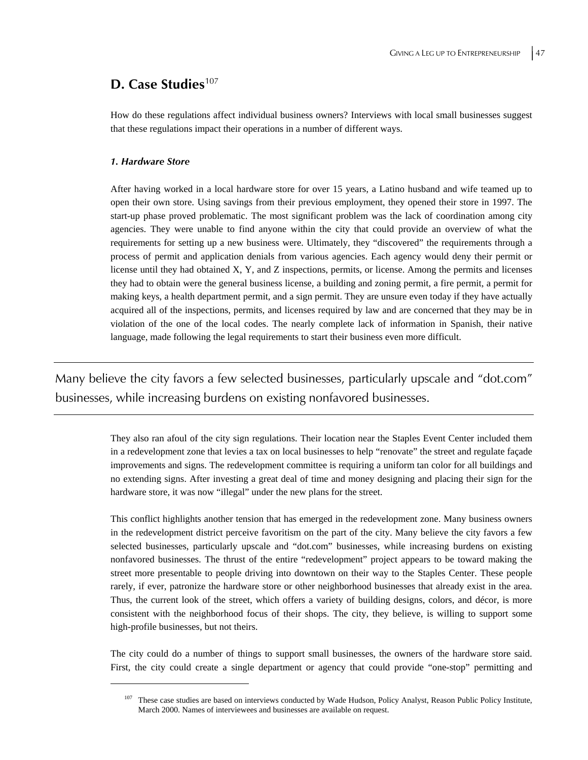## **D. Case Studies**<sup>107</sup>

How do these regulations affect individual business owners? Interviews with local small businesses suggest that these regulations impact their operations in a number of different ways.

#### *1. Hardware Store*

 $\overline{a}$ 

After having worked in a local hardware store for over 15 years, a Latino husband and wife teamed up to open their own store. Using savings from their previous employment, they opened their store in 1997. The start-up phase proved problematic. The most significant problem was the lack of coordination among city agencies. They were unable to find anyone within the city that could provide an overview of what the requirements for setting up a new business were. Ultimately, they "discovered" the requirements through a process of permit and application denials from various agencies. Each agency would deny their permit or license until they had obtained X, Y, and Z inspections, permits, or license. Among the permits and licenses they had to obtain were the general business license, a building and zoning permit, a fire permit, a permit for making keys, a health department permit, and a sign permit. They are unsure even today if they have actually acquired all of the inspections, permits, and licenses required by law and are concerned that they may be in violation of the one of the local codes. The nearly complete lack of information in Spanish, their native language, made following the legal requirements to start their business even more difficult.

Many believe the city favors a few selected businesses, particularly upscale and "dot.com" businesses, while increasing burdens on existing nonfavored businesses.

> They also ran afoul of the city sign regulations. Their location near the Staples Event Center included them in a redevelopment zone that levies a tax on local businesses to help "renovate" the street and regulate façade improvements and signs. The redevelopment committee is requiring a uniform tan color for all buildings and no extending signs. After investing a great deal of time and money designing and placing their sign for the hardware store, it was now "illegal" under the new plans for the street.

> This conflict highlights another tension that has emerged in the redevelopment zone. Many business owners in the redevelopment district perceive favoritism on the part of the city. Many believe the city favors a few selected businesses, particularly upscale and "dot.com" businesses, while increasing burdens on existing nonfavored businesses. The thrust of the entire "redevelopment" project appears to be toward making the street more presentable to people driving into downtown on their way to the Staples Center. These people rarely, if ever, patronize the hardware store or other neighborhood businesses that already exist in the area. Thus, the current look of the street, which offers a variety of building designs, colors, and décor, is more consistent with the neighborhood focus of their shops. The city, they believe, is willing to support some high-profile businesses, but not theirs.

> The city could do a number of things to support small businesses, the owners of the hardware store said. First, the city could create a single department or agency that could provide "one-stop" permitting and

<sup>107</sup> These case studies are based on interviews conducted by Wade Hudson, Policy Analyst, Reason Public Policy Institute, March 2000. Names of interviewees and businesses are available on request.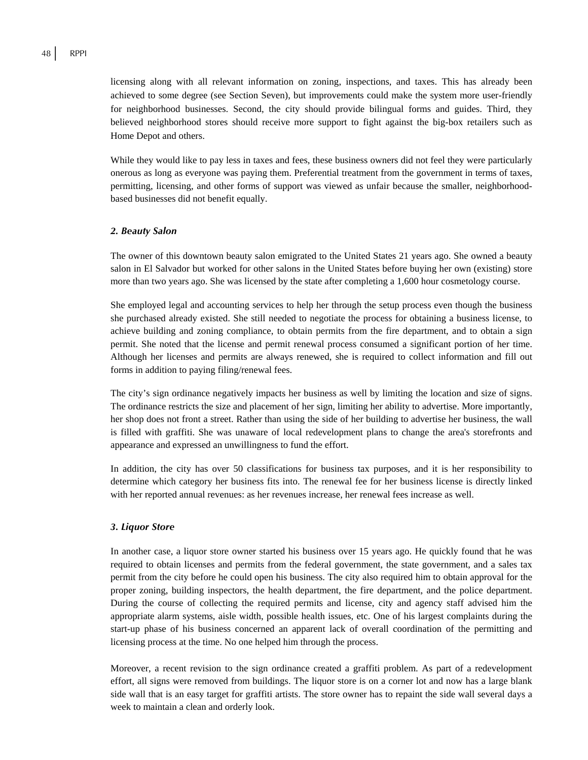licensing along with all relevant information on zoning, inspections, and taxes. This has already been achieved to some degree (see Section Seven), but improvements could make the system more user-friendly for neighborhood businesses. Second, the city should provide bilingual forms and guides. Third, they believed neighborhood stores should receive more support to fight against the big-box retailers such as Home Depot and others.

While they would like to pay less in taxes and fees, these business owners did not feel they were particularly onerous as long as everyone was paying them. Preferential treatment from the government in terms of taxes, permitting, licensing, and other forms of support was viewed as unfair because the smaller, neighborhoodbased businesses did not benefit equally.

#### *2. Beauty Salon*

The owner of this downtown beauty salon emigrated to the United States 21 years ago. She owned a beauty salon in El Salvador but worked for other salons in the United States before buying her own (existing) store more than two years ago. She was licensed by the state after completing a 1,600 hour cosmetology course.

She employed legal and accounting services to help her through the setup process even though the business she purchased already existed. She still needed to negotiate the process for obtaining a business license, to achieve building and zoning compliance, to obtain permits from the fire department, and to obtain a sign permit. She noted that the license and permit renewal process consumed a significant portion of her time. Although her licenses and permits are always renewed, she is required to collect information and fill out forms in addition to paying filing/renewal fees.

The city's sign ordinance negatively impacts her business as well by limiting the location and size of signs. The ordinance restricts the size and placement of her sign, limiting her ability to advertise. More importantly, her shop does not front a street. Rather than using the side of her building to advertise her business, the wall is filled with graffiti. She was unaware of local redevelopment plans to change the area's storefronts and appearance and expressed an unwillingness to fund the effort.

In addition, the city has over 50 classifications for business tax purposes, and it is her responsibility to determine which category her business fits into. The renewal fee for her business license is directly linked with her reported annual revenues: as her revenues increase, her renewal fees increase as well.

#### *3. Liquor Store*

In another case, a liquor store owner started his business over 15 years ago. He quickly found that he was required to obtain licenses and permits from the federal government, the state government, and a sales tax permit from the city before he could open his business. The city also required him to obtain approval for the proper zoning, building inspectors, the health department, the fire department, and the police department. During the course of collecting the required permits and license, city and agency staff advised him the appropriate alarm systems, aisle width, possible health issues, etc. One of his largest complaints during the start-up phase of his business concerned an apparent lack of overall coordination of the permitting and licensing process at the time. No one helped him through the process.

Moreover, a recent revision to the sign ordinance created a graffiti problem. As part of a redevelopment effort, all signs were removed from buildings. The liquor store is on a corner lot and now has a large blank side wall that is an easy target for graffiti artists. The store owner has to repaint the side wall several days a week to maintain a clean and orderly look.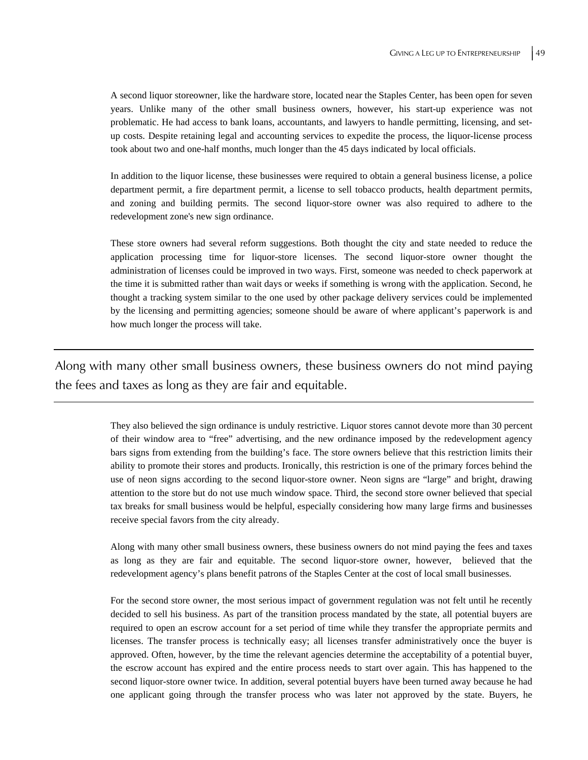A second liquor storeowner, like the hardware store, located near the Staples Center, has been open for seven years. Unlike many of the other small business owners, however, his start-up experience was not problematic. He had access to bank loans, accountants, and lawyers to handle permitting, licensing, and setup costs. Despite retaining legal and accounting services to expedite the process, the liquor-license process took about two and one-half months, much longer than the 45 days indicated by local officials.

In addition to the liquor license, these businesses were required to obtain a general business license, a police department permit, a fire department permit, a license to sell tobacco products, health department permits, and zoning and building permits. The second liquor-store owner was also required to adhere to the redevelopment zone's new sign ordinance.

These store owners had several reform suggestions. Both thought the city and state needed to reduce the application processing time for liquor-store licenses. The second liquor-store owner thought the administration of licenses could be improved in two ways. First, someone was needed to check paperwork at the time it is submitted rather than wait days or weeks if something is wrong with the application. Second, he thought a tracking system similar to the one used by other package delivery services could be implemented by the licensing and permitting agencies; someone should be aware of where applicant's paperwork is and how much longer the process will take.

Along with many other small business owners, these business owners do not mind paying the fees and taxes as long as they are fair and equitable.

> They also believed the sign ordinance is unduly restrictive. Liquor stores cannot devote more than 30 percent of their window area to "free" advertising, and the new ordinance imposed by the redevelopment agency bars signs from extending from the building's face. The store owners believe that this restriction limits their ability to promote their stores and products. Ironically, this restriction is one of the primary forces behind the use of neon signs according to the second liquor-store owner. Neon signs are "large" and bright, drawing attention to the store but do not use much window space. Third, the second store owner believed that special tax breaks for small business would be helpful, especially considering how many large firms and businesses receive special favors from the city already.

> Along with many other small business owners, these business owners do not mind paying the fees and taxes as long as they are fair and equitable. The second liquor-store owner, however, believed that the redevelopment agency's plans benefit patrons of the Staples Center at the cost of local small businesses.

> For the second store owner, the most serious impact of government regulation was not felt until he recently decided to sell his business. As part of the transition process mandated by the state, all potential buyers are required to open an escrow account for a set period of time while they transfer the appropriate permits and licenses. The transfer process is technically easy; all licenses transfer administratively once the buyer is approved. Often, however, by the time the relevant agencies determine the acceptability of a potential buyer, the escrow account has expired and the entire process needs to start over again. This has happened to the second liquor-store owner twice. In addition, several potential buyers have been turned away because he had one applicant going through the transfer process who was later not approved by the state. Buyers, he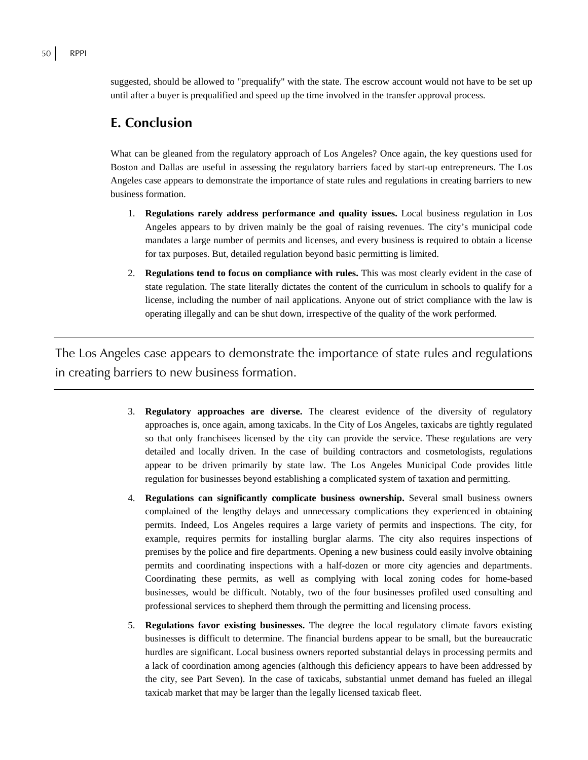suggested, should be allowed to "prequalify" with the state. The escrow account would not have to be set up until after a buyer is prequalified and speed up the time involved in the transfer approval process.

## **E. Conclusion**

What can be gleaned from the regulatory approach of Los Angeles? Once again, the key questions used for Boston and Dallas are useful in assessing the regulatory barriers faced by start-up entrepreneurs. The Los Angeles case appears to demonstrate the importance of state rules and regulations in creating barriers to new business formation.

- 1. **Regulations rarely address performance and quality issues.** Local business regulation in Los Angeles appears to by driven mainly be the goal of raising revenues. The city's municipal code mandates a large number of permits and licenses, and every business is required to obtain a license for tax purposes. But, detailed regulation beyond basic permitting is limited.
- 2. **Regulations tend to focus on compliance with rules.** This was most clearly evident in the case of state regulation. The state literally dictates the content of the curriculum in schools to qualify for a license, including the number of nail applications. Anyone out of strict compliance with the law is operating illegally and can be shut down, irrespective of the quality of the work performed.

The Los Angeles case appears to demonstrate the importance of state rules and regulations in creating barriers to new business formation.

- 3. **Regulatory approaches are diverse.** The clearest evidence of the diversity of regulatory approaches is, once again, among taxicabs. In the City of Los Angeles, taxicabs are tightly regulated so that only franchisees licensed by the city can provide the service. These regulations are very detailed and locally driven. In the case of building contractors and cosmetologists, regulations appear to be driven primarily by state law. The Los Angeles Municipal Code provides little regulation for businesses beyond establishing a complicated system of taxation and permitting.
- 4. **Regulations can significantly complicate business ownership.** Several small business owners complained of the lengthy delays and unnecessary complications they experienced in obtaining permits. Indeed, Los Angeles requires a large variety of permits and inspections. The city, for example, requires permits for installing burglar alarms. The city also requires inspections of premises by the police and fire departments. Opening a new business could easily involve obtaining permits and coordinating inspections with a half-dozen or more city agencies and departments. Coordinating these permits, as well as complying with local zoning codes for home-based businesses, would be difficult. Notably, two of the four businesses profiled used consulting and professional services to shepherd them through the permitting and licensing process.
- 5. **Regulations favor existing businesses.** The degree the local regulatory climate favors existing businesses is difficult to determine. The financial burdens appear to be small, but the bureaucratic hurdles are significant. Local business owners reported substantial delays in processing permits and a lack of coordination among agencies (although this deficiency appears to have been addressed by the city, see Part Seven). In the case of taxicabs, substantial unmet demand has fueled an illegal taxicab market that may be larger than the legally licensed taxicab fleet.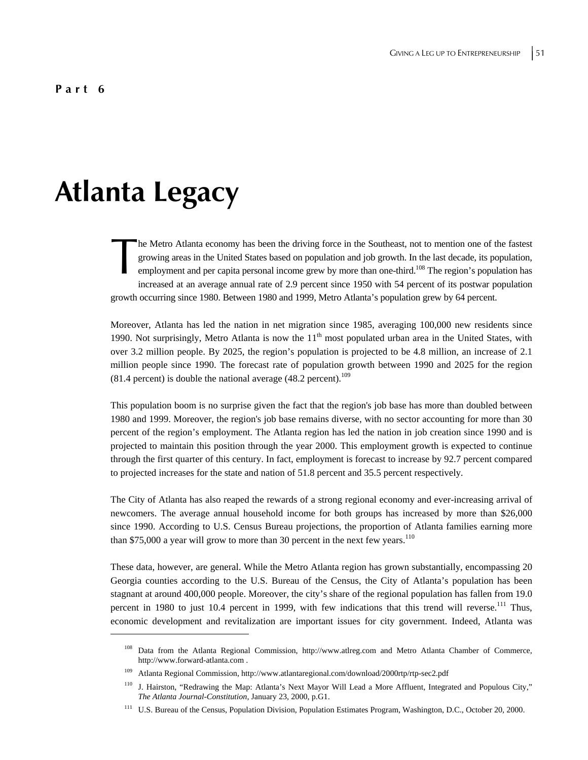# **Atlanta Legacy**

 $\overline{a}$ 

he Metro Atlanta economy has been the driving force in the Southeast, not to mention one of the fastest growing areas in the United States based on population and job growth. In the last decade, its population, employment and per capita personal income grew by more than one-third.<sup>108</sup> The region's population has increased at an average annual rate of 2.9 percent since 1950 with 54 percent of its postwar population growth occurring since 1980. Between 1980 and 1999, Metro Atlanta's population grew by 64 percent. The I<br>group<br>employees

Moreover, Atlanta has led the nation in net migration since 1985, averaging 100,000 new residents since 1990. Not surprisingly, Metro Atlanta is now the  $11<sup>th</sup>$  most populated urban area in the United States, with over 3.2 million people. By 2025, the region's population is projected to be 4.8 million, an increase of 2.1 million people since 1990. The forecast rate of population growth between 1990 and 2025 for the region  $(81.4 \text{ percent})$  is double the national average  $(48.2 \text{ percent})$ .<sup>109</sup>

This population boom is no surprise given the fact that the region's job base has more than doubled between 1980 and 1999. Moreover, the region's job base remains diverse, with no sector accounting for more than 30 percent of the region's employment. The Atlanta region has led the nation in job creation since 1990 and is projected to maintain this position through the year 2000. This employment growth is expected to continue through the first quarter of this century. In fact, employment is forecast to increase by 92.7 percent compared to projected increases for the state and nation of 51.8 percent and 35.5 percent respectively.

The City of Atlanta has also reaped the rewards of a strong regional economy and ever-increasing arrival of newcomers. The average annual household income for both groups has increased by more than \$26,000 since 1990. According to U.S. Census Bureau projections, the proportion of Atlanta families earning more than \$75,000 a year will grow to more than 30 percent in the next few years.<sup>110</sup>

These data, however, are general. While the Metro Atlanta region has grown substantially, encompassing 20 Georgia counties according to the U.S. Bureau of the Census, the City of Atlanta's population has been stagnant at around 400,000 people. Moreover, the city's share of the regional population has fallen from 19.0 percent in 1980 to just 10.4 percent in 1999, with few indications that this trend will reverse.<sup>111</sup> Thus, economic development and revitalization are important issues for city government. Indeed, Atlanta was

Data from the Atlanta Regional Commission, http://www.atlreg.com and Metro Atlanta Chamber of Commerce, http://www.forward-atlanta.com .

<sup>109</sup> Atlanta Regional Commission, http://www.atlantaregional.com/download/2000rtp/rtp-sec2.pdf

<sup>&</sup>lt;sup>110</sup> J. Hairston, "Redrawing the Map: Atlanta's Next Mayor Will Lead a More Affluent, Integrated and Populous City," *The Atlanta Journal-Constitution*, January 23, 2000, p.G1.

<sup>&</sup>lt;sup>111</sup> U.S. Bureau of the Census, Population Division, Population Estimates Program, Washington, D.C., October 20, 2000.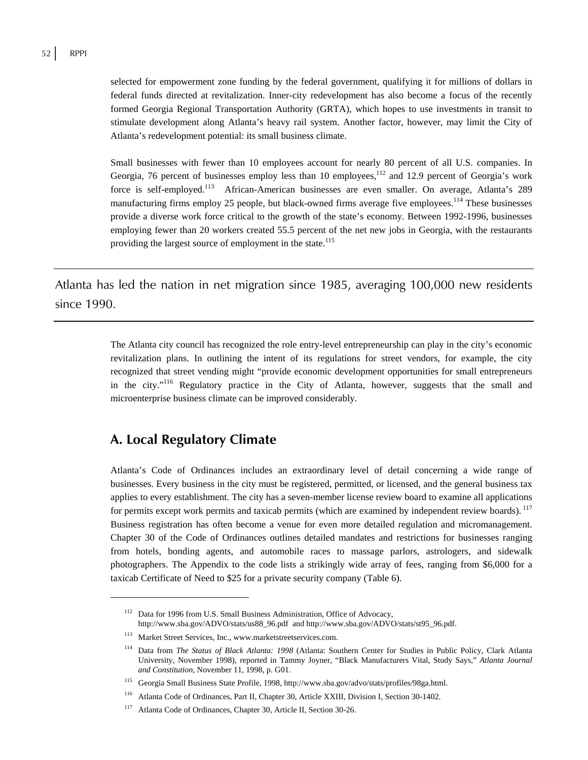selected for empowerment zone funding by the federal government, qualifying it for millions of dollars in federal funds directed at revitalization. Inner-city redevelopment has also become a focus of the recently formed Georgia Regional Transportation Authority (GRTA), which hopes to use investments in transit to stimulate development along Atlanta's heavy rail system. Another factor, however, may limit the City of Atlanta's redevelopment potential: its small business climate.

Small businesses with fewer than 10 employees account for nearly 80 percent of all U.S. companies. In Georgia, 76 percent of businesses employ less than 10 employees, $^{112}$  and 12.9 percent of Georgia's work force is self-employed.<sup>113</sup> African-American businesses are even smaller. On average, Atlanta's 289 manufacturing firms employ 25 people, but black-owned firms average five employees.<sup>114</sup> These businesses provide a diverse work force critical to the growth of the state's economy. Between 1992-1996, businesses employing fewer than 20 workers created 55.5 percent of the net new jobs in Georgia, with the restaurants providing the largest source of employment in the state.<sup>115</sup>

Atlanta has led the nation in net migration since 1985, averaging 100,000 new residents since 1990.

> The Atlanta city council has recognized the role entry-level entrepreneurship can play in the city's economic revitalization plans. In outlining the intent of its regulations for street vendors, for example, the city recognized that street vending might "provide economic development opportunities for small entrepreneurs in the city."116 Regulatory practice in the City of Atlanta, however, suggests that the small and microenterprise business climate can be improved considerably.

# **A. Local Regulatory Climate**

 $\overline{a}$ 

Atlanta's Code of Ordinances includes an extraordinary level of detail concerning a wide range of businesses. Every business in the city must be registered, permitted, or licensed, and the general business tax applies to every establishment. The city has a seven-member license review board to examine all applications for permits except work permits and taxicab permits (which are examined by independent review boards). <sup>117</sup> Business registration has often become a venue for even more detailed regulation and micromanagement. Chapter 30 of the Code of Ordinances outlines detailed mandates and restrictions for businesses ranging from hotels, bonding agents, and automobile races to massage parlors, astrologers, and sidewalk photographers. The Appendix to the code lists a strikingly wide array of fees, ranging from \$6,000 for a taxicab Certificate of Need to \$25 for a private security company (Table 6).

<sup>&</sup>lt;sup>112</sup> Data for 1996 from U.S. Small Business Administration, Office of Advocacy, http://www.sba.gov/ADVO/stats/us88\_96.pdf and http://www.sba.gov/ADVO/stats/st95\_96.pdf.

<sup>&</sup>lt;sup>113</sup> Market Street Services, Inc., www.marketstreetservices.com.

<sup>114</sup> Data from *The Status of Black Atlanta: 1998* (Atlanta: Southern Center for Studies in Public Policy, Clark Atlanta University, November 1998), reported in Tammy Joyner, "Black Manufacturers Vital, Study Says," *Atlanta Journal and Constitution*, November 11, 1998, p. G01.

<sup>115</sup> Georgia Small Business State Profile, 1998, http://www.sba.gov/advo/stats/profiles/98ga.html.

<sup>116</sup> Atlanta Code of Ordinances, Part II, Chapter 30, Article XXIII, Division I, Section 30-1402.

<sup>117</sup> Atlanta Code of Ordinances, Chapter 30, Article II, Section 30-26.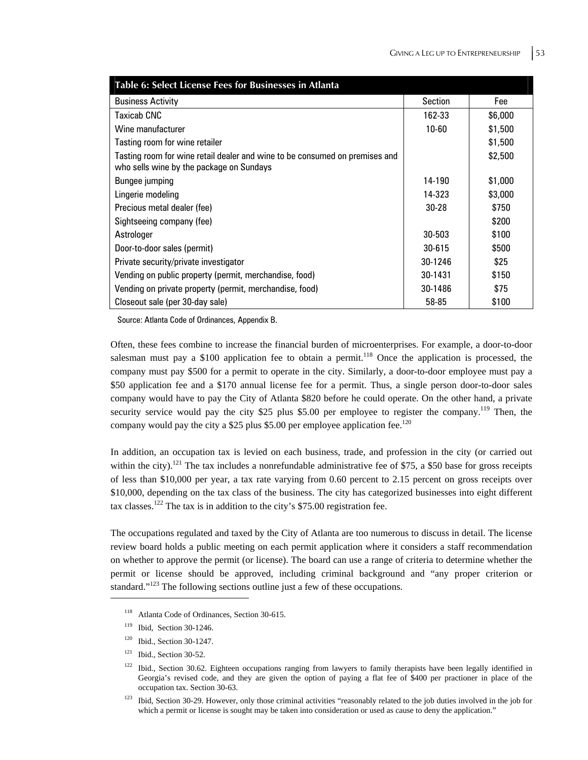| Table 6: Select License Fees for Businesses in Atlanta                                                                  |            |         |
|-------------------------------------------------------------------------------------------------------------------------|------------|---------|
| <b>Business Activity</b>                                                                                                | Section    | Fee     |
| Taxicab CNC                                                                                                             | 162-33     | \$6,000 |
| Wine manufacturer                                                                                                       | $10 - 60$  | \$1,500 |
| Tasting room for wine retailer                                                                                          |            | \$1,500 |
| Tasting room for wine retail dealer and wine to be consumed on premises and<br>who sells wine by the package on Sundays |            | \$2,500 |
| Bungee jumping                                                                                                          | 14-190     | \$1,000 |
| Lingerie modeling                                                                                                       | 14-323     | \$3,000 |
| Precious metal dealer (fee)                                                                                             | 30-28      | \$750   |
| Sightseeing company (fee)                                                                                               |            | \$200   |
| Astrologer                                                                                                              | 30-503     | \$100   |
| Door-to-door sales (permit)                                                                                             | $30 - 615$ | \$500   |
| Private security/private investigator                                                                                   | 30-1246    | \$25    |
| Vending on public property (permit, merchandise, food)                                                                  | 30-1431    | \$150   |
| Vending on private property (permit, merchandise, food)                                                                 | 30-1486    | \$75    |
| Closeout sale (per 30-day sale)                                                                                         | 58-85      | \$100   |

Source: Atlanta Code of Ordinances, Appendix B.

Often, these fees combine to increase the financial burden of microenterprises. For example, a door-to-door salesman must pay a \$100 application fee to obtain a permit.<sup>118</sup> Once the application is processed, the company must pay \$500 for a permit to operate in the city. Similarly, a door-to-door employee must pay a \$50 application fee and a \$170 annual license fee for a permit. Thus, a single person door-to-door sales company would have to pay the City of Atlanta \$820 before he could operate. On the other hand, a private security service would pay the city \$25 plus \$5.00 per employee to register the company.<sup>119</sup> Then, the company would pay the city a \$25 plus \$5.00 per employee application fee.<sup>120</sup>

In addition, an occupation tax is levied on each business, trade, and profession in the city (or carried out within the city).<sup>121</sup> The tax includes a nonrefundable administrative fee of \$75, a \$50 base for gross receipts of less than \$10,000 per year, a tax rate varying from 0.60 percent to 2.15 percent on gross receipts over \$10,000, depending on the tax class of the business. The city has categorized businesses into eight different tax classes.<sup>122</sup> The tax is in addition to the city's \$75.00 registration fee.

The occupations regulated and taxed by the City of Atlanta are too numerous to discuss in detail. The license review board holds a public meeting on each permit application where it considers a staff recommendation on whether to approve the permit (or license). The board can use a range of criteria to determine whether the permit or license should be approved, including criminal background and "any proper criterion or standard."<sup>123</sup> The following sections outline just a few of these occupations.

<sup>&</sup>lt;sup>118</sup> Atlanta Code of Ordinances, Section 30-615.

<sup>119</sup> Ibid, Section 30-1246.

 $120$  Ibid., Section 30-1247.

 $121$  Ibid., Section 30-52.

 $122$  Ibid., Section 30.62. Eighteen occupations ranging from lawyers to family therapists have been legally identified in Georgia's revised code, and they are given the option of paying a flat fee of \$400 per practioner in place of the occupation tax. Section 30-63.

<sup>123</sup> Ibid, Section 30-29. However, only those criminal activities "reasonably related to the job duties involved in the job for which a permit or license is sought may be taken into consideration or used as cause to deny the application."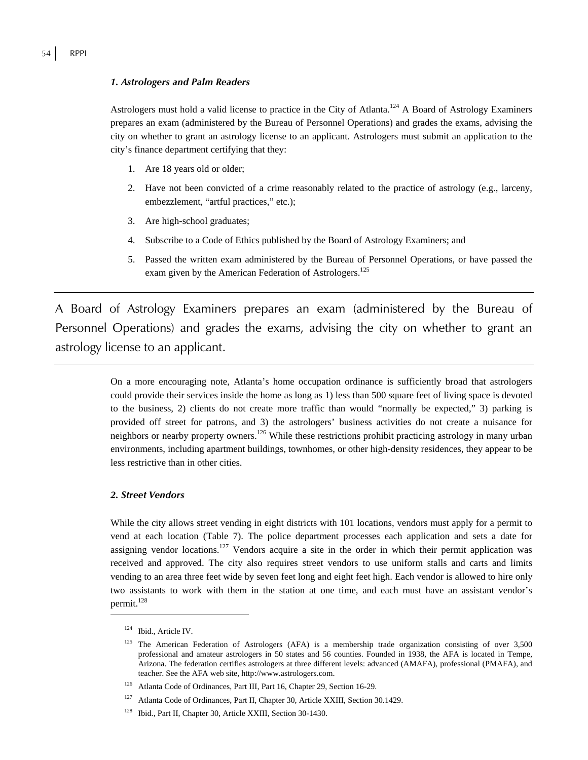#### *1. Astrologers and Palm Readers*

Astrologers must hold a valid license to practice in the City of Atlanta.<sup>124</sup> A Board of Astrology Examiners prepares an exam (administered by the Bureau of Personnel Operations) and grades the exams, advising the city on whether to grant an astrology license to an applicant. Astrologers must submit an application to the city's finance department certifying that they:

- 1. Are 18 years old or older;
- 2. Have not been convicted of a crime reasonably related to the practice of astrology (e.g., larceny, embezzlement, "artful practices," etc.);
- 3. Are high-school graduates;
- 4. Subscribe to a Code of Ethics published by the Board of Astrology Examiners; and
- 5. Passed the written exam administered by the Bureau of Personnel Operations, or have passed the exam given by the American Federation of Astrologers.<sup>125</sup>

A Board of Astrology Examiners prepares an exam (administered by the Bureau of Personnel Operations) and grades the exams, advising the city on whether to grant an astrology license to an applicant.

> On a more encouraging note, Atlanta's home occupation ordinance is sufficiently broad that astrologers could provide their services inside the home as long as 1) less than 500 square feet of living space is devoted to the business, 2) clients do not create more traffic than would "normally be expected," 3) parking is provided off street for patrons, and 3) the astrologers' business activities do not create a nuisance for neighbors or nearby property owners.<sup>126</sup> While these restrictions prohibit practicing astrology in many urban environments, including apartment buildings, townhomes, or other high-density residences, they appear to be less restrictive than in other cities.

#### *2. Street Vendors*

While the city allows street vending in eight districts with 101 locations, vendors must apply for a permit to vend at each location (Table 7). The police department processes each application and sets a date for assigning vendor locations.<sup>127</sup> Vendors acquire a site in the order in which their permit application was received and approved. The city also requires street vendors to use uniform stalls and carts and limits vending to an area three feet wide by seven feet long and eight feet high. Each vendor is allowed to hire only two assistants to work with them in the station at one time, and each must have an assistant vendor's permit.<sup>128</sup>

<sup>124</sup> Ibid., Article IV.

<sup>&</sup>lt;sup>125</sup> The American Federation of Astrologers (AFA) is a membership trade organization consisting of over 3,500 professional and amateur astrologers in 50 states and 56 counties. Founded in 1938, the AFA is located in Tempe, Arizona. The federation certifies astrologers at three different levels: advanced (AMAFA), professional (PMAFA), and teacher. See the AFA web site, http://www.astrologers.com.

<sup>126</sup> Atlanta Code of Ordinances, Part III, Part 16, Chapter 29, Section 16-29.

<sup>127</sup> Atlanta Code of Ordinances, Part II, Chapter 30, Article XXIII, Section 30.1429.

<sup>&</sup>lt;sup>128</sup> Ibid., Part II, Chapter 30, Article XXIII, Section 30-1430.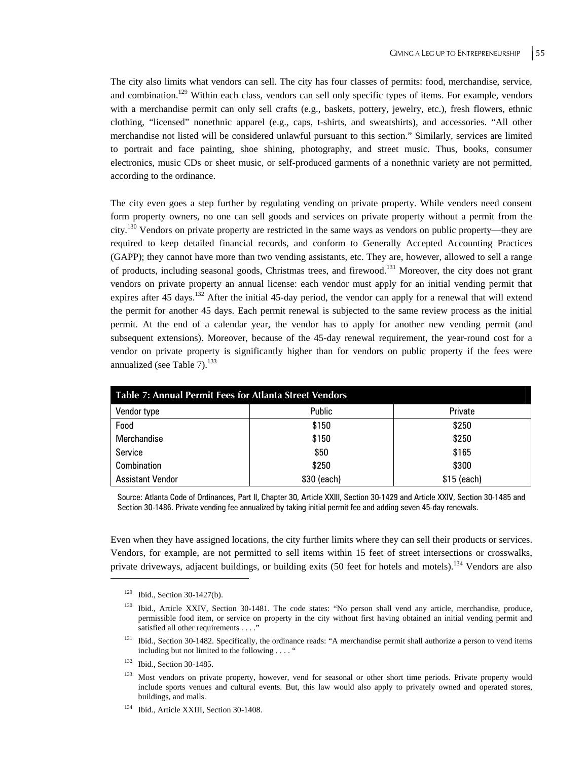The city also limits what vendors can sell. The city has four classes of permits: food, merchandise, service, and combination.<sup>129</sup> Within each class, vendors can sell only specific types of items. For example, vendors with a merchandise permit can only sell crafts (e.g., baskets, pottery, jewelry, etc.), fresh flowers, ethnic clothing, "licensed" nonethnic apparel (e.g., caps, t-shirts, and sweatshirts), and accessories. "All other merchandise not listed will be considered unlawful pursuant to this section." Similarly, services are limited to portrait and face painting, shoe shining, photography, and street music. Thus, books, consumer electronics, music CDs or sheet music, or self-produced garments of a nonethnic variety are not permitted, according to the ordinance.

The city even goes a step further by regulating vending on private property. While venders need consent form property owners, no one can sell goods and services on private property without a permit from the city.130 Vendors on private property are restricted in the same ways as vendors on public property—they are required to keep detailed financial records, and conform to Generally Accepted Accounting Practices (GAPP); they cannot have more than two vending assistants, etc. They are, however, allowed to sell a range of products, including seasonal goods, Christmas trees, and firewood.131 Moreover, the city does not grant vendors on private property an annual license: each vendor must apply for an initial vending permit that expires after 45 days.<sup>132</sup> After the initial 45-day period, the vendor can apply for a renewal that will extend the permit for another 45 days. Each permit renewal is subjected to the same review process as the initial permit. At the end of a calendar year, the vendor has to apply for another new vending permit (and subsequent extensions). Moreover, because of the 45-day renewal requirement, the year-round cost for a vendor on private property is significantly higher than for vendors on public property if the fees were annualized (see Table 7).<sup>133</sup>

| <b>Table 7: Annual Permit Fees for Atlanta Street Vendors</b> |               |              |  |
|---------------------------------------------------------------|---------------|--------------|--|
| Vendor type                                                   | <b>Public</b> | Private      |  |
| Food                                                          | \$150         | \$250        |  |
| Merchandise                                                   | \$150         | \$250        |  |
| Service                                                       | \$50          | \$165        |  |
| Combination                                                   | \$250         | \$300        |  |
| <b>Assistant Vendor</b>                                       | \$30 (each)   | $$15$ (each) |  |

Source: Atlanta Code of Ordinances, Part II, Chapter 30, Article XXIII, Section 30-1429 and Article XXIV, Section 30-1485 and Section 30-1486. Private vending fee annualized by taking initial permit fee and adding seven 45-day renewals.

Even when they have assigned locations, the city further limits where they can sell their products or services. Vendors, for example, are not permitted to sell items within 15 feet of street intersections or crosswalks, private driveways, adjacent buildings, or building exits (50 feet for hotels and motels).<sup>134</sup> Vendors are also

<sup>129</sup> Ibid., Section 30-1427(b).

<sup>&</sup>lt;sup>130</sup> Ibid., Article XXIV, Section 30-1481. The code states: "No person shall vend any article, merchandise, produce, permissible food item, or service on property in the city without first having obtained an initial vending permit and satisfied all other requirements . . . ."

<sup>&</sup>lt;sup>131</sup> Ibid., Section 30-1482. Specifically, the ordinance reads: "A merchandise permit shall authorize a person to vend items including but not limited to the following . . . . "

<sup>&</sup>lt;sup>132</sup> Ibid., Section 30-1485.

<sup>&</sup>lt;sup>133</sup> Most vendors on private property, however, vend for seasonal or other short time periods. Private property would include sports venues and cultural events. But, this law would also apply to privately owned and operated stores, buildings, and malls.

<sup>&</sup>lt;sup>134</sup> Ibid., Article XXIII, Section 30-1408.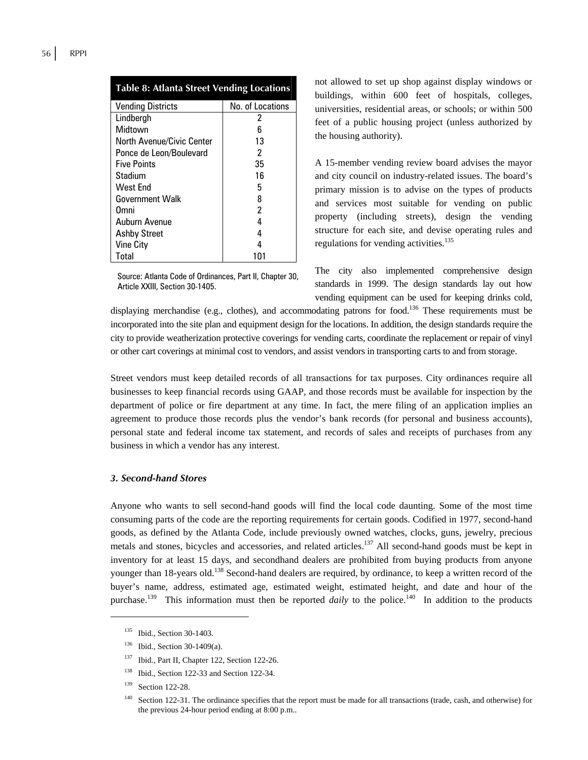| <b>Table 8: Atlanta Street Vending Locations</b> |                  |  |
|--------------------------------------------------|------------------|--|
| <b>Vending Districts</b>                         | No. of Locations |  |
| Lindbergh                                        | 2                |  |
| Midtown                                          | 6                |  |
| <b>North Avenue/Civic Center</b>                 | 13               |  |
| Ponce de Leon/Boulevard                          | 2                |  |
| <b>Five Points</b>                               | 35               |  |
| Stadium                                          | 16               |  |
| West End                                         | 5                |  |
| <b>Government Walk</b>                           | 8                |  |
| Omni                                             | 2                |  |
| Auburn Avenue                                    | 4                |  |
| <b>Ashby Street</b>                              | 4                |  |
| <b>Vine City</b>                                 | 4                |  |
| Total                                            | 101              |  |

Source: Atlanta Code of Ordinances, Part II, Chapter 30, Article XXIII, Section 30-1405.

not allowed to set up shop against display windows or buildings, within 600 feet of hospitals, colleges, universities, residential areas, or schools; or within 500 feet of a public housing project (unless authorized by the housing authority).

A 15-member vending review board advises the mayor and city council on industry-related issues. The board's primary mission is to advise on the types of products and services most suitable for vending on public property (including streets), design the vending structure for each site, and devise operating rules and regulations for vending activities.<sup>135</sup>

The city also implemented comprehensive design standards in 1999. The design standards lay out how vending equipment can be used for keeping drinks cold,

displaying merchandise (e.g., clothes), and accommodating patrons for food.<sup>136</sup> These requirements must be incorporated into the site plan and equipment design for the locations. In addition, the design standards require the city to provide weatherization protective coverings for vending carts, coordinate the replacement or repair of vinyl or other cart coverings at minimal cost to vendors, and assist vendors in transporting carts to and from storage.

Street vendors must keep detailed records of all transactions for tax purposes. City ordinances require all businesses to keep financial records using GAAP, and those records must be available for inspection by the department of police or fire department at any time. In fact, the mere filing of an application implies an agreement to produce those records plus the vendor's bank records (for personal and business accounts), personal state and federal income tax statement, and records of sales and receipts of purchases from any business in which a vendor has any interest.

#### *3. Second-hand Stores*

Anyone who wants to sell second-hand goods will find the local code daunting. Some of the most time consuming parts of the code are the reporting requirements for certain goods. Codified in 1977, second-hand goods, as defined by the Atlanta Code, include previously owned watches, clocks, guns, jewelry, precious metals and stones, bicycles and accessories, and related articles.<sup>137</sup> All second-hand goods must be kept in inventory for at least 15 days, and secondhand dealers are prohibited from buying products from anyone younger than 18-years old.<sup>138</sup> Second-hand dealers are required, by ordinance, to keep a written record of the buyer's name, address, estimated age, estimated weight, estimated height, and date and hour of the purchase.<sup>139</sup> This information must then be reported *daily* to the police.<sup>140</sup> In addition to the products

<sup>&</sup>lt;sup>135</sup> Ibid., Section 30-1403.

<sup>&</sup>lt;sup>136</sup> Ibid., Section 30-1409(a).

<sup>137</sup> Ibid., Part II, Chapter 122, Section 122-26.

<sup>&</sup>lt;sup>138</sup> Ibid., Section 122-33 and Section 122-34.

<sup>&</sup>lt;sup>139</sup> Section 122-28.

<sup>&</sup>lt;sup>140</sup> Section 122-31. The ordinance specifies that the report must be made for all transactions (trade, cash, and otherwise) for the previous 24-hour period ending at 8:00 p.m..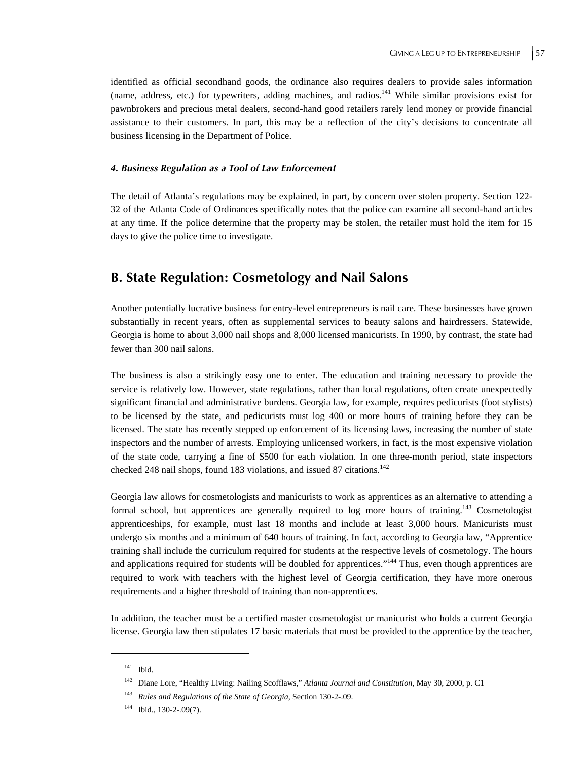identified as official secondhand goods, the ordinance also requires dealers to provide sales information (name, address, etc.) for typewriters, adding machines, and radios.<sup>141</sup> While similar provisions exist for pawnbrokers and precious metal dealers, second-hand good retailers rarely lend money or provide financial assistance to their customers. In part, this may be a reflection of the city's decisions to concentrate all business licensing in the Department of Police.

#### *4. Business Regulation as a Tool of Law Enforcement*

The detail of Atlanta's regulations may be explained, in part, by concern over stolen property. Section 122- 32 of the Atlanta Code of Ordinances specifically notes that the police can examine all second-hand articles at any time. If the police determine that the property may be stolen, the retailer must hold the item for 15 days to give the police time to investigate.

# **B. State Regulation: Cosmetology and Nail Salons**

Another potentially lucrative business for entry-level entrepreneurs is nail care. These businesses have grown substantially in recent years, often as supplemental services to beauty salons and hairdressers. Statewide, Georgia is home to about 3,000 nail shops and 8,000 licensed manicurists. In 1990, by contrast, the state had fewer than 300 nail salons.

The business is also a strikingly easy one to enter. The education and training necessary to provide the service is relatively low. However, state regulations, rather than local regulations, often create unexpectedly significant financial and administrative burdens. Georgia law, for example, requires pedicurists (foot stylists) to be licensed by the state, and pedicurists must log 400 or more hours of training before they can be licensed. The state has recently stepped up enforcement of its licensing laws, increasing the number of state inspectors and the number of arrests. Employing unlicensed workers, in fact, is the most expensive violation of the state code, carrying a fine of \$500 for each violation. In one three-month period, state inspectors checked 248 nail shops, found 183 violations, and issued 87 citations.<sup>142</sup>

Georgia law allows for cosmetologists and manicurists to work as apprentices as an alternative to attending a formal school, but apprentices are generally required to log more hours of training.<sup>143</sup> Cosmetologist apprenticeships, for example, must last 18 months and include at least 3,000 hours. Manicurists must undergo six months and a minimum of 640 hours of training. In fact, according to Georgia law, "Apprentice training shall include the curriculum required for students at the respective levels of cosmetology. The hours and applications required for students will be doubled for apprentices."<sup>144</sup> Thus, even though apprentices are required to work with teachers with the highest level of Georgia certification, they have more onerous requirements and a higher threshold of training than non-apprentices.

In addition, the teacher must be a certified master cosmetologist or manicurist who holds a current Georgia license. Georgia law then stipulates 17 basic materials that must be provided to the apprentice by the teacher,

<sup>141</sup> Ibid.

<sup>142</sup> Diane Lore, "Healthy Living: Nailing Scofflaws," *Atlanta Journal and Constitution*, May 30, 2000, p. C1

<sup>143</sup> *Rules and Regulations of the State of Georgia*, Section 130-2-.09.

 $144$  Ibid., 130-2-.09(7).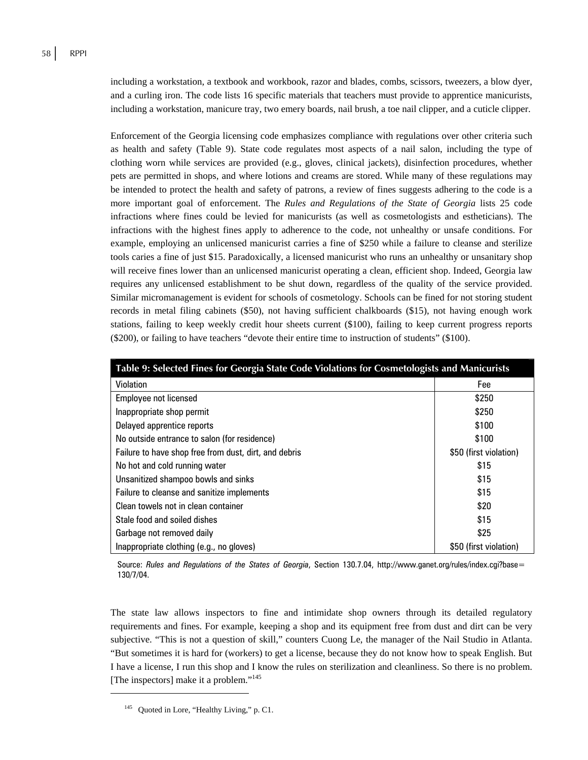including a workstation, a textbook and workbook, razor and blades, combs, scissors, tweezers, a blow dyer, and a curling iron. The code lists 16 specific materials that teachers must provide to apprentice manicurists, including a workstation, manicure tray, two emery boards, nail brush, a toe nail clipper, and a cuticle clipper.

Enforcement of the Georgia licensing code emphasizes compliance with regulations over other criteria such as health and safety (Table 9). State code regulates most aspects of a nail salon, including the type of clothing worn while services are provided (e.g., gloves, clinical jackets), disinfection procedures, whether pets are permitted in shops, and where lotions and creams are stored. While many of these regulations may be intended to protect the health and safety of patrons, a review of fines suggests adhering to the code is a more important goal of enforcement. The *Rules and Regulations of the State of Georgia* lists 25 code infractions where fines could be levied for manicurists (as well as cosmetologists and estheticians). The infractions with the highest fines apply to adherence to the code, not unhealthy or unsafe conditions. For example, employing an unlicensed manicurist carries a fine of \$250 while a failure to cleanse and sterilize tools caries a fine of just \$15. Paradoxically, a licensed manicurist who runs an unhealthy or unsanitary shop will receive fines lower than an unlicensed manicurist operating a clean, efficient shop. Indeed, Georgia law requires any unlicensed establishment to be shut down, regardless of the quality of the service provided. Similar micromanagement is evident for schools of cosmetology. Schools can be fined for not storing student records in metal filing cabinets (\$50), not having sufficient chalkboards (\$15), not having enough work stations, failing to keep weekly credit hour sheets current (\$100), failing to keep current progress reports (\$200), or failing to have teachers "devote their entire time to instruction of students" (\$100).

| Table 9: Selected Fines for Georgia State Code Violations for Cosmetologists and Manicurists |                        |  |
|----------------------------------------------------------------------------------------------|------------------------|--|
| Violation                                                                                    | Fee                    |  |
| Employee not licensed                                                                        | \$250                  |  |
| Inappropriate shop permit                                                                    | \$250                  |  |
| Delayed apprentice reports                                                                   | \$100                  |  |
| No outside entrance to salon (for residence)                                                 | \$100                  |  |
| Failure to have shop free from dust, dirt, and debris                                        | \$50 (first violation) |  |
| No hot and cold running water                                                                | \$15                   |  |
| Unsanitized shampoo bowls and sinks                                                          | \$15                   |  |
| Failure to cleanse and sanitize implements                                                   | \$15                   |  |
| Clean towels not in clean container                                                          | \$20                   |  |
| Stale food and soiled dishes                                                                 | \$15                   |  |
| Garbage not removed daily                                                                    | \$25                   |  |
| Inappropriate clothing (e.g., no gloves)                                                     | \$50 (first violation) |  |

Source: *Rules and Regulations of the States of Georgia*, Section 130.7.04, http://www.ganet.org/rules/index.cgi?base= 130/7/04.

The state law allows inspectors to fine and intimidate shop owners through its detailed regulatory requirements and fines. For example, keeping a shop and its equipment free from dust and dirt can be very subjective. "This is not a question of skill," counters Cuong Le, the manager of the Nail Studio in Atlanta. "But sometimes it is hard for (workers) to get a license, because they do not know how to speak English. But I have a license, I run this shop and I know the rules on sterilization and cleanliness. So there is no problem. [The inspectors] make it a problem."<sup>145</sup>

<sup>&</sup>lt;sup>145</sup> Ouoted in Lore, "Healthy Living," p. C1.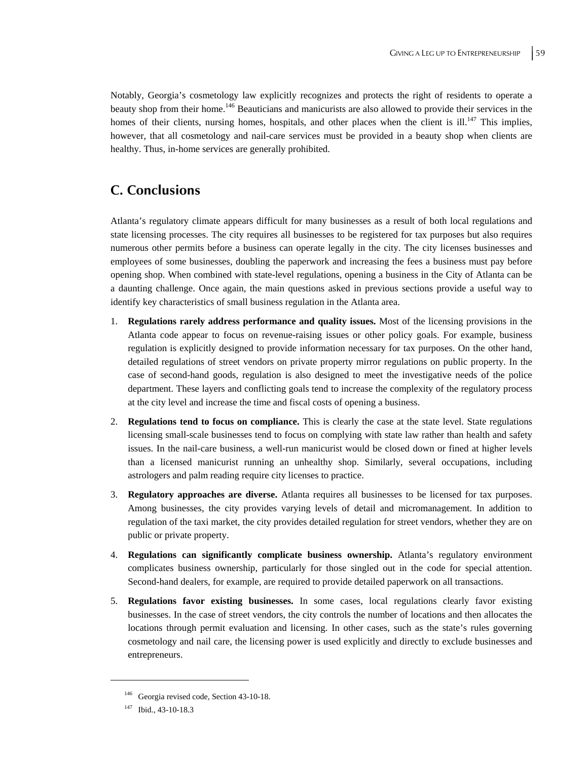Notably, Georgia's cosmetology law explicitly recognizes and protects the right of residents to operate a beauty shop from their home.146 Beauticians and manicurists are also allowed to provide their services in the homes of their clients, nursing homes, hospitals, and other places when the client is ill.<sup>147</sup> This implies, however, that all cosmetology and nail-care services must be provided in a beauty shop when clients are healthy. Thus, in-home services are generally prohibited.

## **C. Conclusions**

Atlanta's regulatory climate appears difficult for many businesses as a result of both local regulations and state licensing processes. The city requires all businesses to be registered for tax purposes but also requires numerous other permits before a business can operate legally in the city. The city licenses businesses and employees of some businesses, doubling the paperwork and increasing the fees a business must pay before opening shop. When combined with state-level regulations, opening a business in the City of Atlanta can be a daunting challenge. Once again, the main questions asked in previous sections provide a useful way to identify key characteristics of small business regulation in the Atlanta area.

- 1. **Regulations rarely address performance and quality issues.** Most of the licensing provisions in the Atlanta code appear to focus on revenue-raising issues or other policy goals. For example, business regulation is explicitly designed to provide information necessary for tax purposes. On the other hand, detailed regulations of street vendors on private property mirror regulations on public property. In the case of second-hand goods, regulation is also designed to meet the investigative needs of the police department. These layers and conflicting goals tend to increase the complexity of the regulatory process at the city level and increase the time and fiscal costs of opening a business.
- 2. **Regulations tend to focus on compliance.** This is clearly the case at the state level. State regulations licensing small-scale businesses tend to focus on complying with state law rather than health and safety issues. In the nail-care business, a well-run manicurist would be closed down or fined at higher levels than a licensed manicurist running an unhealthy shop. Similarly, several occupations, including astrologers and palm reading require city licenses to practice.
- 3. **Regulatory approaches are diverse.** Atlanta requires all businesses to be licensed for tax purposes. Among businesses, the city provides varying levels of detail and micromanagement. In addition to regulation of the taxi market, the city provides detailed regulation for street vendors, whether they are on public or private property.
- 4. **Regulations can significantly complicate business ownership.** Atlanta's regulatory environment complicates business ownership, particularly for those singled out in the code for special attention. Second-hand dealers, for example, are required to provide detailed paperwork on all transactions.
- 5. **Regulations favor existing businesses.** In some cases, local regulations clearly favor existing businesses. In the case of street vendors, the city controls the number of locations and then allocates the locations through permit evaluation and licensing. In other cases, such as the state's rules governing cosmetology and nail care, the licensing power is used explicitly and directly to exclude businesses and entrepreneurs.

<sup>146</sup> Georgia revised code, Section 43-10-18.

<sup>147</sup> Ibid., 43-10-18.3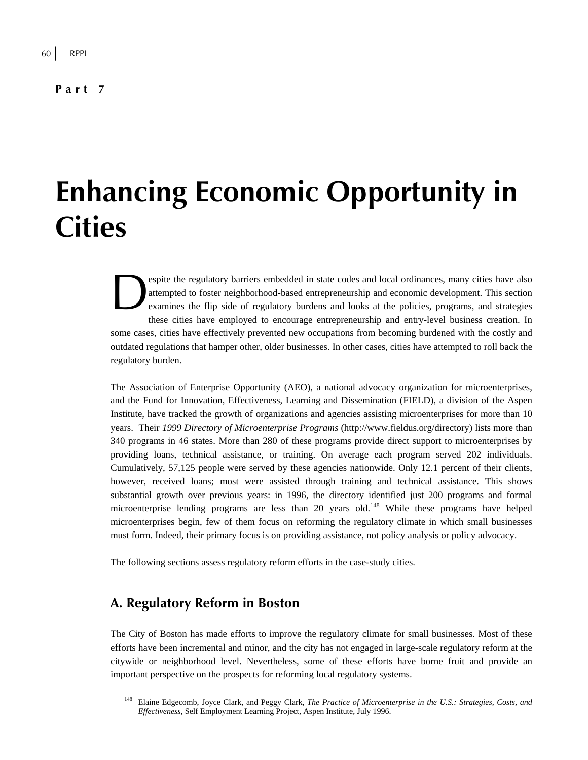**Part 7** 

# **Enhancing Economic Opportunity in Cities**

espite the regulatory barriers embedded in state codes and local ordinances, many cities have also attempted to foster neighborhood-based entrepreneurship and economic development. This section examines the flip side of regulatory burdens and looks at the policies, programs, and strategies these cities have employed to encourage entrepreneurship and entry-level business creation. In some cases, cities have effectively prevented new occupations from becoming burdened with the costly and outdated regulations that hamper other, older businesses. In other cases, cities have attempted to roll back the regulatory burden. esp<br>atte<br>exa

The Association of Enterprise Opportunity (AEO), a national advocacy organization for microenterprises, and the Fund for Innovation, Effectiveness, Learning and Dissemination (FIELD), a division of the Aspen Institute, have tracked the growth of organizations and agencies assisting microenterprises for more than 10 years. Their *1999 Directory of Microenterprise Programs* (http://www.fieldus.org/directory) lists more than 340 programs in 46 states. More than 280 of these programs provide direct support to microenterprises by providing loans, technical assistance, or training. On average each program served 202 individuals. Cumulatively, 57,125 people were served by these agencies nationwide. Only 12.1 percent of their clients, however, received loans; most were assisted through training and technical assistance. This shows substantial growth over previous years: in 1996, the directory identified just 200 programs and formal microenterprise lending programs are less than 20 years old.<sup>148</sup> While these programs have helped microenterprises begin, few of them focus on reforming the regulatory climate in which small businesses must form. Indeed, their primary focus is on providing assistance, not policy analysis or policy advocacy.

The following sections assess regulatory reform efforts in the case-study cities.

# **A. Regulatory Reform in Boston**

 $\overline{a}$ 

The City of Boston has made efforts to improve the regulatory climate for small businesses. Most of these efforts have been incremental and minor, and the city has not engaged in large-scale regulatory reform at the citywide or neighborhood level. Nevertheless, some of these efforts have borne fruit and provide an important perspective on the prospects for reforming local regulatory systems.

<sup>148</sup> Elaine Edgecomb, Joyce Clark, and Peggy Clark, *The Practice of Microenterprise in the U.S.: Strategies, Costs, and Effectiveness*, Self Employment Learning Project, Aspen Institute, July 1996.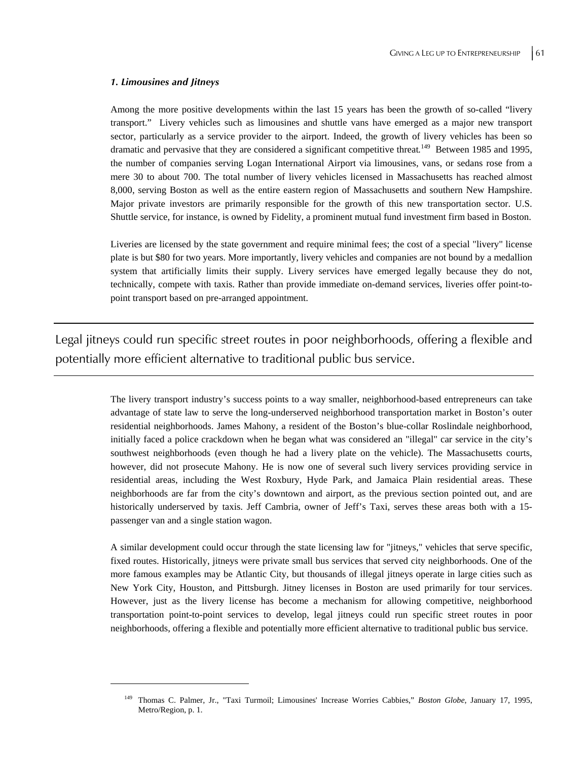#### *1. Limousines and Jitneys*

 $\overline{a}$ 

Among the more positive developments within the last 15 years has been the growth of so-called "livery transport." Livery vehicles such as limousines and shuttle vans have emerged as a major new transport sector, particularly as a service provider to the airport. Indeed, the growth of livery vehicles has been so dramatic and pervasive that they are considered a significant competitive threat.<sup>149</sup> Between 1985 and 1995, the number of companies serving Logan International Airport via limousines, vans, or sedans rose from a mere 30 to about 700. The total number of livery vehicles licensed in Massachusetts has reached almost 8,000, serving Boston as well as the entire eastern region of Massachusetts and southern New Hampshire. Major private investors are primarily responsible for the growth of this new transportation sector. U.S. Shuttle service, for instance, is owned by Fidelity, a prominent mutual fund investment firm based in Boston.

Liveries are licensed by the state government and require minimal fees; the cost of a special "livery" license plate is but \$80 for two years. More importantly, livery vehicles and companies are not bound by a medallion system that artificially limits their supply. Livery services have emerged legally because they do not, technically, compete with taxis. Rather than provide immediate on-demand services, liveries offer point-topoint transport based on pre-arranged appointment.

Legal jitneys could run specific street routes in poor neighborhoods, offering a flexible and potentially more efficient alternative to traditional public bus service.

> The livery transport industry's success points to a way smaller, neighborhood-based entrepreneurs can take advantage of state law to serve the long-underserved neighborhood transportation market in Boston's outer residential neighborhoods. James Mahony, a resident of the Boston's blue-collar Roslindale neighborhood, initially faced a police crackdown when he began what was considered an "illegal" car service in the city's southwest neighborhoods (even though he had a livery plate on the vehicle). The Massachusetts courts, however, did not prosecute Mahony. He is now one of several such livery services providing service in residential areas, including the West Roxbury, Hyde Park, and Jamaica Plain residential areas. These neighborhoods are far from the city's downtown and airport, as the previous section pointed out, and are historically underserved by taxis. Jeff Cambria, owner of Jeff's Taxi, serves these areas both with a 15 passenger van and a single station wagon.

> A similar development could occur through the state licensing law for "jitneys," vehicles that serve specific, fixed routes. Historically, jitneys were private small bus services that served city neighborhoods. One of the more famous examples may be Atlantic City, but thousands of illegal jitneys operate in large cities such as New York City, Houston, and Pittsburgh. Jitney licenses in Boston are used primarily for tour services. However, just as the livery license has become a mechanism for allowing competitive, neighborhood transportation point-to-point services to develop, legal jitneys could run specific street routes in poor neighborhoods, offering a flexible and potentially more efficient alternative to traditional public bus service.

<sup>149</sup> Thomas C. Palmer, Jr., "Taxi Turmoil; Limousines' Increase Worries Cabbies," *Boston Globe*, January 17, 1995, Metro/Region, p. 1.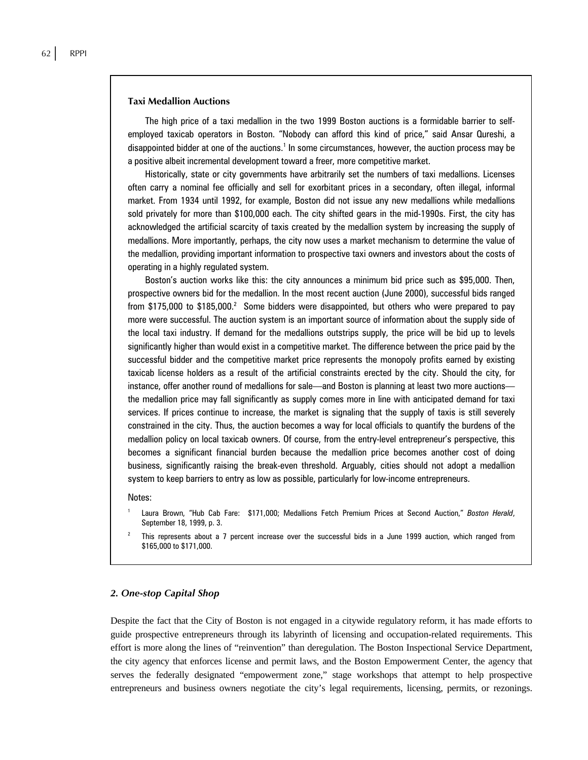#### **Taxi Medallion Auctions**

The high price of a taxi medallion in the two 1999 Boston auctions is a formidable barrier to selfemployed taxicab operators in Boston. "Nobody can afford this kind of price," said Ansar Qureshi, a disappointed bidder at one of the auctions.<sup>1</sup> In some circumstances, however, the auction process may be a positive albeit incremental development toward a freer, more competitive market.

Historically, state or city governments have arbitrarily set the numbers of taxi medallions. Licenses often carry a nominal fee officially and sell for exorbitant prices in a secondary, often illegal, informal market. From 1934 until 1992, for example, Boston did not issue any new medallions while medallions sold privately for more than \$100,000 each. The city shifted gears in the mid-1990s. First, the city has acknowledged the artificial scarcity of taxis created by the medallion system by increasing the supply of medallions. More importantly, perhaps, the city now uses a market mechanism to determine the value of the medallion, providing important information to prospective taxi owners and investors about the costs of operating in a highly regulated system.

Boston's auction works like this: the city announces a minimum bid price such as \$95,000. Then, prospective owners bid for the medallion. In the most recent auction (June 2000), successful bids ranged from \$175,000 to \$185,000.<sup>2</sup> Some bidders were disappointed, but others who were prepared to pay more were successful. The auction system is an important source of information about the supply side of the local taxi industry. If demand for the medallions outstrips supply, the price will be bid up to levels significantly higher than would exist in a competitive market. The difference between the price paid by the successful bidder and the competitive market price represents the monopoly profits earned by existing taxicab license holders as a result of the artificial constraints erected by the city. Should the city, for instance, offer another round of medallions for sale—and Boston is planning at least two more auctions the medallion price may fall significantly as supply comes more in line with anticipated demand for taxi services. If prices continue to increase, the market is signaling that the supply of taxis is still severely constrained in the city. Thus, the auction becomes a way for local officials to quantify the burdens of the medallion policy on local taxicab owners. Of course, from the entry-level entrepreneur's perspective, this becomes a significant financial burden because the medallion price becomes another cost of doing business, significantly raising the break-even threshold. Arguably, cities should not adopt a medallion system to keep barriers to entry as low as possible, particularly for low-income entrepreneurs.

#### Notes:

- 1 Laura Brown, "Hub Cab Fare: \$171,000; Medallions Fetch Premium Prices at Second Auction," *Boston Herald*, September 18, 1999, p. 3.
- 2 This represents about a 7 percent increase over the successful bids in a June 1999 auction, which ranged from \$165,000 to \$171,000.

#### *2. One-stop Capital Shop*

Despite the fact that the City of Boston is not engaged in a citywide regulatory reform, it has made efforts to guide prospective entrepreneurs through its labyrinth of licensing and occupation-related requirements. This effort is more along the lines of "reinvention" than deregulation. The Boston Inspectional Service Department, the city agency that enforces license and permit laws, and the Boston Empowerment Center, the agency that serves the federally designated "empowerment zone," stage workshops that attempt to help prospective entrepreneurs and business owners negotiate the city's legal requirements, licensing, permits, or rezonings.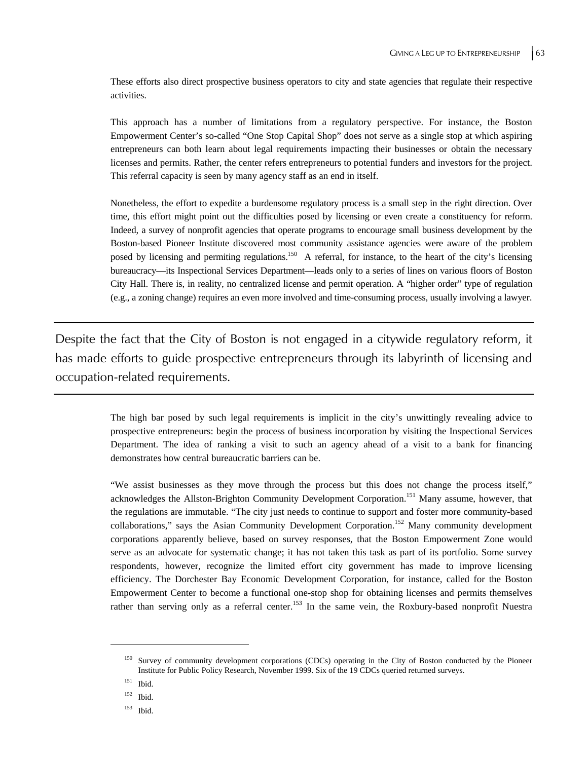These efforts also direct prospective business operators to city and state agencies that regulate their respective activities.

This approach has a number of limitations from a regulatory perspective. For instance, the Boston Empowerment Center's so-called "One Stop Capital Shop" does not serve as a single stop at which aspiring entrepreneurs can both learn about legal requirements impacting their businesses or obtain the necessary licenses and permits. Rather, the center refers entrepreneurs to potential funders and investors for the project. This referral capacity is seen by many agency staff as an end in itself.

Nonetheless, the effort to expedite a burdensome regulatory process is a small step in the right direction. Over time, this effort might point out the difficulties posed by licensing or even create a constituency for reform. Indeed, a survey of nonprofit agencies that operate programs to encourage small business development by the Boston-based Pioneer Institute discovered most community assistance agencies were aware of the problem posed by licensing and permiting regulations.150 A referral, for instance, to the heart of the city's licensing bureaucracy—its Inspectional Services Department—leads only to a series of lines on various floors of Boston City Hall. There is, in reality, no centralized license and permit operation. A "higher order" type of regulation (e.g., a zoning change) requires an even more involved and time-consuming process, usually involving a lawyer.

Despite the fact that the City of Boston is not engaged in a citywide regulatory reform, it has made efforts to guide prospective entrepreneurs through its labyrinth of licensing and occupation-related requirements.

> The high bar posed by such legal requirements is implicit in the city's unwittingly revealing advice to prospective entrepreneurs: begin the process of business incorporation by visiting the Inspectional Services Department. The idea of ranking a visit to such an agency ahead of a visit to a bank for financing demonstrates how central bureaucratic barriers can be.

> "We assist businesses as they move through the process but this does not change the process itself," acknowledges the Allston-Brighton Community Development Corporation.151 Many assume, however, that the regulations are immutable. "The city just needs to continue to support and foster more community-based collaborations," says the Asian Community Development Corporation.152 Many community development corporations apparently believe, based on survey responses, that the Boston Empowerment Zone would serve as an advocate for systematic change; it has not taken this task as part of its portfolio. Some survey respondents, however, recognize the limited effort city government has made to improve licensing efficiency. The Dorchester Bay Economic Development Corporation, for instance, called for the Boston Empowerment Center to become a functional one-stop shop for obtaining licenses and permits themselves rather than serving only as a referral center.<sup>153</sup> In the same vein, the Roxbury-based nonprofit Nuestra

<sup>&</sup>lt;sup>150</sup> Survey of community development corporations (CDCs) operating in the City of Boston conducted by the Pioneer Institute for Public Policy Research, November 1999. Six of the 19 CDCs queried returned surveys.

<sup>151</sup> Ibid.

<sup>152</sup> Ibid.

<sup>153</sup> Ibid.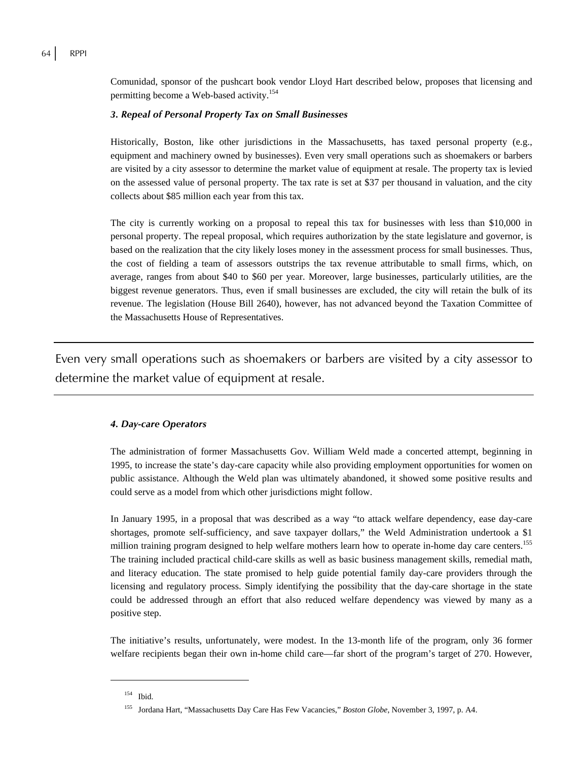Comunidad, sponsor of the pushcart book vendor Lloyd Hart described below, proposes that licensing and permitting become a Web-based activity.<sup>154</sup>

#### *3. Repeal of Personal Property Tax on Small Businesses*

Historically, Boston, like other jurisdictions in the Massachusetts, has taxed personal property (e.g., equipment and machinery owned by businesses). Even very small operations such as shoemakers or barbers are visited by a city assessor to determine the market value of equipment at resale. The property tax is levied on the assessed value of personal property. The tax rate is set at \$37 per thousand in valuation, and the city collects about \$85 million each year from this tax.

The city is currently working on a proposal to repeal this tax for businesses with less than \$10,000 in personal property. The repeal proposal, which requires authorization by the state legislature and governor, is based on the realization that the city likely loses money in the assessment process for small businesses. Thus, the cost of fielding a team of assessors outstrips the tax revenue attributable to small firms, which, on average, ranges from about \$40 to \$60 per year. Moreover, large businesses, particularly utilities, are the biggest revenue generators. Thus, even if small businesses are excluded, the city will retain the bulk of its revenue. The legislation (House Bill 2640), however, has not advanced beyond the Taxation Committee of the Massachusetts House of Representatives.

Even very small operations such as shoemakers or barbers are visited by a city assessor to determine the market value of equipment at resale.

### *4. Day-care Operators*

The administration of former Massachusetts Gov. William Weld made a concerted attempt, beginning in 1995, to increase the state's day-care capacity while also providing employment opportunities for women on public assistance. Although the Weld plan was ultimately abandoned, it showed some positive results and could serve as a model from which other jurisdictions might follow.

In January 1995, in a proposal that was described as a way "to attack welfare dependency, ease day-care shortages, promote self-sufficiency, and save taxpayer dollars," the Weld Administration undertook a \$1 million training program designed to help welfare mothers learn how to operate in-home day care centers.<sup>155</sup> The training included practical child-care skills as well as basic business management skills, remedial math, and literacy education. The state promised to help guide potential family day-care providers through the licensing and regulatory process. Simply identifying the possibility that the day-care shortage in the state could be addressed through an effort that also reduced welfare dependency was viewed by many as a positive step.

The initiative's results, unfortunately, were modest. In the 13-month life of the program, only 36 former welfare recipients began their own in-home child care—far short of the program's target of 270. However,

<sup>154</sup> Ibid.

<sup>155</sup> Jordana Hart, "Massachusetts Day Care Has Few Vacancies," *Boston Globe*, November 3, 1997, p. A4.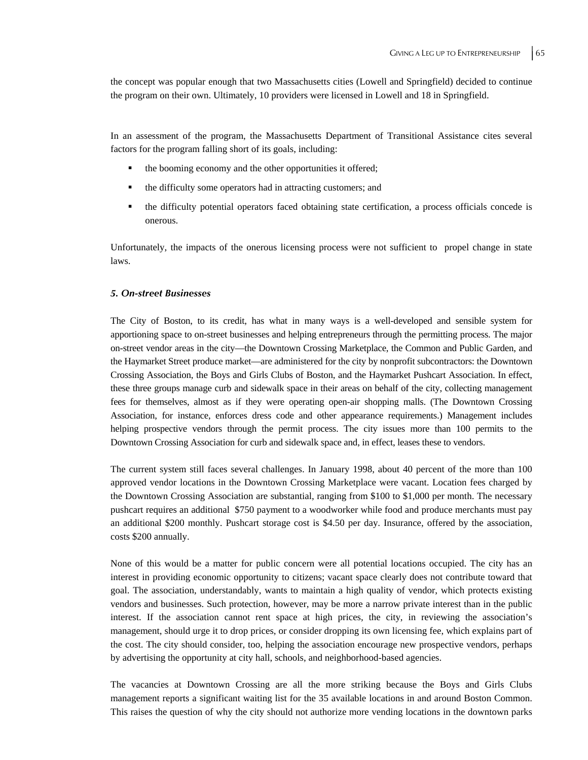the concept was popular enough that two Massachusetts cities (Lowell and Springfield) decided to continue the program on their own. Ultimately, 10 providers were licensed in Lowell and 18 in Springfield.

In an assessment of the program, the Massachusetts Department of Transitional Assistance cites several factors for the program falling short of its goals, including:

- the booming economy and the other opportunities it offered;
- the difficulty some operators had in attracting customers; and
- the difficulty potential operators faced obtaining state certification, a process officials concede is onerous.

Unfortunately, the impacts of the onerous licensing process were not sufficient to propel change in state laws.

#### *5. On-street Businesses*

The City of Boston, to its credit, has what in many ways is a well-developed and sensible system for apportioning space to on-street businesses and helping entrepreneurs through the permitting process. The major on-street vendor areas in the city—the Downtown Crossing Marketplace, the Common and Public Garden, and the Haymarket Street produce market—are administered for the city by nonprofit subcontractors: the Downtown Crossing Association, the Boys and Girls Clubs of Boston, and the Haymarket Pushcart Association. In effect, these three groups manage curb and sidewalk space in their areas on behalf of the city, collecting management fees for themselves, almost as if they were operating open-air shopping malls. (The Downtown Crossing Association, for instance, enforces dress code and other appearance requirements.) Management includes helping prospective vendors through the permit process. The city issues more than 100 permits to the Downtown Crossing Association for curb and sidewalk space and, in effect, leases these to vendors.

The current system still faces several challenges. In January 1998, about 40 percent of the more than 100 approved vendor locations in the Downtown Crossing Marketplace were vacant. Location fees charged by the Downtown Crossing Association are substantial, ranging from \$100 to \$1,000 per month. The necessary pushcart requires an additional \$750 payment to a woodworker while food and produce merchants must pay an additional \$200 monthly. Pushcart storage cost is \$4.50 per day. Insurance, offered by the association, costs \$200 annually.

None of this would be a matter for public concern were all potential locations occupied. The city has an interest in providing economic opportunity to citizens; vacant space clearly does not contribute toward that goal. The association, understandably, wants to maintain a high quality of vendor, which protects existing vendors and businesses. Such protection, however, may be more a narrow private interest than in the public interest. If the association cannot rent space at high prices, the city, in reviewing the association's management, should urge it to drop prices, or consider dropping its own licensing fee, which explains part of the cost. The city should consider, too, helping the association encourage new prospective vendors, perhaps by advertising the opportunity at city hall, schools, and neighborhood-based agencies.

The vacancies at Downtown Crossing are all the more striking because the Boys and Girls Clubs management reports a significant waiting list for the 35 available locations in and around Boston Common. This raises the question of why the city should not authorize more vending locations in the downtown parks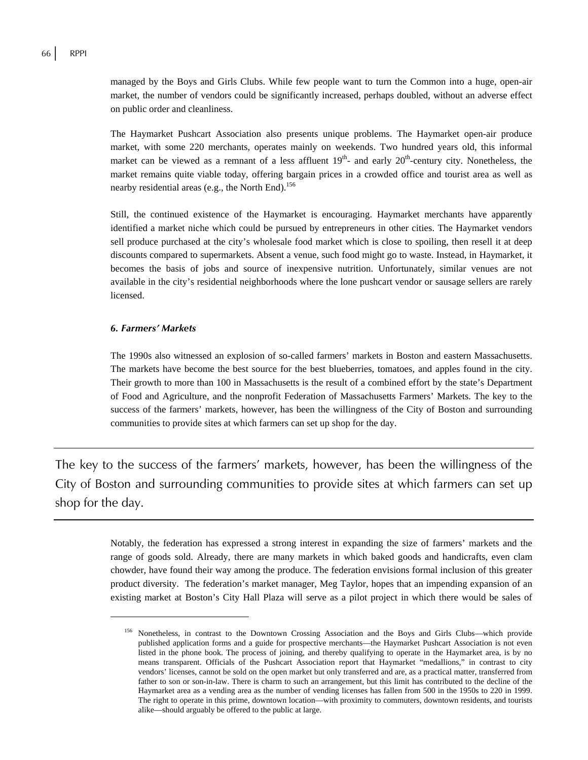managed by the Boys and Girls Clubs. While few people want to turn the Common into a huge, open-air market, the number of vendors could be significantly increased, perhaps doubled, without an adverse effect on public order and cleanliness.

The Haymarket Pushcart Association also presents unique problems. The Haymarket open-air produce market, with some 220 merchants, operates mainly on weekends. Two hundred years old, this informal market can be viewed as a remnant of a less affluent  $19<sup>th</sup>$  and early  $20<sup>th</sup>$ -century city. Nonetheless, the market remains quite viable today, offering bargain prices in a crowded office and tourist area as well as nearby residential areas (e.g., the North End).<sup>156</sup>

Still, the continued existence of the Haymarket is encouraging. Haymarket merchants have apparently identified a market niche which could be pursued by entrepreneurs in other cities. The Haymarket vendors sell produce purchased at the city's wholesale food market which is close to spoiling, then resell it at deep discounts compared to supermarkets. Absent a venue, such food might go to waste. Instead, in Haymarket, it becomes the basis of jobs and source of inexpensive nutrition. Unfortunately, similar venues are not available in the city's residential neighborhoods where the lone pushcart vendor or sausage sellers are rarely licensed.

#### *6. Farmers' Markets*

 $\overline{a}$ 

The 1990s also witnessed an explosion of so-called farmers' markets in Boston and eastern Massachusetts. The markets have become the best source for the best blueberries, tomatoes, and apples found in the city. Their growth to more than 100 in Massachusetts is the result of a combined effort by the state's Department of Food and Agriculture, and the nonprofit Federation of Massachusetts Farmers' Markets. The key to the success of the farmers' markets, however, has been the willingness of the City of Boston and surrounding communities to provide sites at which farmers can set up shop for the day.

The key to the success of the farmers' markets, however, has been the willingness of the City of Boston and surrounding communities to provide sites at which farmers can set up shop for the day.

> Notably, the federation has expressed a strong interest in expanding the size of farmers' markets and the range of goods sold. Already, there are many markets in which baked goods and handicrafts, even clam chowder, have found their way among the produce. The federation envisions formal inclusion of this greater product diversity. The federation's market manager, Meg Taylor, hopes that an impending expansion of an existing market at Boston's City Hall Plaza will serve as a pilot project in which there would be sales of

<sup>&</sup>lt;sup>156</sup> Nonetheless, in contrast to the Downtown Crossing Association and the Boys and Girls Clubs—which provide published application forms and a guide for prospective merchants—the Haymarket Pushcart Association is not even listed in the phone book. The process of joining, and thereby qualifying to operate in the Haymarket area, is by no means transparent. Officials of the Pushcart Association report that Haymarket "medallions," in contrast to city vendors' licenses, cannot be sold on the open market but only transferred and are, as a practical matter, transferred from father to son or son-in-law. There is charm to such an arrangement, but this limit has contributed to the decline of the Haymarket area as a vending area as the number of vending licenses has fallen from 500 in the 1950s to 220 in 1999. The right to operate in this prime, downtown location—with proximity to commuters, downtown residents, and tourists alike—should arguably be offered to the public at large.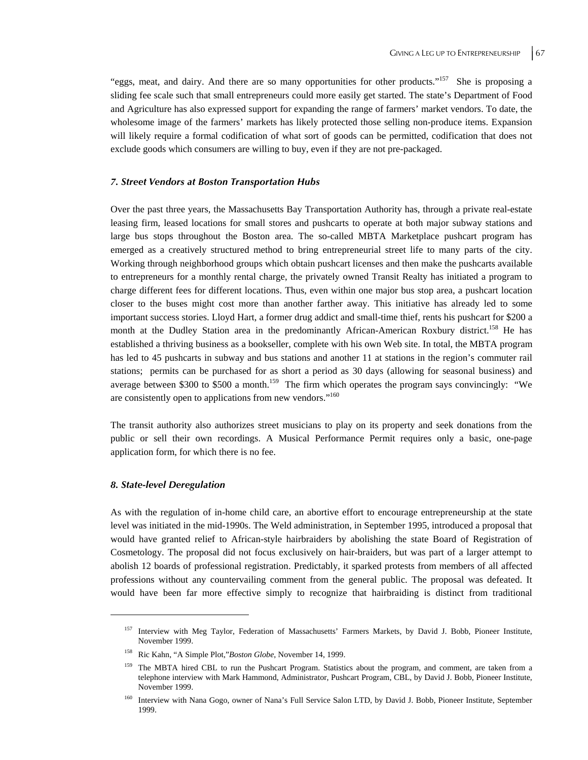"eggs, meat, and dairy. And there are so many opportunities for other products."157 She is proposing a sliding fee scale such that small entrepreneurs could more easily get started. The state's Department of Food and Agriculture has also expressed support for expanding the range of farmers' market vendors. To date, the wholesome image of the farmers' markets has likely protected those selling non-produce items. Expansion will likely require a formal codification of what sort of goods can be permitted, codification that does not exclude goods which consumers are willing to buy, even if they are not pre-packaged.

#### *7. Street Vendors at Boston Transportation Hubs*

Over the past three years, the Massachusetts Bay Transportation Authority has, through a private real-estate leasing firm, leased locations for small stores and pushcarts to operate at both major subway stations and large bus stops throughout the Boston area. The so-called MBTA Marketplace pushcart program has emerged as a creatively structured method to bring entrepreneurial street life to many parts of the city. Working through neighborhood groups which obtain pushcart licenses and then make the pushcarts available to entrepreneurs for a monthly rental charge, the privately owned Transit Realty has initiated a program to charge different fees for different locations. Thus, even within one major bus stop area, a pushcart location closer to the buses might cost more than another farther away. This initiative has already led to some important success stories. Lloyd Hart, a former drug addict and small-time thief, rents his pushcart for \$200 a month at the Dudley Station area in the predominantly African-American Roxbury district.<sup>158</sup> He has established a thriving business as a bookseller, complete with his own Web site. In total, the MBTA program has led to 45 pushcarts in subway and bus stations and another 11 at stations in the region's commuter rail stations; permits can be purchased for as short a period as 30 days (allowing for seasonal business) and average between \$300 to \$500 a month.<sup>159</sup> The firm which operates the program says convincingly: "We are consistently open to applications from new vendors."<sup>160</sup>

The transit authority also authorizes street musicians to play on its property and seek donations from the public or sell their own recordings. A Musical Performance Permit requires only a basic, one-page application form, for which there is no fee.

#### *8. State-level Deregulation*

 $\overline{a}$ 

As with the regulation of in-home child care, an abortive effort to encourage entrepreneurship at the state level was initiated in the mid-1990s. The Weld administration, in September 1995, introduced a proposal that would have granted relief to African-style hairbraiders by abolishing the state Board of Registration of Cosmetology. The proposal did not focus exclusively on hair-braiders, but was part of a larger attempt to abolish 12 boards of professional registration. Predictably, it sparked protests from members of all affected professions without any countervailing comment from the general public. The proposal was defeated. It would have been far more effective simply to recognize that hairbraiding is distinct from traditional

<sup>&</sup>lt;sup>157</sup> Interview with Meg Taylor, Federation of Massachusetts' Farmers Markets, by David J. Bobb, Pioneer Institute, November 1999.

<sup>158</sup> Ric Kahn, "A Simple Plot,"*Boston Globe*, November 14, 1999.

<sup>&</sup>lt;sup>159</sup> The MBTA hired CBL to run the Pushcart Program. Statistics about the program, and comment, are taken from a telephone interview with Mark Hammond, Administrator, Pushcart Program, CBL, by David J. Bobb, Pioneer Institute, November 1999.

<sup>&</sup>lt;sup>160</sup> Interview with Nana Gogo, owner of Nana's Full Service Salon LTD, by David J. Bobb, Pioneer Institute, September 1999.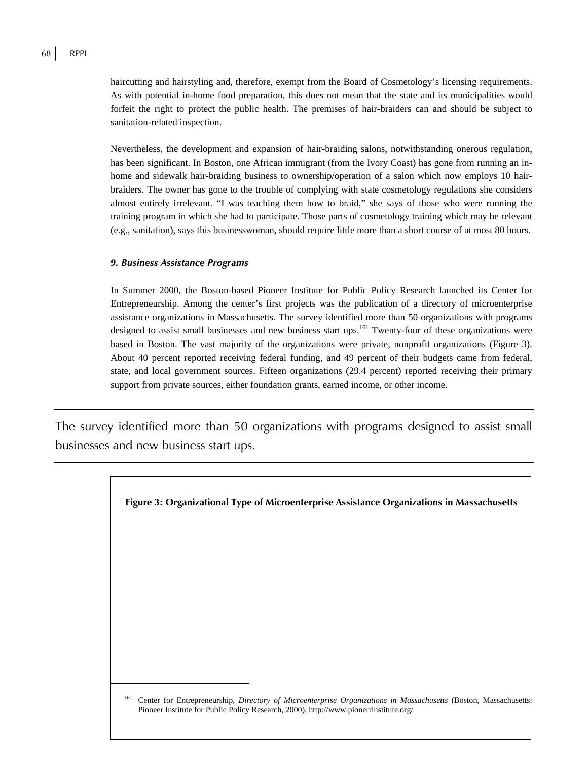haircutting and hairstyling and, therefore, exempt from the Board of Cosmetology's licensing requirements. As with potential in-home food preparation, this does not mean that the state and its municipalities would forfeit the right to protect the public health. The premises of hair-braiders can and should be subject to sanitation-related inspection.

Nevertheless, the development and expansion of hair-braiding salons, notwithstanding onerous regulation, has been significant. In Boston, one African immigrant (from the Ivory Coast) has gone from running an inhome and sidewalk hair-braiding business to ownership/operation of a salon which now employs 10 hairbraiders. The owner has gone to the trouble of complying with state cosmetology regulations she considers almost entirely irrelevant. "I was teaching them how to braid," she says of those who were running the training program in which she had to participate. Those parts of cosmetology training which may be relevant (e.g., sanitation), says this businesswoman, should require little more than a short course of at most 80 hours.

#### *9. Business Assistance Programs*

┞

In Summer 2000, the Boston-based Pioneer Institute for Public Policy Research launched its Center for Entrepreneurship. Among the center's first projects was the publication of a directory of microenterprise assistance organizations in Massachusetts. The survey identified more than 50 organizations with programs designed to assist small businesses and new business start ups.<sup>161</sup> Twenty-four of these organizations were based in Boston. The vast majority of the organizations were private, nonprofit organizations (Figure 3). About 40 percent reported receiving federal funding, and 49 percent of their budgets came from federal, state, and local government sources. Fifteen organizations (29.4 percent) reported receiving their primary support from private sources, either foundation grants, earned income, or other income.

The survey identified more than 50 organizations with programs designed to assist small businesses and new business start ups.

**Figure 3: Organizational Type of Microenterprise Assistance Organizations in Massachusetts** 

<sup>161</sup> Center for Entrepreneurship, *Directory of Microenterprise Organizations in Massachusetts* (Boston, Massachusetts: Pioneer Institute for Public Policy Research, 2000), http://www.pionerrinstitute.org/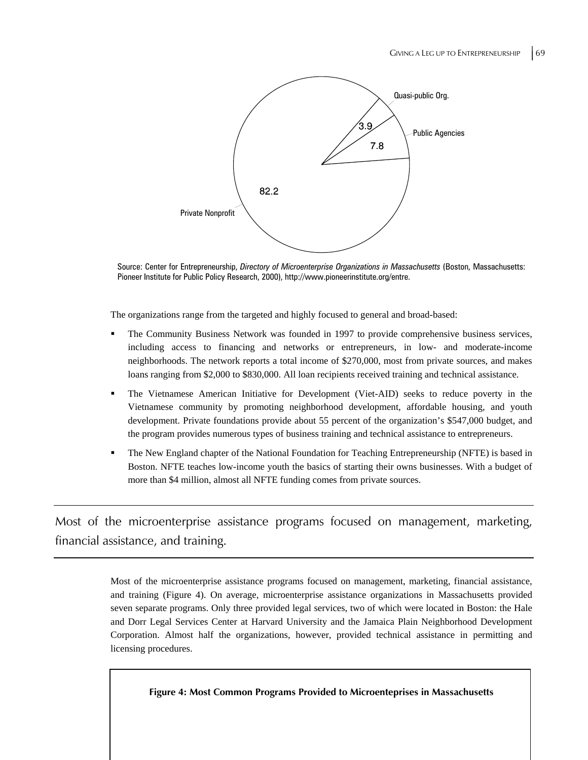

Source: Center for Entrepreneurship, *Directory of Microenterprise Organizations in Massachusetts* (Boston, Massachusetts: Pioneer Institute for Public Policy Research, 2000), http://www.pioneerinstitute.org/entre.

The organizations range from the targeted and highly focused to general and broad-based:

- The Community Business Network was founded in 1997 to provide comprehensive business services, including access to financing and networks or entrepreneurs, in low- and moderate-income neighborhoods. The network reports a total income of \$270,000, most from private sources, and makes loans ranging from \$2,000 to \$830,000. All loan recipients received training and technical assistance.
- The Vietnamese American Initiative for Development (Viet-AID) seeks to reduce poverty in the Vietnamese community by promoting neighborhood development, affordable housing, and youth development. Private foundations provide about 55 percent of the organization's \$547,000 budget, and the program provides numerous types of business training and technical assistance to entrepreneurs.
- The New England chapter of the National Foundation for Teaching Entrepreneurship (NFTE) is based in Boston. NFTE teaches low-income youth the basics of starting their owns businesses. With a budget of more than \$4 million, almost all NFTE funding comes from private sources.

Most of the microenterprise assistance programs focused on management, marketing, financial assistance, and training.

> Most of the microenterprise assistance programs focused on management, marketing, financial assistance, and training (Figure 4). On average, microenterprise assistance organizations in Massachusetts provided seven separate programs. Only three provided legal services, two of which were located in Boston: the Hale and Dorr Legal Services Center at Harvard University and the Jamaica Plain Neighborhood Development Corporation. Almost half the organizations, however, provided technical assistance in permitting and licensing procedures.

**Figure 4: Most Common Programs Provided to Microenteprises in Massachusetts**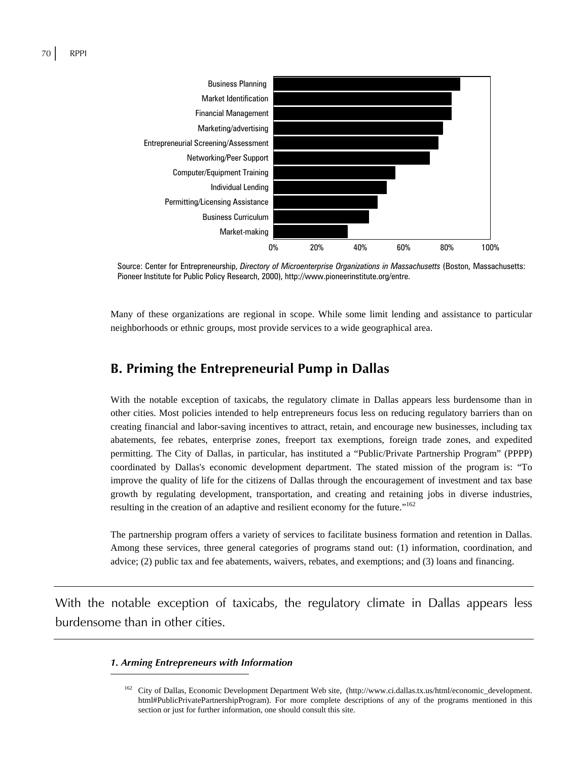

Source: Center for Entrepreneurship, *Directory of Microenterprise Organizations in Massachusetts* (Boston, Massachusetts: Pioneer Institute for Public Policy Research, 2000), http://www.pioneerinstitute.org/entre.

Many of these organizations are regional in scope. While some limit lending and assistance to particular neighborhoods or ethnic groups, most provide services to a wide geographical area.

### **B. Priming the Entrepreneurial Pump in Dallas**

With the notable exception of taxicabs, the regulatory climate in Dallas appears less burdensome than in other cities. Most policies intended to help entrepreneurs focus less on reducing regulatory barriers than on creating financial and labor-saving incentives to attract, retain, and encourage new businesses, including tax abatements, fee rebates, enterprise zones, freeport tax exemptions, foreign trade zones, and expedited permitting. The City of Dallas, in particular, has instituted a "Public/Private Partnership Program" (PPPP) coordinated by Dallas's economic development department. The stated mission of the program is: "To improve the quality of life for the citizens of Dallas through the encouragement of investment and tax base growth by regulating development, transportation, and creating and retaining jobs in diverse industries, resulting in the creation of an adaptive and resilient economy for the future."162

The partnership program offers a variety of services to facilitate business formation and retention in Dallas. Among these services, three general categories of programs stand out: (1) information, coordination, and advice; (2) public tax and fee abatements, waivers, rebates, and exemptions; and (3) loans and financing.

With the notable exception of taxicabs, the regulatory climate in Dallas appears less burdensome than in other cities.

#### *1. Arming Entrepreneurs with Information*

 $\overline{a}$ 

<sup>162</sup> City of Dallas, Economic Development Department Web site, (http://www.ci.dallas.tx.us/html/economic\_development. html#PublicPrivatePartnershipProgram). For more complete descriptions of any of the programs mentioned in this section or just for further information, one should consult this site.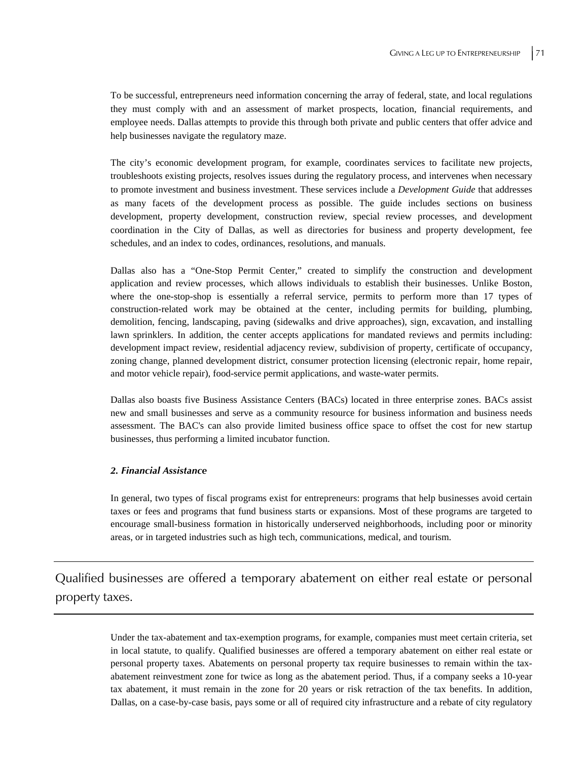To be successful, entrepreneurs need information concerning the array of federal, state, and local regulations they must comply with and an assessment of market prospects, location, financial requirements, and employee needs. Dallas attempts to provide this through both private and public centers that offer advice and help businesses navigate the regulatory maze.

The city's economic development program, for example, coordinates services to facilitate new projects, troubleshoots existing projects, resolves issues during the regulatory process, and intervenes when necessary to promote investment and business investment. These services include a *Development Guide* that addresses as many facets of the development process as possible. The guide includes sections on business development, property development, construction review, special review processes, and development coordination in the City of Dallas, as well as directories for business and property development, fee schedules, and an index to codes, ordinances, resolutions, and manuals.

Dallas also has a "One-Stop Permit Center," created to simplify the construction and development application and review processes, which allows individuals to establish their businesses. Unlike Boston, where the one-stop-shop is essentially a referral service, permits to perform more than 17 types of construction-related work may be obtained at the center, including permits for building, plumbing, demolition, fencing, landscaping, paving (sidewalks and drive approaches), sign, excavation, and installing lawn sprinklers. In addition, the center accepts applications for mandated reviews and permits including: development impact review, residential adjacency review, subdivision of property, certificate of occupancy, zoning change, planned development district, consumer protection licensing (electronic repair, home repair, and motor vehicle repair), food-service permit applications, and waste-water permits.

Dallas also boasts five Business Assistance Centers (BACs) located in three enterprise zones. BACs assist new and small businesses and serve as a community resource for business information and business needs assessment. The BAC's can also provide limited business office space to offset the cost for new startup businesses, thus performing a limited incubator function.

#### *2. Financial Assistance*

In general, two types of fiscal programs exist for entrepreneurs: programs that help businesses avoid certain taxes or fees and programs that fund business starts or expansions. Most of these programs are targeted to encourage small-business formation in historically underserved neighborhoods, including poor or minority areas, or in targeted industries such as high tech, communications, medical, and tourism.

Qualified businesses are offered a temporary abatement on either real estate or personal property taxes.

> Under the tax-abatement and tax-exemption programs, for example, companies must meet certain criteria, set in local statute, to qualify. Qualified businesses are offered a temporary abatement on either real estate or personal property taxes. Abatements on personal property tax require businesses to remain within the taxabatement reinvestment zone for twice as long as the abatement period. Thus, if a company seeks a 10-year tax abatement, it must remain in the zone for 20 years or risk retraction of the tax benefits. In addition, Dallas, on a case-by-case basis, pays some or all of required city infrastructure and a rebate of city regulatory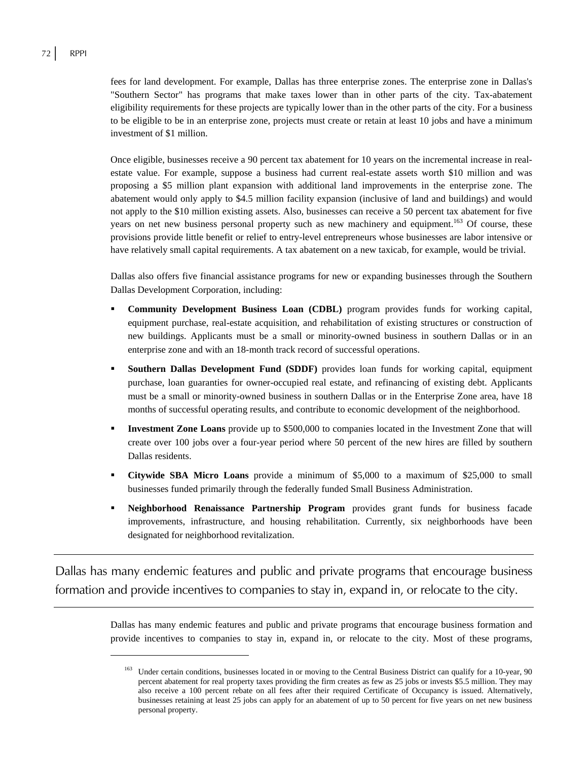$\overline{a}$ 

fees for land development. For example, Dallas has three enterprise zones. The enterprise zone in Dallas's "Southern Sector" has programs that make taxes lower than in other parts of the city. Tax-abatement eligibility requirements for these projects are typically lower than in the other parts of the city. For a business to be eligible to be in an enterprise zone, projects must create or retain at least 10 jobs and have a minimum investment of \$1 million.

Once eligible, businesses receive a 90 percent tax abatement for 10 years on the incremental increase in realestate value. For example, suppose a business had current real-estate assets worth \$10 million and was proposing a \$5 million plant expansion with additional land improvements in the enterprise zone. The abatement would only apply to \$4.5 million facility expansion (inclusive of land and buildings) and would not apply to the \$10 million existing assets. Also, businesses can receive a 50 percent tax abatement for five years on net new business personal property such as new machinery and equipment.<sup>163</sup> Of course, these provisions provide little benefit or relief to entry-level entrepreneurs whose businesses are labor intensive or have relatively small capital requirements. A tax abatement on a new taxicab, for example, would be trivial.

Dallas also offers five financial assistance programs for new or expanding businesses through the Southern Dallas Development Corporation, including:

- **Community Development Business Loan (CDBL)** program provides funds for working capital, equipment purchase, real-estate acquisition, and rehabilitation of existing structures or construction of new buildings. Applicants must be a small or minority-owned business in southern Dallas or in an enterprise zone and with an 18-month track record of successful operations.
- **Southern Dallas Development Fund (SDDF)** provides loan funds for working capital, equipment purchase, loan guaranties for owner-occupied real estate, and refinancing of existing debt. Applicants must be a small or minority-owned business in southern Dallas or in the Enterprise Zone area, have 18 months of successful operating results, and contribute to economic development of the neighborhood.
- **Investment Zone Loans** provide up to \$500,000 to companies located in the Investment Zone that will create over 100 jobs over a four-year period where 50 percent of the new hires are filled by southern Dallas residents.
- **Citywide SBA Micro Loans** provide a minimum of \$5,000 to a maximum of \$25,000 to small businesses funded primarily through the federally funded Small Business Administration.
- **Neighborhood Renaissance Partnership Program** provides grant funds for business facade improvements, infrastructure, and housing rehabilitation. Currently, six neighborhoods have been designated for neighborhood revitalization.

Dallas has many endemic features and public and private programs that encourage business formation and provide incentives to companies to stay in, expand in, or relocate to the city.

> Dallas has many endemic features and public and private programs that encourage business formation and provide incentives to companies to stay in, expand in, or relocate to the city. Most of these programs,

<sup>&</sup>lt;sup>163</sup> Under certain conditions, businesses located in or moving to the Central Business District can qualify for a 10-year, 90 percent abatement for real property taxes providing the firm creates as few as 25 jobs or invests \$5.5 million. They may also receive a 100 percent rebate on all fees after their required Certificate of Occupancy is issued. Alternatively, businesses retaining at least 25 jobs can apply for an abatement of up to 50 percent for five years on net new business personal property.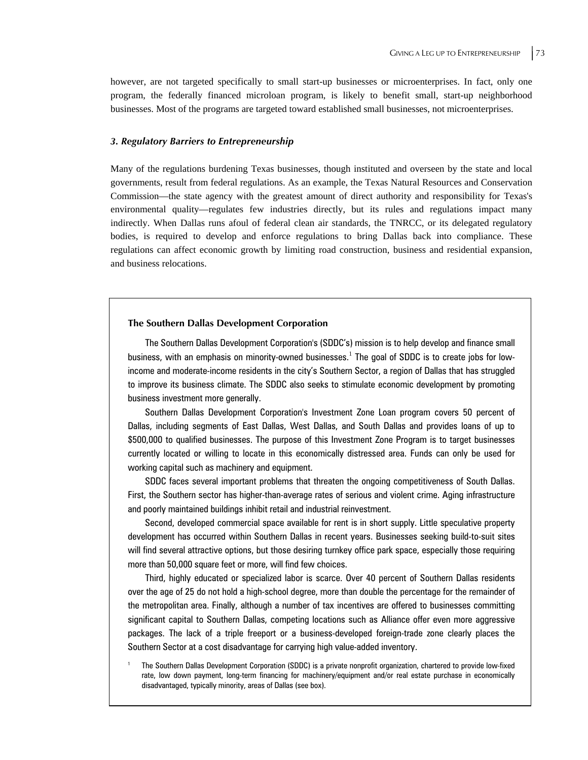however, are not targeted specifically to small start-up businesses or microenterprises. In fact, only one program, the federally financed microloan program, is likely to benefit small, start-up neighborhood businesses. Most of the programs are targeted toward established small businesses, not microenterprises.

#### *3. Regulatory Barriers to Entrepreneurship*

Many of the regulations burdening Texas businesses, though instituted and overseen by the state and local governments, result from federal regulations. As an example, the Texas Natural Resources and Conservation Commission—the state agency with the greatest amount of direct authority and responsibility for Texas's environmental quality—regulates few industries directly, but its rules and regulations impact many indirectly. When Dallas runs afoul of federal clean air standards, the TNRCC, or its delegated regulatory bodies, is required to develop and enforce regulations to bring Dallas back into compliance. These regulations can affect economic growth by limiting road construction, business and residential expansion, and business relocations.

#### **The Southern Dallas Development Corporation**

1

The Southern Dallas Development Corporation's (SDDC's) mission is to help develop and finance small business, with an emphasis on minority-owned businesses. $^1$  The goal of SDDC is to create jobs for lowincome and moderate-income residents in the city's Southern Sector, a region of Dallas that has struggled to improve its business climate. The SDDC also seeks to stimulate economic development by promoting business investment more generally.

Southern Dallas Development Corporation's Investment Zone Loan program covers 50 percent of Dallas, including segments of East Dallas, West Dallas, and South Dallas and provides loans of up to \$500,000 to qualified businesses. The purpose of this Investment Zone Program is to target businesses currently located or willing to locate in this economically distressed area. Funds can only be used for working capital such as machinery and equipment.

SDDC faces several important problems that threaten the ongoing competitiveness of South Dallas. First, the Southern sector has higher-than-average rates of serious and violent crime. Aging infrastructure and poorly maintained buildings inhibit retail and industrial reinvestment.

Second, developed commercial space available for rent is in short supply. Little speculative property development has occurred within Southern Dallas in recent years. Businesses seeking build-to-suit sites will find several attractive options, but those desiring turnkey office park space, especially those requiring more than 50,000 square feet or more, will find few choices.

Third, highly educated or specialized labor is scarce. Over 40 percent of Southern Dallas residents over the age of 25 do not hold a high-school degree, more than double the percentage for the remainder of the metropolitan area. Finally, although a number of tax incentives are offered to businesses committing significant capital to Southern Dallas, competing locations such as Alliance offer even more aggressive packages. The lack of a triple freeport or a business-developed foreign-trade zone clearly places the Southern Sector at a cost disadvantage for carrying high value-added inventory.

 The Southern Dallas Development Corporation (SDDC) is a private nonprofit organization, chartered to provide low-fixed rate, low down payment, long-term financing for machinery/equipment and/or real estate purchase in economically disadvantaged, typically minority, areas of Dallas (see box).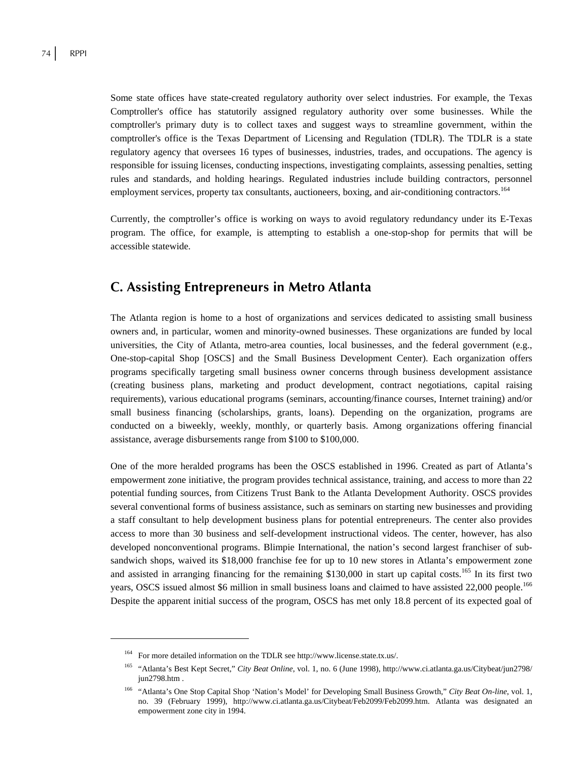Some state offices have state-created regulatory authority over select industries. For example, the Texas Comptroller's office has statutorily assigned regulatory authority over some businesses. While the comptroller's primary duty is to collect taxes and suggest ways to streamline government, within the comptroller's office is the Texas Department of Licensing and Regulation (TDLR). The TDLR is a state regulatory agency that oversees 16 types of businesses, industries, trades, and occupations. The agency is responsible for issuing licenses, conducting inspections, investigating complaints, assessing penalties, setting rules and standards, and holding hearings. Regulated industries include building contractors, personnel employment services, property tax consultants, auctioneers, boxing, and air-conditioning contractors.<sup>164</sup>

Currently, the comptroller's office is working on ways to avoid regulatory redundancy under its E-Texas program. The office, for example, is attempting to establish a one-stop-shop for permits that will be accessible statewide.

### **C. Assisting Entrepreneurs in Metro Atlanta**

The Atlanta region is home to a host of organizations and services dedicated to assisting small business owners and, in particular, women and minority-owned businesses. These organizations are funded by local universities, the City of Atlanta, metro-area counties, local businesses, and the federal government (e.g., One-stop-capital Shop [OSCS] and the Small Business Development Center). Each organization offers programs specifically targeting small business owner concerns through business development assistance (creating business plans, marketing and product development, contract negotiations, capital raising requirements), various educational programs (seminars, accounting/finance courses, Internet training) and/or small business financing (scholarships, grants, loans). Depending on the organization, programs are conducted on a biweekly, weekly, monthly, or quarterly basis. Among organizations offering financial assistance, average disbursements range from \$100 to \$100,000.

One of the more heralded programs has been the OSCS established in 1996. Created as part of Atlanta's empowerment zone initiative, the program provides technical assistance, training, and access to more than 22 potential funding sources, from Citizens Trust Bank to the Atlanta Development Authority. OSCS provides several conventional forms of business assistance, such as seminars on starting new businesses and providing a staff consultant to help development business plans for potential entrepreneurs. The center also provides access to more than 30 business and self-development instructional videos. The center, however, has also developed nonconventional programs. Blimpie International, the nation's second largest franchiser of subsandwich shops, waived its \$18,000 franchise fee for up to 10 new stores in Atlanta's empowerment zone and assisted in arranging financing for the remaining \$130,000 in start up capital costs.<sup>165</sup> In its first two years, OSCS issued almost \$6 million in small business loans and claimed to have assisted 22,000 people.<sup>166</sup> Despite the apparent initial success of the program, OSCS has met only 18.8 percent of its expected goal of

 $\overline{a}$ 

<sup>164</sup> For more detailed information on the TDLR see http://www.license.state.tx.us/.

<sup>165 &</sup>quot;Atlanta's Best Kept Secret," *City Beat Online*, vol. 1, no. 6 (June 1998), http://www.ci.atlanta.ga.us/Citybeat/jun2798/ jun2798.htm .

<sup>166 &</sup>quot;Atlanta's One Stop Capital Shop 'Nation's Model' for Developing Small Business Growth," *City Beat On-line*, vol. 1, no. 39 (February 1999), http://www.ci.atlanta.ga.us/Citybeat/Feb2099/Feb2099.htm. Atlanta was designated an empowerment zone city in 1994.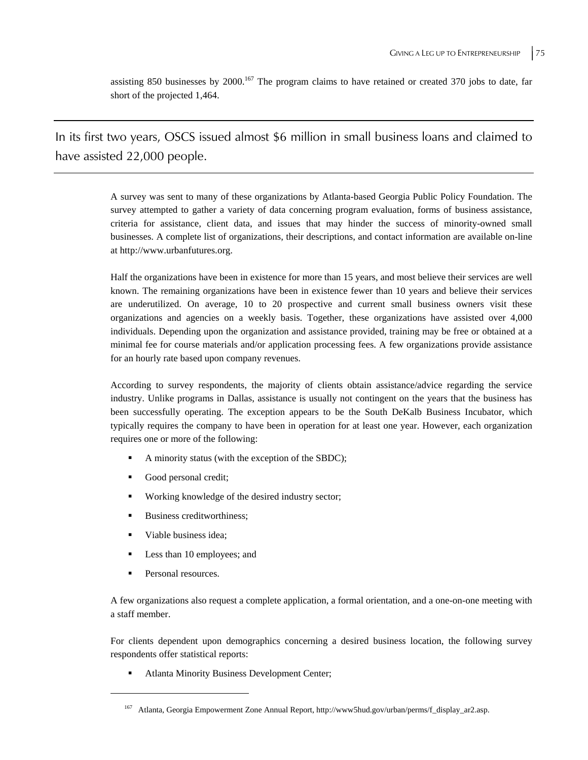assisting 850 businesses by 2000.<sup>167</sup> The program claims to have retained or created 370 jobs to date, far short of the projected 1,464.

In its first two years, OSCS issued almost \$6 million in small business loans and claimed to have assisted 22,000 people.

> A survey was sent to many of these organizations by Atlanta-based Georgia Public Policy Foundation. The survey attempted to gather a variety of data concerning program evaluation, forms of business assistance, criteria for assistance, client data, and issues that may hinder the success of minority-owned small businesses. A complete list of organizations, their descriptions, and contact information are available on-line at http://www.urbanfutures.org.

> Half the organizations have been in existence for more than 15 years, and most believe their services are well known. The remaining organizations have been in existence fewer than 10 years and believe their services are underutilized. On average, 10 to 20 prospective and current small business owners visit these organizations and agencies on a weekly basis. Together, these organizations have assisted over 4,000 individuals. Depending upon the organization and assistance provided, training may be free or obtained at a minimal fee for course materials and/or application processing fees. A few organizations provide assistance for an hourly rate based upon company revenues.

> According to survey respondents, the majority of clients obtain assistance/advice regarding the service industry. Unlike programs in Dallas, assistance is usually not contingent on the years that the business has been successfully operating. The exception appears to be the South DeKalb Business Incubator, which typically requires the company to have been in operation for at least one year. However, each organization requires one or more of the following:

- A minority status (with the exception of the SBDC);
- Good personal credit;
- Working knowledge of the desired industry sector;
- Business creditworthiness;
- Viable business idea;
- **Less than 10 employees; and**
- **Personal resources.**

 $\overline{a}$ 

A few organizations also request a complete application, a formal orientation, and a one-on-one meeting with a staff member.

For clients dependent upon demographics concerning a desired business location, the following survey respondents offer statistical reports:

■ Atlanta Minority Business Development Center;

<sup>167</sup> Atlanta, Georgia Empowerment Zone Annual Report, http://www5hud.gov/urban/perms/f\_display\_ar2.asp.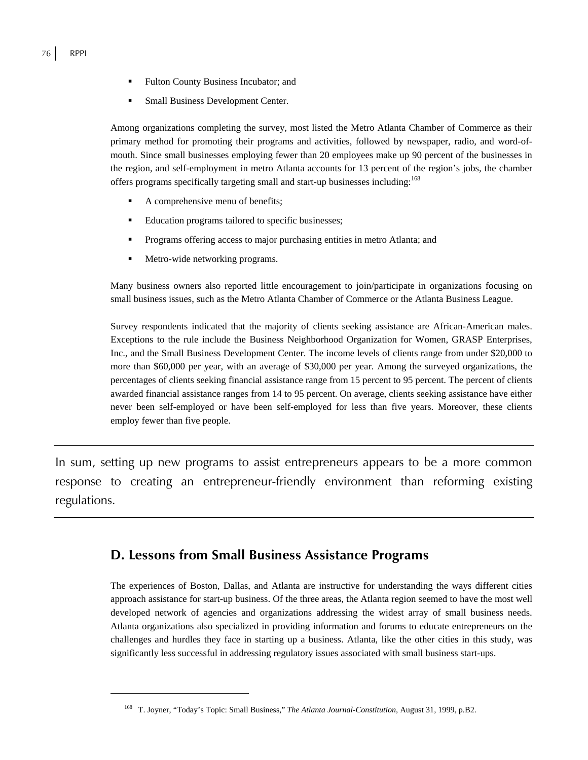$\overline{a}$ 

- Fulton County Business Incubator; and
- Small Business Development Center.

Among organizations completing the survey, most listed the Metro Atlanta Chamber of Commerce as their primary method for promoting their programs and activities, followed by newspaper, radio, and word-ofmouth. Since small businesses employing fewer than 20 employees make up 90 percent of the businesses in the region, and self-employment in metro Atlanta accounts for 13 percent of the region's jobs, the chamber offers programs specifically targeting small and start-up businesses including:168

- A comprehensive menu of benefits;
- **Education programs tailored to specific businesses;**
- **Programs offering access to major purchasing entities in metro Atlanta; and**
- Metro-wide networking programs.

Many business owners also reported little encouragement to join/participate in organizations focusing on small business issues, such as the Metro Atlanta Chamber of Commerce or the Atlanta Business League.

Survey respondents indicated that the majority of clients seeking assistance are African-American males. Exceptions to the rule include the Business Neighborhood Organization for Women, GRASP Enterprises, Inc., and the Small Business Development Center. The income levels of clients range from under \$20,000 to more than \$60,000 per year, with an average of \$30,000 per year. Among the surveyed organizations, the percentages of clients seeking financial assistance range from 15 percent to 95 percent. The percent of clients awarded financial assistance ranges from 14 to 95 percent. On average, clients seeking assistance have either never been self-employed or have been self-employed for less than five years. Moreover, these clients employ fewer than five people.

In sum, setting up new programs to assist entrepreneurs appears to be a more common response to creating an entrepreneur-friendly environment than reforming existing regulations.

## **D. Lessons from Small Business Assistance Programs**

The experiences of Boston, Dallas, and Atlanta are instructive for understanding the ways different cities approach assistance for start-up business. Of the three areas, the Atlanta region seemed to have the most well developed network of agencies and organizations addressing the widest array of small business needs. Atlanta organizations also specialized in providing information and forums to educate entrepreneurs on the challenges and hurdles they face in starting up a business. Atlanta, like the other cities in this study, was significantly less successful in addressing regulatory issues associated with small business start-ups.

<sup>168</sup> T. Joyner, "Today's Topic: Small Business," *The Atlanta Journal-Constitution*, August 31, 1999, p.B2.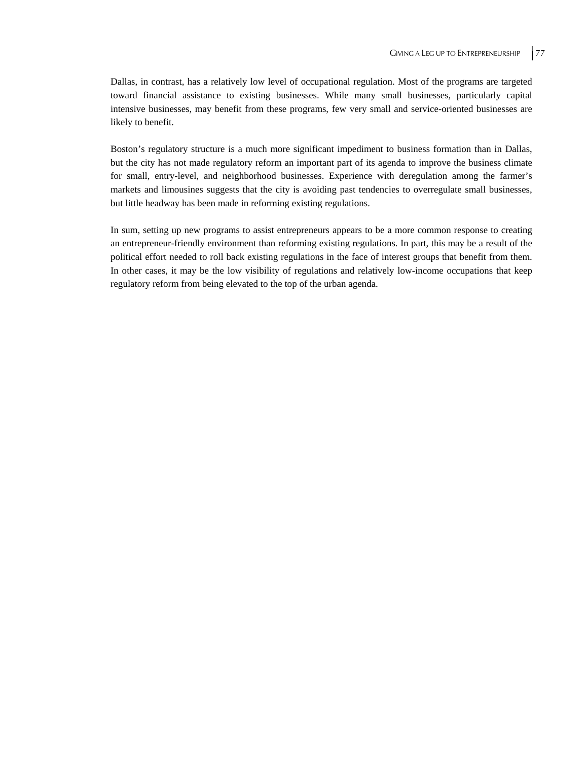Dallas, in contrast, has a relatively low level of occupational regulation. Most of the programs are targeted toward financial assistance to existing businesses. While many small businesses, particularly capital intensive businesses, may benefit from these programs, few very small and service-oriented businesses are likely to benefit.

Boston's regulatory structure is a much more significant impediment to business formation than in Dallas, but the city has not made regulatory reform an important part of its agenda to improve the business climate for small, entry-level, and neighborhood businesses. Experience with deregulation among the farmer's markets and limousines suggests that the city is avoiding past tendencies to overregulate small businesses, but little headway has been made in reforming existing regulations.

In sum, setting up new programs to assist entrepreneurs appears to be a more common response to creating an entrepreneur-friendly environment than reforming existing regulations. In part, this may be a result of the political effort needed to roll back existing regulations in the face of interest groups that benefit from them. In other cases, it may be the low visibility of regulations and relatively low-income occupations that keep regulatory reform from being elevated to the top of the urban agenda.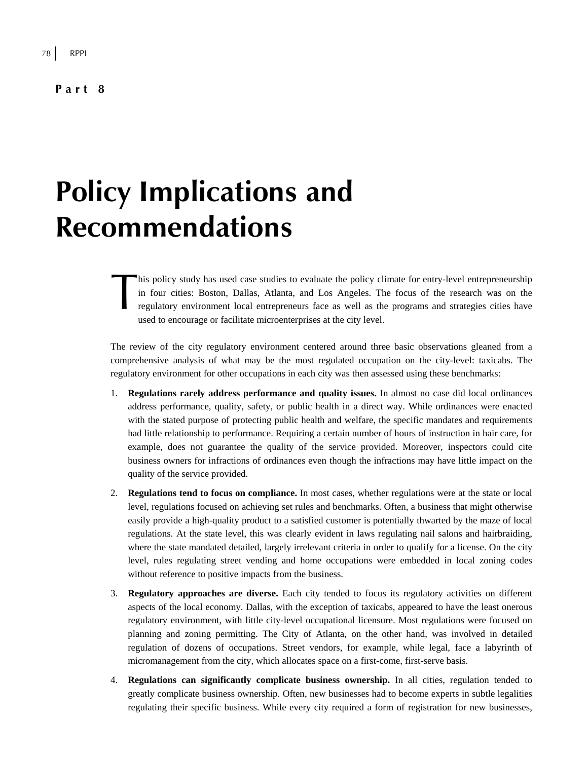#### **Part 8**

# **Policy Implications and Recommendations**

his policy study has used case studies to evaluate the policy climate for entry-level entrepreneurship in four cities: Boston, Dallas, Atlanta, and Los Angeles. The focus of the research was on the regulatory environment local entrepreneurs face as well as the programs and strategies cities have used to encourage or facilitate microenterprises at the city level. his<br>in 1<br>regu

The review of the city regulatory environment centered around three basic observations gleaned from a comprehensive analysis of what may be the most regulated occupation on the city-level: taxicabs. The regulatory environment for other occupations in each city was then assessed using these benchmarks:

- 1. **Regulations rarely address performance and quality issues.** In almost no case did local ordinances address performance, quality, safety, or public health in a direct way. While ordinances were enacted with the stated purpose of protecting public health and welfare, the specific mandates and requirements had little relationship to performance. Requiring a certain number of hours of instruction in hair care, for example, does not guarantee the quality of the service provided. Moreover, inspectors could cite business owners for infractions of ordinances even though the infractions may have little impact on the quality of the service provided.
- 2. **Regulations tend to focus on compliance.** In most cases, whether regulations were at the state or local level, regulations focused on achieving set rules and benchmarks. Often, a business that might otherwise easily provide a high-quality product to a satisfied customer is potentially thwarted by the maze of local regulations. At the state level, this was clearly evident in laws regulating nail salons and hairbraiding, where the state mandated detailed, largely irrelevant criteria in order to qualify for a license. On the city level, rules regulating street vending and home occupations were embedded in local zoning codes without reference to positive impacts from the business.
- 3. **Regulatory approaches are diverse.** Each city tended to focus its regulatory activities on different aspects of the local economy. Dallas, with the exception of taxicabs, appeared to have the least onerous regulatory environment, with little city-level occupational licensure. Most regulations were focused on planning and zoning permitting. The City of Atlanta, on the other hand, was involved in detailed regulation of dozens of occupations. Street vendors, for example, while legal, face a labyrinth of micromanagement from the city, which allocates space on a first-come, first-serve basis.
- 4. **Regulations can significantly complicate business ownership.** In all cities, regulation tended to greatly complicate business ownership. Often, new businesses had to become experts in subtle legalities regulating their specific business. While every city required a form of registration for new businesses,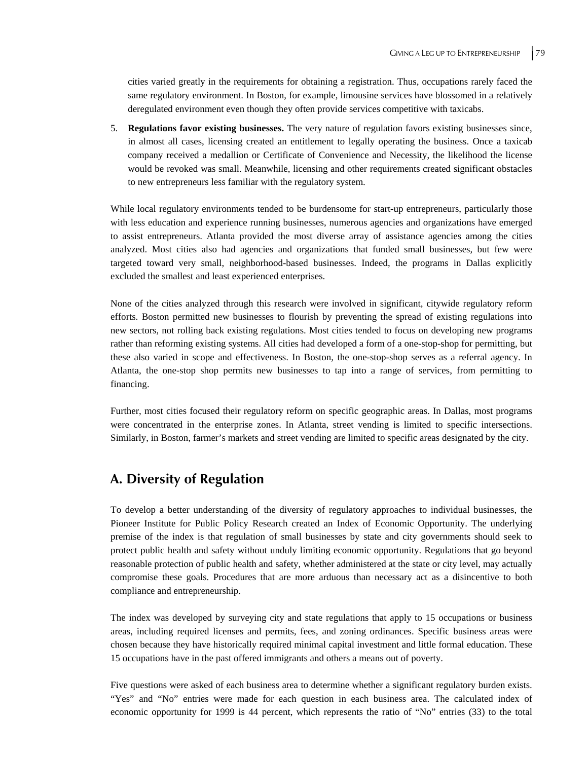cities varied greatly in the requirements for obtaining a registration. Thus, occupations rarely faced the same regulatory environment. In Boston, for example, limousine services have blossomed in a relatively deregulated environment even though they often provide services competitive with taxicabs.

5. **Regulations favor existing businesses.** The very nature of regulation favors existing businesses since, in almost all cases, licensing created an entitlement to legally operating the business. Once a taxicab company received a medallion or Certificate of Convenience and Necessity, the likelihood the license would be revoked was small. Meanwhile, licensing and other requirements created significant obstacles to new entrepreneurs less familiar with the regulatory system.

While local regulatory environments tended to be burdensome for start-up entrepreneurs, particularly those with less education and experience running businesses, numerous agencies and organizations have emerged to assist entrepreneurs. Atlanta provided the most diverse array of assistance agencies among the cities analyzed. Most cities also had agencies and organizations that funded small businesses, but few were targeted toward very small, neighborhood-based businesses. Indeed, the programs in Dallas explicitly excluded the smallest and least experienced enterprises.

None of the cities analyzed through this research were involved in significant, citywide regulatory reform efforts. Boston permitted new businesses to flourish by preventing the spread of existing regulations into new sectors, not rolling back existing regulations. Most cities tended to focus on developing new programs rather than reforming existing systems. All cities had developed a form of a one-stop-shop for permitting, but these also varied in scope and effectiveness. In Boston, the one-stop-shop serves as a referral agency. In Atlanta, the one-stop shop permits new businesses to tap into a range of services, from permitting to financing.

Further, most cities focused their regulatory reform on specific geographic areas. In Dallas, most programs were concentrated in the enterprise zones. In Atlanta, street vending is limited to specific intersections. Similarly, in Boston, farmer's markets and street vending are limited to specific areas designated by the city.

### **A. Diversity of Regulation**

To develop a better understanding of the diversity of regulatory approaches to individual businesses, the Pioneer Institute for Public Policy Research created an Index of Economic Opportunity. The underlying premise of the index is that regulation of small businesses by state and city governments should seek to protect public health and safety without unduly limiting economic opportunity. Regulations that go beyond reasonable protection of public health and safety, whether administered at the state or city level, may actually compromise these goals. Procedures that are more arduous than necessary act as a disincentive to both compliance and entrepreneurship.

The index was developed by surveying city and state regulations that apply to 15 occupations or business areas, including required licenses and permits, fees, and zoning ordinances. Specific business areas were chosen because they have historically required minimal capital investment and little formal education. These 15 occupations have in the past offered immigrants and others a means out of poverty.

Five questions were asked of each business area to determine whether a significant regulatory burden exists. "Yes" and "No" entries were made for each question in each business area. The calculated index of economic opportunity for 1999 is 44 percent, which represents the ratio of "No" entries (33) to the total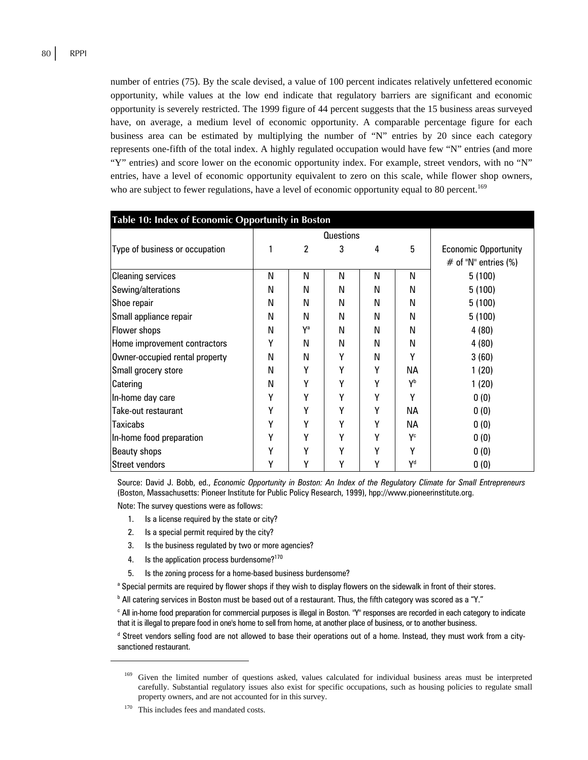number of entries (75). By the scale devised, a value of 100 percent indicates relatively unfettered economic opportunity, while values at the low end indicate that regulatory barriers are significant and economic opportunity is severely restricted. The 1999 figure of 44 percent suggests that the 15 business areas surveyed have, on average, a medium level of economic opportunity. A comparable percentage figure for each business area can be estimated by multiplying the number of "N" entries by 20 since each category represents one-fifth of the total index. A highly regulated occupation would have few "N" entries (and more "Y" entries) and score lower on the economic opportunity index. For example, street vendors, with no "N" entries, have a level of economic opportunity equivalent to zero on this scale, while flower shop owners, who are subject to fewer regulations, have a level of economic opportunity equal to 80 percent.<sup>169</sup>

| Table 10: Index of Economic Opportunity in Boston |                  |                |   |   |                           |                             |
|---------------------------------------------------|------------------|----------------|---|---|---------------------------|-----------------------------|
|                                                   | <b>Questions</b> |                |   |   |                           |                             |
| Type of business or occupation                    |                  | $\overline{c}$ | 3 | 4 | 5                         | <b>Economic Opportunity</b> |
|                                                   |                  |                |   |   |                           | $#$ of "N" entries (%)      |
| <b>Cleaning services</b>                          | N                | N              | N | N | N                         | 5(100)                      |
| Sewing/alterations                                | N                | N              | N | N | N                         | 5(100)                      |
| Shoe repair                                       | N                | N              | N | N | N                         | 5(100)                      |
| Small appliance repair                            | N                | N              | N | N | N                         | 5(100)                      |
| Flower shops                                      | N                | Ya             | N | N | N                         | 4(80)                       |
| Home improvement contractors                      | γ                | N              | N | N | N                         | 4(80)                       |
| Owner-occupied rental property                    | N                | N              | γ | N | Υ                         | 3(60)                       |
| Small grocery store                               | N                | Υ              | Υ | Υ | NА                        | 1(20)                       |
| Catering                                          | N                | γ              | Υ | Υ | Yb                        | 1(20)                       |
| In-home day care                                  | Υ                | Υ              | Υ | Υ | Υ                         | 0(0)                        |
| Take-out restaurant                               | Υ                | γ              | Υ | Υ | NА                        | 0(0)                        |
| <b>Taxicabs</b>                                   | Υ                | γ              | γ | γ | NА                        | 0(0)                        |
| In-home food preparation                          | Υ                | Y              | γ | γ | $\mathsf{Y}^{\mathsf{c}}$ | 0(0)                        |
| Beauty shops                                      | Υ                | Υ              | γ | γ | γ                         | 0(0)                        |
| Street vendors                                    | γ                | γ              | γ | γ | Yd                        | 0(0)                        |

Source: David J. Bobb, ed., *Economic Opportunity in Boston: An Index of the Regulatory Climate for Small Entrepreneurs* (Boston, Massachusetts: Pioneer Institute for Public Policy Research, 1999), hpp://www.pioneerinstitute.org.

Note: The survey questions were as follows:

- 1. Is a license required by the state or city?
- 2. Is a special permit required by the city?
- 3. Is the business regulated by two or more agencies?
- 4. Is the application process burdensome?<sup>170</sup>
- 5. Is the zoning process for a home-based business burdensome?
- <sup>a</sup> Special permits are required by flower shops if they wish to display flowers on the sidewalk in front of their stores.
- $^{\rm b}$  All catering services in Boston must be based out of a restaurant. Thus, the fifth category was scored as a "Y."

c All in-home food preparation for commercial purposes is illegal in Boston. "Y" responses are recorded in each category to indicate that it is illegal to prepare food in one's home to sell from home, at another place of business, or to another business.

d Street vendors selling food are not allowed to base their operations out of a home. Instead, they must work from a citysanctioned restaurant.

 $\overline{a}$ 

Given the limited number of questions asked, values calculated for individual business areas must be interpreted carefully. Substantial regulatory issues also exist for specific occupations, such as housing policies to regulate small property owners, and are not accounted for in this survey.

<sup>&</sup>lt;sup>170</sup> This includes fees and mandated costs.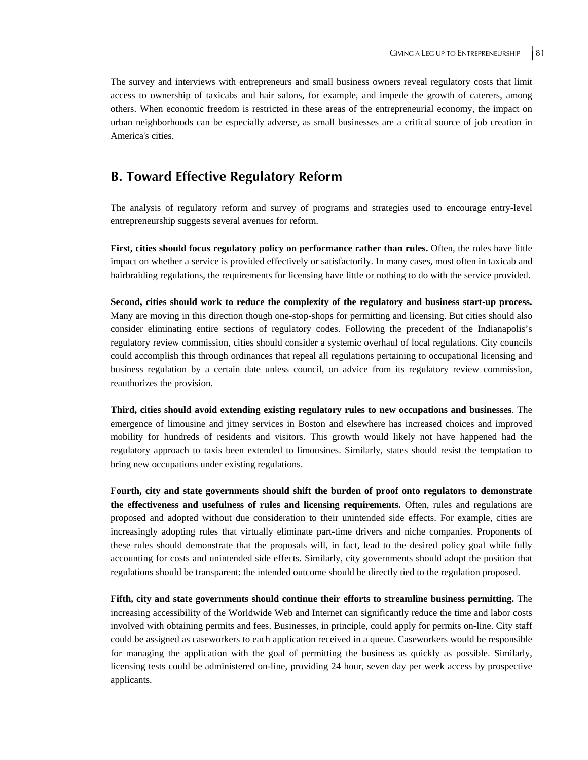The survey and interviews with entrepreneurs and small business owners reveal regulatory costs that limit access to ownership of taxicabs and hair salons, for example, and impede the growth of caterers, among others. When economic freedom is restricted in these areas of the entrepreneurial economy, the impact on urban neighborhoods can be especially adverse, as small businesses are a critical source of job creation in America's cities.

## **B. Toward Effective Regulatory Reform**

The analysis of regulatory reform and survey of programs and strategies used to encourage entry-level entrepreneurship suggests several avenues for reform.

**First, cities should focus regulatory policy on performance rather than rules.** Often, the rules have little impact on whether a service is provided effectively or satisfactorily. In many cases, most often in taxicab and hairbraiding regulations, the requirements for licensing have little or nothing to do with the service provided.

**Second, cities should work to reduce the complexity of the regulatory and business start-up process.** Many are moving in this direction though one-stop-shops for permitting and licensing. But cities should also consider eliminating entire sections of regulatory codes. Following the precedent of the Indianapolis's regulatory review commission, cities should consider a systemic overhaul of local regulations. City councils could accomplish this through ordinances that repeal all regulations pertaining to occupational licensing and business regulation by a certain date unless council, on advice from its regulatory review commission, reauthorizes the provision.

**Third, cities should avoid extending existing regulatory rules to new occupations and businesses**. The emergence of limousine and jitney services in Boston and elsewhere has increased choices and improved mobility for hundreds of residents and visitors. This growth would likely not have happened had the regulatory approach to taxis been extended to limousines. Similarly, states should resist the temptation to bring new occupations under existing regulations.

**Fourth, city and state governments should shift the burden of proof onto regulators to demonstrate the effectiveness and usefulness of rules and licensing requirements.** Often, rules and regulations are proposed and adopted without due consideration to their unintended side effects. For example, cities are increasingly adopting rules that virtually eliminate part-time drivers and niche companies. Proponents of these rules should demonstrate that the proposals will, in fact, lead to the desired policy goal while fully accounting for costs and unintended side effects. Similarly, city governments should adopt the position that regulations should be transparent: the intended outcome should be directly tied to the regulation proposed.

**Fifth, city and state governments should continue their efforts to streamline business permitting.** The increasing accessibility of the Worldwide Web and Internet can significantly reduce the time and labor costs involved with obtaining permits and fees. Businesses, in principle, could apply for permits on-line. City staff could be assigned as caseworkers to each application received in a queue. Caseworkers would be responsible for managing the application with the goal of permitting the business as quickly as possible. Similarly, licensing tests could be administered on-line, providing 24 hour, seven day per week access by prospective applicants.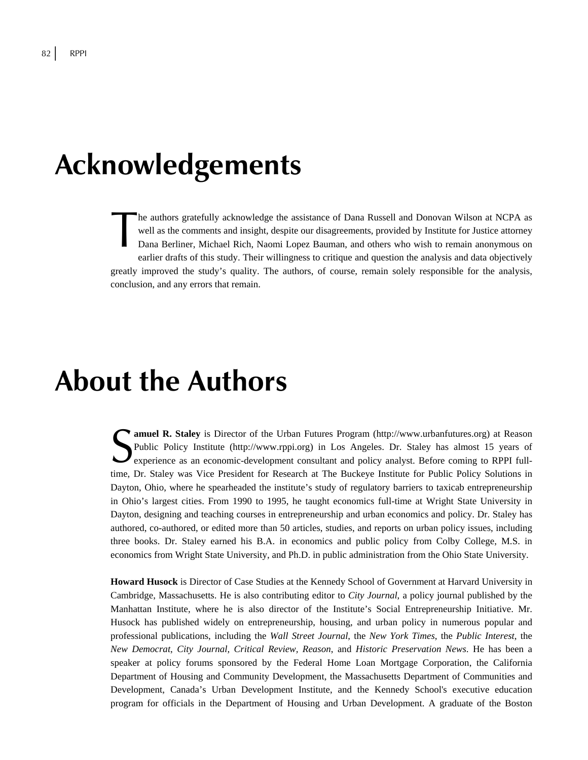## **Acknowledgements**

he authors gratefully acknowledge the assistance of Dana Russell and Donovan Wilson at NCPA as well as the comments and insight, despite our disagreements, provided by Institute for Justice attorney Dana Berliner, Michael Rich, Naomi Lopez Bauman, and others who wish to remain anonymous on earlier drafts of this study. Their willingness to critique and question the analysis and data objectively greatly improved the study's quality. The authors, of course, remain solely responsible for the analysis, conclusion, and any errors that remain. The a

## **About the Authors**

**amuel R. Staley** is Director of the Urban Futures Program (http://www.urbanfutures.org) at Reason Public Policy Institute (http://www.rppi.org) in Los Angeles. Dr. Staley has almost 15 years of **Experience as an economic-development consultant and policy analyst. Before coming to RPPI full-<br>
Seperience as an economic-development consultant and policy analyst. Before coming to RPPI full-<br>
Separate in the Separate** time, Dr. Staley was Vice President for Research at The Buckeye Institute for Public Policy Solutions in Dayton, Ohio, where he spearheaded the institute's study of regulatory barriers to taxicab entrepreneurship in Ohio's largest cities. From 1990 to 1995, he taught economics full-time at Wright State University in Dayton, designing and teaching courses in entrepreneurship and urban economics and policy. Dr. Staley has authored, co-authored, or edited more than 50 articles, studies, and reports on urban policy issues, including three books. Dr. Staley earned his B.A. in economics and public policy from Colby College, M.S. in economics from Wright State University, and Ph.D. in public administration from the Ohio State University.

**Howard Husock** is Director of Case Studies at the Kennedy School of Government at Harvard University in Cambridge, Massachusetts. He is also contributing editor to *City Journal*, a policy journal published by the Manhattan Institute, where he is also director of the Institute's Social Entrepreneurship Initiative. Mr. Husock has published widely on entrepreneurship, housing, and urban policy in numerous popular and professional publications, including the *Wall Street Journal*, the *New York Times*, the *Public Interest*, the *New Democrat*, *City Journal, Critical Review, Reason*, and *Historic Preservation News*. He has been a speaker at policy forums sponsored by the Federal Home Loan Mortgage Corporation, the California Department of Housing and Community Development, the Massachusetts Department of Communities and Development, Canada's Urban Development Institute, and the Kennedy School's executive education program for officials in the Department of Housing and Urban Development. A graduate of the Boston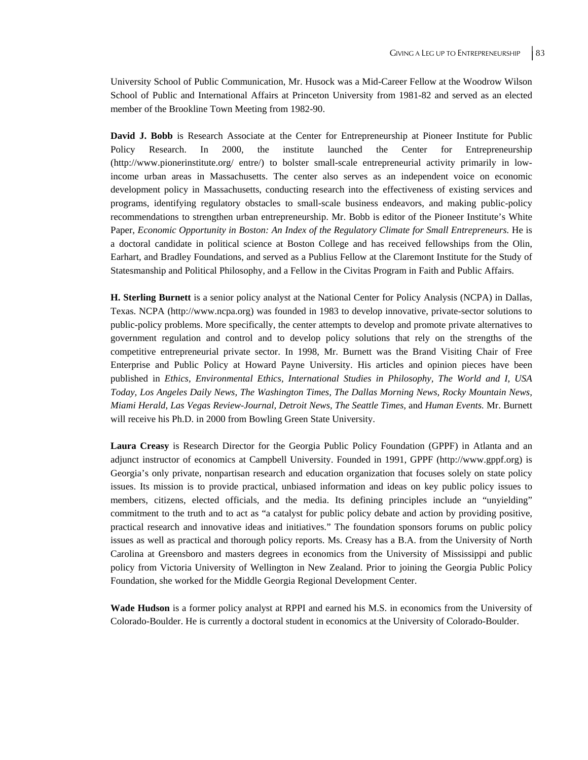University School of Public Communication, Mr. Husock was a Mid-Career Fellow at the Woodrow Wilson School of Public and International Affairs at Princeton University from 1981-82 and served as an elected member of the Brookline Town Meeting from 1982-90.

David J. Bobb is Research Associate at the Center for Entrepreneurship at Pioneer Institute for Public Policy Research. In 2000, the institute launched the Center for Entrepreneurship (http://www.pionerinstitute.org/ entre/) to bolster small-scale entrepreneurial activity primarily in lowincome urban areas in Massachusetts. The center also serves as an independent voice on economic development policy in Massachusetts, conducting research into the effectiveness of existing services and programs, identifying regulatory obstacles to small-scale business endeavors, and making public-policy recommendations to strengthen urban entrepreneurship. Mr. Bobb is editor of the Pioneer Institute's White Paper, *Economic Opportunity in Boston: An Index of the Regulatory Climate for Small Entrepreneurs.* He is a doctoral candidate in political science at Boston College and has received fellowships from the Olin, Earhart, and Bradley Foundations, and served as a Publius Fellow at the Claremont Institute for the Study of Statesmanship and Political Philosophy, and a Fellow in the Civitas Program in Faith and Public Affairs.

**H. Sterling Burnett** is a senior policy analyst at the National Center for Policy Analysis (NCPA) in Dallas, Texas. NCPA (http://www.ncpa.org) was founded in 1983 to develop innovative, private-sector solutions to public-policy problems. More specifically, the center attempts to develop and promote private alternatives to government regulation and control and to develop policy solutions that rely on the strengths of the competitive entrepreneurial private sector. In 1998, Mr. Burnett was the Brand Visiting Chair of Free Enterprise and Public Policy at Howard Payne University. His articles and opinion pieces have been published in *Ethics, Environmental Ethics, International Studies in Philosophy, The World and I, USA Today, Los Angeles Daily News, The Washington Times, The Dallas Morning News, Rocky Mountain News, Miami Herald, Las Vegas Review-Journal, Detroit News, The Seattle Times,* and *Human Events.* Mr. Burnett will receive his Ph.D. in 2000 from Bowling Green State University.

**Laura Creasy** is Research Director for the Georgia Public Policy Foundation (GPPF) in Atlanta and an adjunct instructor of economics at Campbell University. Founded in 1991, GPPF (http://www.gppf.org) is Georgia's only private, nonpartisan research and education organization that focuses solely on state policy issues. Its mission is to provide practical, unbiased information and ideas on key public policy issues to members, citizens, elected officials, and the media. Its defining principles include an "unyielding" commitment to the truth and to act as "a catalyst for public policy debate and action by providing positive, practical research and innovative ideas and initiatives." The foundation sponsors forums on public policy issues as well as practical and thorough policy reports. Ms. Creasy has a B.A. from the University of North Carolina at Greensboro and masters degrees in economics from the University of Mississippi and public policy from Victoria University of Wellington in New Zealand. Prior to joining the Georgia Public Policy Foundation, she worked for the Middle Georgia Regional Development Center.

**Wade Hudson** is a former policy analyst at RPPI and earned his M.S. in economics from the University of Colorado-Boulder. He is currently a doctoral student in economics at the University of Colorado-Boulder.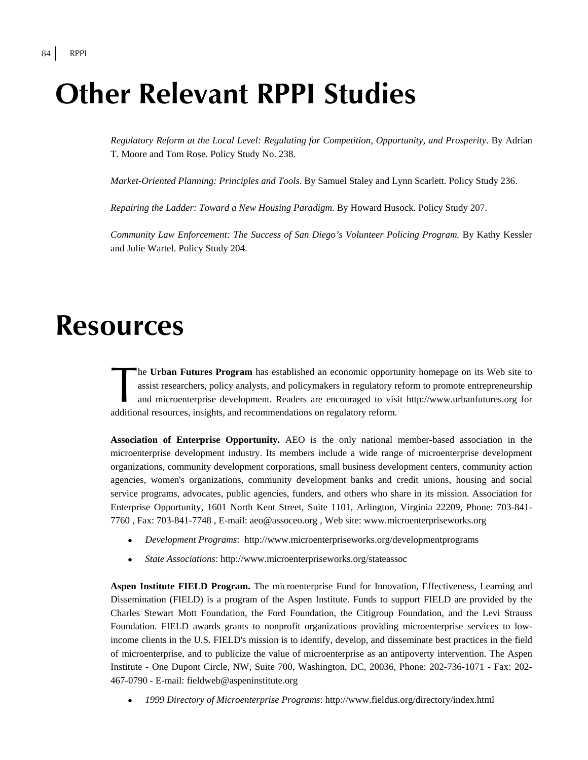## **Other Relevant RPPI Studies**

*Regulatory Reform at the Local Level: Regulating for Competition, Opportunity, and Prosperity*. By Adrian T. Moore and Tom Rose. Policy Study No. 238.

*Market-Oriented Planning: Principles and Tools*. By Samuel Staley and Lynn Scarlett. Policy Study 236.

*Repairing the Ladder: Toward a New Housing Paradigm*. By Howard Husock. Policy Study 207.

*Community Law Enforcement: The Success of San Diego's Volunteer Policing Program.* By Kathy Kessler and Julie Wartel. Policy Study 204.

## **Resources**

he **Urban Futures Program** has established an economic opportunity homepage on its Web site to assist researchers, policy analysts, and policymakers in regulatory reform to promote entrepreneurship and microenterprise development. Readers are encouraged to visit http://www.urbanfutures.org for additional resources, insights, and recommendations on regulatory reform. The lassi<br>and<br>additional

**Association of Enterprise Opportunity.** AEO is the only national member-based association in the microenterprise development industry. Its members include a wide range of microenterprise development organizations, community development corporations, small business development centers, community action agencies, women's organizations, community development banks and credit unions, housing and social service programs, advocates, public agencies, funders, and others who share in its mission. Association for Enterprise Opportunity, 1601 North Kent Street, Suite 1101, Arlington, Virginia 22209, Phone: 703-841- 7760 , Fax: 703-841-7748 , E-mail: aeo@assoceo.org , Web site: www.microenterpriseworks.org

- <sup>z</sup> *Development Programs*: http://www.microenterpriseworks.org/developmentprograms
- <sup>z</sup> *State Associations*: http://www.microenterpriseworks.org/stateassoc

**Aspen Institute FIELD Program.** The microenterprise Fund for Innovation, Effectiveness, Learning and Dissemination (FIELD) is a program of the Aspen Institute. Funds to support FIELD are provided by the Charles Stewart Mott Foundation, the Ford Foundation, the Citigroup Foundation, and the Levi Strauss Foundation. FIELD awards grants to nonprofit organizations providing microenterprise services to lowincome clients in the U.S. FIELD's mission is to identify, develop, and disseminate best practices in the field of microenterprise, and to publicize the value of microenterprise as an antipoverty intervention. The Aspen Institute - One Dupont Circle, NW, Suite 700, Washington, DC, 20036, Phone: 202-736-1071 - Fax: 202- 467-0790 - E-mail: fieldweb@aspeninstitute.org

<sup>z</sup> *1999 Directory of Microenterprise Programs*: http://www.fieldus.org/directory/index.html